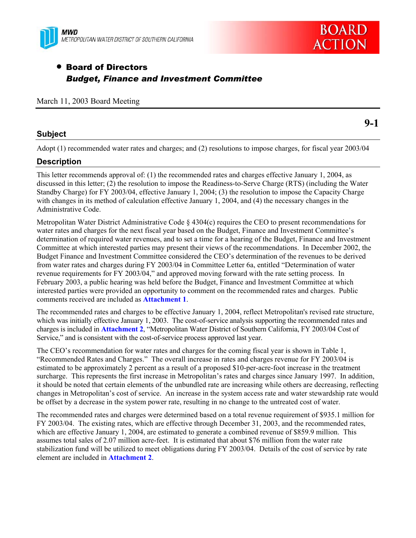



**9-1** 

### **• Board of Directors** *Budget, Finance and Investment Committee*

|  |  |  |  | March 11, 2003 Board Meeting |
|--|--|--|--|------------------------------|
|--|--|--|--|------------------------------|

#### **Subject**

Adopt (1) recommended water rates and charges; and (2) resolutions to impose charges, for fiscal year 2003/04

#### **Description**

This letter recommends approval of: (1) the recommended rates and charges effective January 1, 2004, as discussed in this letter; (2) the resolution to impose the Readiness-to-Serve Charge (RTS) (including the Water Standby Charge) for FY 2003/04, effective January 1, 2004; (3) the resolution to impose the Capacity Charge with changes in its method of calculation effective January 1, 2004, and (4) the necessary changes in the Administrative Code.

Metropolitan Water District Administrative Code  $\S$  4304(c) requires the CEO to present recommendations for water rates and charges for the next fiscal year based on the Budget, Finance and Investment Committee's determination of required water revenues, and to set a time for a hearing of the Budget, Finance and Investment Committee at which interested parties may present their views of the recommendations. In December 2002, the Budget Finance and Investment Committee considered the CEO's determination of the revenues to be derived from water rates and charges during FY 2003/04 in Committee Letter 6a, entitled "Determination of water revenue requirements for FY 2003/04," and approved moving forward with the rate setting process. In February 2003, a public hearing was held before the Budget, Finance and Investment Committee at which interested parties were provided an opportunity to comment on the recommended rates and charges. Public comments received are included as **Attachment 1**.

The recommended rates and charges to be effective January 1, 2004, reflect Metropolitan's revised rate structure, which was initially effective January 1, 2003. The cost-of-service analysis supporting the recommended rates and charges is included in **Attachment 2**, "Metropolitan Water District of Southern California, FY 2003/04 Cost of Service," and is consistent with the cost-of-service process approved last year.

The CEO's recommendation for water rates and charges for the coming fiscal year is shown in Table 1, "Recommended Rates and Charges." The overall increase in rates and charges revenue for FY 2003/04 is estimated to be approximately 2 percent as a result of a proposed \$10-per-acre-foot increase in the treatment surcharge. This represents the first increase in Metropolitan's rates and charges since January 1997. In addition, it should be noted that certain elements of the unbundled rate are increasing while others are decreasing, reflecting changes in Metropolitan's cost of service. An increase in the system access rate and water stewardship rate would be offset by a decrease in the system power rate, resulting in no change to the untreated cost of water.

The recommended rates and charges were determined based on a total revenue requirement of \$935.1 million for FY 2003/04. The existing rates, which are effective through December 31, 2003, and the recommended rates, which are effective January 1, 2004, are estimated to generate a combined revenue of \$859.9 million. This assumes total sales of 2.07 million acre-feet. It is estimated that about \$76 million from the water rate stabilization fund will be utilized to meet obligations during FY 2003/04. Details of the cost of service by rate element are included in **Attachment 2**.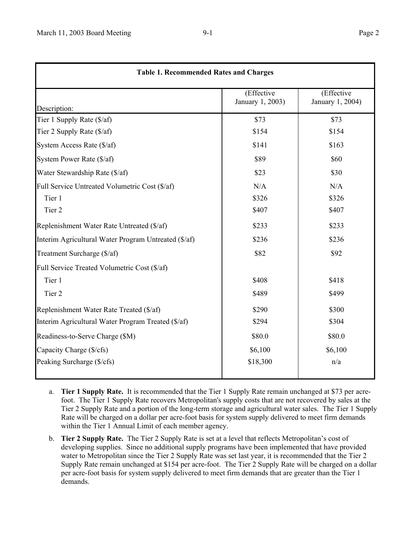|                                                      | (Effective<br>January 1, 2003) | (Effective<br>January 1, 2004) |
|------------------------------------------------------|--------------------------------|--------------------------------|
| Description:                                         |                                |                                |
| Tier 1 Supply Rate (\$/af)                           | \$73                           | \$73                           |
| Tier 2 Supply Rate (\$/af)                           | \$154                          | \$154                          |
| System Access Rate (\$/af)                           | \$141                          | \$163                          |
| System Power Rate (\$/af)                            | \$89                           | \$60                           |
| Water Stewardship Rate (\$/af)                       | \$23                           | \$30                           |
| Full Service Untreated Volumetric Cost (\$/af)       | N/A                            | N/A                            |
| Tier 1                                               | \$326                          | \$326                          |
| Tier <sub>2</sub>                                    | \$407                          | \$407                          |
| Replenishment Water Rate Untreated (\$/af)           | \$233                          | \$233                          |
| Interim Agricultural Water Program Untreated (\$/af) | \$236                          | \$236                          |
| Treatment Surcharge (\$/af)                          | \$82                           | \$92                           |
| Full Service Treated Volumetric Cost (\$/af)         |                                |                                |
| Tier 1                                               | \$408                          | \$418                          |
| Tier <sub>2</sub>                                    | \$489                          | \$499                          |
| Replenishment Water Rate Treated (\$/af)             | \$290                          | \$300                          |
| Interim Agricultural Water Program Treated (\$/af)   | \$294                          | \$304                          |
| Readiness-to-Serve Charge (\$M)                      | \$80.0                         | \$80.0                         |
| Capacity Charge (\$/cfs)                             | \$6,100                        | \$6,100                        |
| Peaking Surcharge (\$/cfs)                           | \$18,300                       | n/a                            |

- a. **Tier 1 Supply Rate.** It is recommended that the Tier 1 Supply Rate remain unchanged at \$73 per acrefoot. The Tier 1 Supply Rate recovers Metropolitan's supply costs that are not recovered by sales at the Tier 2 Supply Rate and a portion of the long-term storage and agricultural water sales. The Tier 1 Supply Rate will be charged on a dollar per acre-foot basis for system supply delivered to meet firm demands within the Tier 1 Annual Limit of each member agency.
- b. **Tier 2 Supply Rate.** The Tier 2 Supply Rate is set at a level that reflects Metropolitan's cost of developing supplies. Since no additional supply programs have been implemented that have provided water to Metropolitan since the Tier 2 Supply Rate was set last year, it is recommended that the Tier 2 Supply Rate remain unchanged at \$154 per acre-foot. The Tier 2 Supply Rate will be charged on a dollar per acre-foot basis for system supply delivered to meet firm demands that are greater than the Tier 1 demands.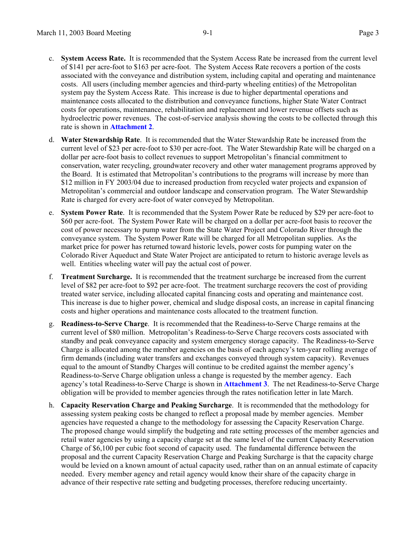- c. **System Access Rate.** It is recommended that the System Access Rate be increased from the current level of \$141 per acre-foot to \$163 per acre-foot. The System Access Rate recovers a portion of the costs associated with the conveyance and distribution system, including capital and operating and maintenance costs. All users (including member agencies and third-party wheeling entities) of the Metropolitan system pay the System Access Rate. This increase is due to higher departmental operations and maintenance costs allocated to the distribution and conveyance functions, higher State Water Contract costs for operations, maintenance, rehabilitation and replacement and lower revenue offsets such as hydroelectric power revenues. The cost-of-service analysis showing the costs to be collected through this rate is shown in **Attachment 2**.
- d. **Water Stewardship Rate**. It is recommended that the Water Stewardship Rate be increased from the current level of \$23 per acre-foot to \$30 per acre-foot. The Water Stewardship Rate will be charged on a dollar per acre-foot basis to collect revenues to support Metropolitan's financial commitment to conservation, water recycling, groundwater recovery and other water management programs approved by the Board. It is estimated that Metropolitan's contributions to the programs will increase by more than \$12 million in FY 2003/04 due to increased production from recycled water projects and expansion of Metropolitan's commercial and outdoor landscape and conservation program. The Water Stewardship Rate is charged for every acre-foot of water conveyed by Metropolitan.
- e. **System Power Rate**. It is recommended that the System Power Rate be reduced by \$29 per acre-foot to \$60 per acre-foot. The System Power Rate will be charged on a dollar per acre-foot basis to recover the cost of power necessary to pump water from the State Water Project and Colorado River through the conveyance system. The System Power Rate will be charged for all Metropolitan supplies. As the market price for power has returned toward historic levels, power costs for pumping water on the Colorado River Aqueduct and State Water Project are anticipated to return to historic average levels as well. Entities wheeling water will pay the actual cost of power.
- f. **Treatment Surcharge.** It is recommended that the treatment surcharge be increased from the current level of \$82 per acre-foot to \$92 per acre-foot. The treatment surcharge recovers the cost of providing treated water service, including allocated capital financing costs and operating and maintenance cost. This increase is due to higher power, chemical and sludge disposal costs, an increase in capital financing costs and higher operations and maintenance costs allocated to the treatment function.
- g. **Readiness-to-Serve Charge**. It is recommended that the Readiness-to-Serve Charge remains at the current level of \$80 million. Metropolitan's Readiness-to-Serve Charge recovers costs associated with standby and peak conveyance capacity and system emergency storage capacity. The Readiness-to-Serve Charge is allocated among the member agencies on the basis of each agency's ten-year rolling average of firm demands (including water transfers and exchanges conveyed through system capacity). Revenues equal to the amount of Standby Charges will continue to be credited against the member agency's Readiness-to-Serve Charge obligation unless a change is requested by the member agency. Each agency's total Readiness-to-Serve Charge is shown in **Attachment 3**. The net Readiness-to-Serve Charge obligation will be provided to member agencies through the rates notification letter in late March.
- h. **Capacity Reservation Charge and Peaking Surcharge**. It is recommended that the methodology for assessing system peaking costs be changed to reflect a proposal made by member agencies. Member agencies have requested a change to the methodology for assessing the Capacity Reservation Charge. The proposed change would simplify the budgeting and rate setting processes of the member agencies and retail water agencies by using a capacity charge set at the same level of the current Capacity Reservation Charge of \$6,100 per cubic foot second of capacity used. The fundamental difference between the proposal and the current Capacity Reservation Charge and Peaking Surcharge is that the capacity charge would be levied on a known amount of actual capacity used, rather than on an annual estimate of capacity needed. Every member agency and retail agency would know their share of the capacity charge in advance of their respective rate setting and budgeting processes, therefore reducing uncertainty.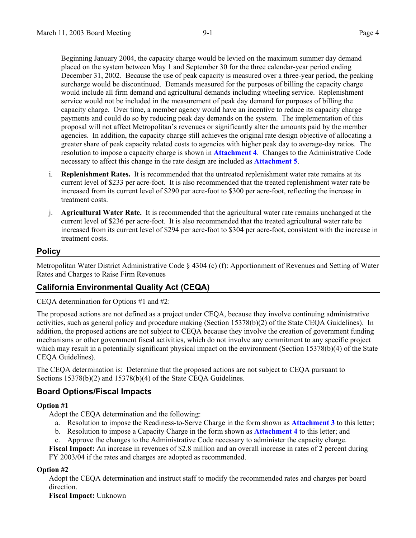Beginning January 2004, the capacity charge would be levied on the maximum summer day demand placed on the system between May 1 and September 30 for the three calendar-year period ending December 31, 2002. Because the use of peak capacity is measured over a three-year period, the peaking surcharge would be discontinued. Demands measured for the purposes of billing the capacity charge would include all firm demand and agricultural demands including wheeling service. Replenishment service would not be included in the measurement of peak day demand for purposes of billing the capacity charge. Over time, a member agency would have an incentive to reduce its capacity charge payments and could do so by reducing peak day demands on the system. The implementation of this proposal will not affect Metropolitan's revenues or significantly alter the amounts paid by the member agencies. In addition, the capacity charge still achieves the original rate design objective of allocating a greater share of peak capacity related costs to agencies with higher peak day to average-day ratios. The resolution to impose a capacity charge is shown in **Attachment 4**. Changes to the Administrative Code necessary to affect this change in the rate design are included as **Attachment 5**.

- i. **Replenishment Rates.** It is recommended that the untreated replenishment water rate remains at its current level of \$233 per acre-foot. It is also recommended that the treated replenishment water rate be increased from its current level of \$290 per acre-foot to \$300 per acre-foot, reflecting the increase in treatment costs.
- j. **Agricultural Water Rate.** It is recommended that the agricultural water rate remains unchanged at the current level of \$236 per acre-foot. It is also recommended that the treated agricultural water rate be increased from its current level of \$294 per acre-foot to \$304 per acre-foot, consistent with the increase in treatment costs.

#### **Policy**

Metropolitan Water District Administrative Code § 4304 (c) (f): Apportionment of Revenues and Setting of Water Rates and Charges to Raise Firm Revenues

#### **California Environmental Quality Act (CEQA)**

CEQA determination for Options #1 and #2:

The proposed actions are not defined as a project under CEQA, because they involve continuing administrative activities, such as general policy and procedure making (Section 15378(b)(2) of the State CEQA Guidelines). In addition, the proposed actions are not subject to CEQA because they involve the creation of government funding mechanisms or other government fiscal activities, which do not involve any commitment to any specific project which may result in a potentially significant physical impact on the environment (Section 15378(b)(4) of the State CEQA Guidelines).

The CEQA determination is: Determine that the proposed actions are not subject to CEQA pursuant to Sections 15378(b)(2) and 15378(b)(4) of the State CEOA Guidelines.

#### **Board Options/Fiscal Impacts**

#### **Option #1**

Adopt the CEQA determination and the following:

- a. Resolution to impose the Readiness-to-Serve Charge in the form shown as **Attachment 3** to this letter;
- b. Resolution to impose a Capacity Charge in the form shown as **Attachment 4** to this letter; and
- c. Approve the changes to the Administrative Code necessary to administer the capacity charge.

**Fiscal Impact:** An increase in revenues of \$2.8 million and an overall increase in rates of 2 percent during FY 2003/04 if the rates and charges are adopted as recommended.

#### **Option #2**

Adopt the CEQA determination and instruct staff to modify the recommended rates and charges per board direction.

**Fiscal Impact:** Unknown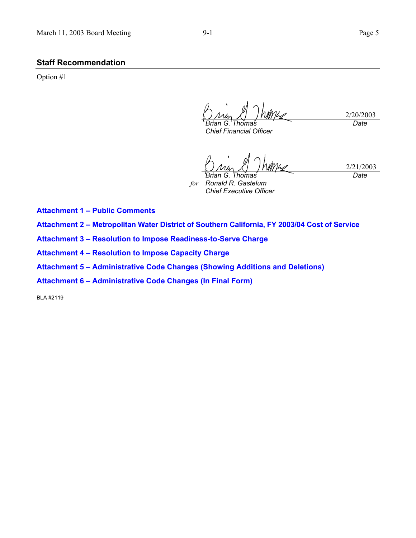#### **Staff Recommendation**

Option #1

2/20/2003 *Brian G. Thomas Date*

*Chief Financial Officer* 

2/21/2003 *Brian G. Thomas Date*

*for Ronald R. Gastelum Chief Executive Officer* 

**Attachment 1 – Public Comments**

**Attachment 2 – Metropolitan Water District of Southern California, FY 2003/04 Cost of Service** 

**Attachment 3 – Resolution to Impose Readiness-to-Serve Charge** 

**Attachment 4 – Resolution to Impose Capacity Charge** 

**Attachment 5 – Administrative Code Changes (Showing Additions and Deletions)** 

**Attachment 6 – Administrative Code Changes (In Final Form)** 

BLA #2119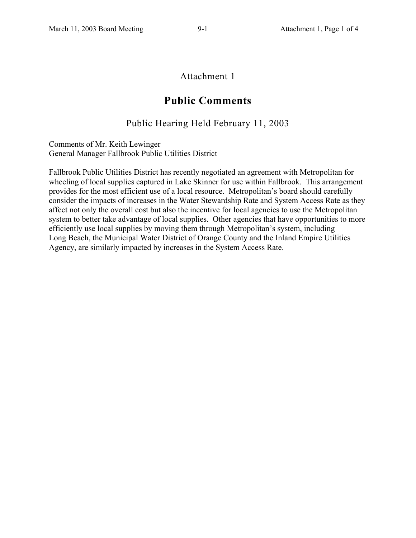#### Attachment 1

#### **Public Comments**

#### Public Hearing Held February 11, 2003

Comments of Mr. Keith Lewinger General Manager Fallbrook Public Utilities District

Fallbrook Public Utilities District has recently negotiated an agreement with Metropolitan for wheeling of local supplies captured in Lake Skinner for use within Fallbrook. This arrangement provides for the most efficient use of a local resource. Metropolitan's board should carefully consider the impacts of increases in the Water Stewardship Rate and System Access Rate as they affect not only the overall cost but also the incentive for local agencies to use the Metropolitan system to better take advantage of local supplies. Other agencies that have opportunities to more efficiently use local supplies by moving them through Metropolitan's system, including Long Beach, the Municipal Water District of Orange County and the Inland Empire Utilities Agency, are similarly impacted by increases in the System Access Rate.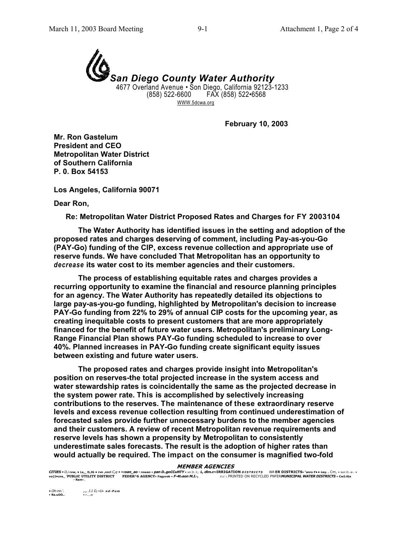

WWW.5dcwa.org

**February 10, 2003** 

**Mr. Ron Gastelum President and CEO Metropolitan Water District of Southern California P. 0. Box 54153** 

**Los Angeles, California 90071** 

**Dear Ron,** 

**Re: Metropolitan Water District Proposed Rates and Charges for FY 2003104**

**The Water Authority has identified issues in the setting and adoption of the proposed rates and charges deserving of comment, including Pay-as-you-Go (PAY-Go) funding of the CIP, excess revenue collection and appropriate use of reserve funds. We have concluded That Metropolitan has an opportunity to**  *decrease* **its water cost to its member agencies and their customers.** 

**The process of establishing equitable rates and charges provides a recurring opportunity to examine the financial and resource planning principles for an agency. The Water Authority has repeatedly detailed its objections to large pay-as-you-go funding, highlighted by Metropolitan's decision to increase PAY-Go funding from 22% to 29% of annual CIP costs for the upcoming year, as creating inequitable costs to present customers that are more appropriately financed for the benefit of future water users. Metropolitan's preliminary Long-Range Financial Plan shows PAY-Go funding scheduled to increase to over 40%. Planned increases in PAY-Go funding create significant equity issues between existing and future water users.** 

**The proposed rates and charges provide insight into Metropolitan's position on reserves-the total projected increase in the system access and water stewardship rates is coincidentally the same as the projected decrease in the system power rate. This is accomplished by selectively increasing contributions to the reserves. The maintenance of these extraordinary reserve levels and excess revenue collection resulting from continued underestimation of forecasted sales provide further unnecessary burdens to the member agencies and their customers. A review of recent Metropolitan revenue requirements and reserve levels has shown a propensity by Metropolitan to consistently underestimate sales forecasts. The result is the adoption of higher rates than would actually be required. The impact on the consumer is magnified two-fold** 

#### **MEMBER AGENCIES**

CITIES • D,irvw, • Ls,\_ D,JG • rvn ,nnrl C,q • ~:0an\_a0 - rowan • pan D..goCCuNTY • xn D.:1; L, dim.c~IRRIGATION DISTRICTS MA ER DISTRICTS °anro F• • nay.. Cm, • son D.-<br>vo{I•cne\_ PUBLIC UTILITY DISTRICT FEDER^6 **RRIGATION DISTRICTS WA ER DISTRICTS** • Santo F• • nay. . Cm, • son D.-a-. • (i)(c)). RINTED ON RECYCLED PNFER*MUNICIPAL WATER DISTRICTS* • CwI:iGa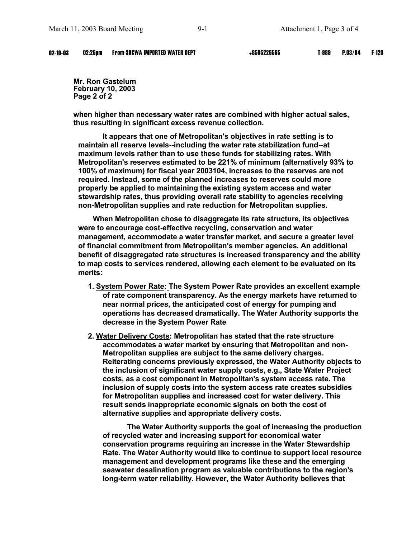**Mr. Ron Gastelum February 10, 2003 Page 2 of 2** 

**when higher than necessary water rates are combined with higher actual sales, thus resulting in significant excess revenue collection.** 

**It appears that one of Metropolitan's objectives in rate setting is to maintain all reserve levels--including the water rate stabilization fund--at maximum levels rather than to use these funds for stabilizing rates. With Metropolitan's reserves estimated to be 221% of minimum (alternatively 93% to 100% of maximum) for fiscal year 2003104, increases to the reserves are not required. Instead, some of the planned increases to reserves could more properly be applied to maintaining the existing system access and water stewardship rates, thus providing overall rate stability to agencies receiving non-Metropolitan supplies and rate reduction for Metropolitan supplies.** 

**When Metropolitan chose to disaggregate its rate structure, its objectives were to encourage cost-effective recycling, conservation and water management, accommodate a water transfer market, and secure a greater level of financial commitment from Metropolitan's member agencies. An additional benefit of disaggregated rate structures is increased transparency and the ability to map costs to services rendered, allowing each element to be evaluated on its merits:** 

- **1. System Power Rate: The System Power Rate provides an excellent example of rate component transparency. As the energy markets have returned to near normal prices, the anticipated cost of energy for pumping and operations has decreased dramatically. The Water Authority supports the decrease in the System Power Rate**
- **2. Water Delivery Costs: Metropolitan has stated that the rate structure accommodates a water market by ensuring that Metropolitan and non-Metropolitan supplies are subject to the same delivery charges. Reiterating concerns previously expressed, the Water Authority objects to the inclusion of significant water supply costs, e.g., State Water Project costs, as a cost component in Metropolitan's system access rate. The inclusion of supply costs into the system access rate creates subsidies for Metropolitan supplies and increased cost for water delivery. This result sends inappropriate economic signals on both the cost of alternative supplies and appropriate delivery costs.**

**The Water Authority supports the goal of increasing the production of recycled water and increasing support for economical water conservation programs requiring an increase in the Water Stewardship Rate. The Water Authority would like to continue to support local resource management and development programs like these and the emerging seawater desalination program as valuable contributions to the region's long-term water reliability. However, the Water Authority believes that**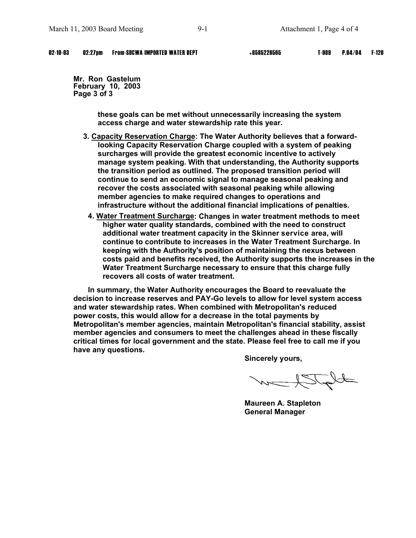#### 02-10-03 02:27pm From-SDCWA IMPORTED WATER DEPT +8585226565 T-989 P.04/04 F-120

**Mr. Ron Gastelum February 10, 2003 Page 3 of 3** 

> **these goals can be met without unnecessarily increasing the system access charge and water stewardship rate this year.**

- **3. Capacity Reservation Charge: The Water Authority believes that a forwardlooking Capacity Reservation Charge coupled with a system of peaking surcharges will provide the greatest economic incentive to actively manage system peaking. With that understanding, the Authority supports the transition period as outlined. The proposed transition period will continue to send an economic signal to manage seasonal peaking and recover the costs associated with seasonal peaking while allowing member agencies to make required changes to operations and infrastructure without the additional financial implications of penalties.** 
	- **4. Water Treatment Surcharge: Changes in water treatment methods to meet higher water quality standards, combined with the need to construct additional water treatment capacity in the Skinner service area, will continue to contribute to increases in the Water Treatment Surcharge. In keeping with the Authority's position of maintaining the nexus between costs paid and benefits received, the Authority supports the increases in the Water Treatment Surcharge necessary to ensure that this charge fully recovers all costs of water treatment.**

**In summary, the Water Authority encourages the Board to reevaluate the decision to increase reserves and PAY-Go levels to allow for level system access and water stewardship rates. When combined with Metropolitan's reduced power costs, this would allow for a decrease in the total payments by Metropolitan's member agencies, maintain Metropolitan's financial stability, assist member agencies and consumers to meet the challenges ahead in these fiscally critical times for local government and the state. Please feel free to call me if you have any questions.** 

**Sincerely yours,** 

the Rhow

**Maureen A. Stapleton General Manager**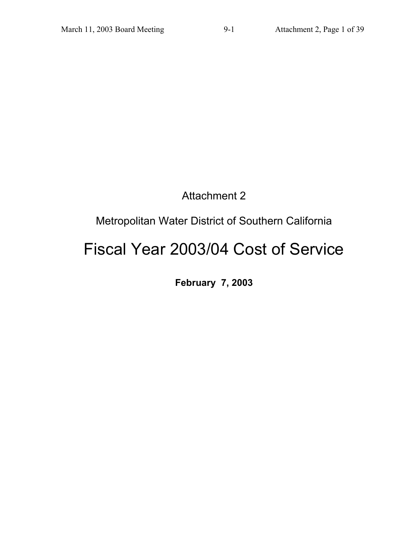## Attachment 2

## Metropolitan Water District of Southern California

# Fiscal Year 2003/04 Cost of Service

**February 7, 2003**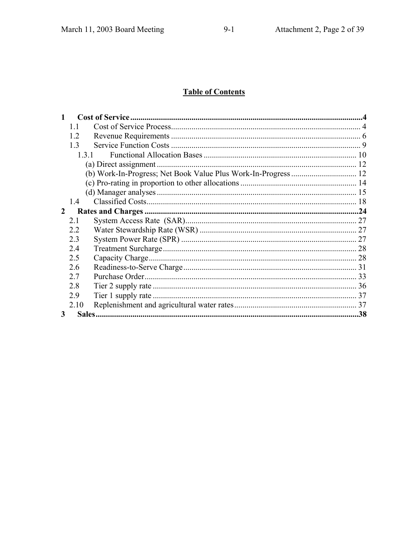## **Table of Contents**

|   | 11   |  |
|---|------|--|
|   | 1.2  |  |
|   | 13   |  |
|   | 131  |  |
|   |      |  |
|   |      |  |
|   |      |  |
|   |      |  |
|   | 1.4  |  |
| 2 |      |  |
|   | 2.1  |  |
|   | 2.2  |  |
|   | 2.3  |  |
|   | 2.4  |  |
|   | 2.5  |  |
|   | 2.6  |  |
|   | 2.7  |  |
|   | 2.8  |  |
|   | 2.9  |  |
|   | 2.10 |  |
| 3 |      |  |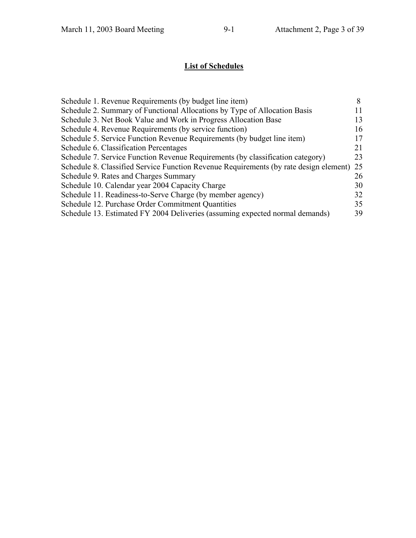## **List of Schedules**

| Schedule 1. Revenue Requirements (by budget line item)                                |     |
|---------------------------------------------------------------------------------------|-----|
| Schedule 2. Summary of Functional Allocations by Type of Allocation Basis             |     |
| Schedule 3. Net Book Value and Work in Progress Allocation Base                       | 13  |
| Schedule 4. Revenue Requirements (by service function)                                | 16  |
| Schedule 5. Service Function Revenue Requirements (by budget line item)               | 17  |
| Schedule 6. Classification Percentages                                                | 21  |
| Schedule 7. Service Function Revenue Requirements (by classification category)        | 23  |
| Schedule 8. Classified Service Function Revenue Requirements (by rate design element) | 25  |
| Schedule 9. Rates and Charges Summary                                                 | 26  |
| Schedule 10. Calendar year 2004 Capacity Charge                                       | 30  |
| Schedule 11. Readiness-to-Serve Charge (by member agency)                             | 32  |
| Schedule 12. Purchase Order Commitment Quantities                                     | 35  |
| Schedule 13. Estimated FY 2004 Deliveries (assuming expected normal demands)          | 39. |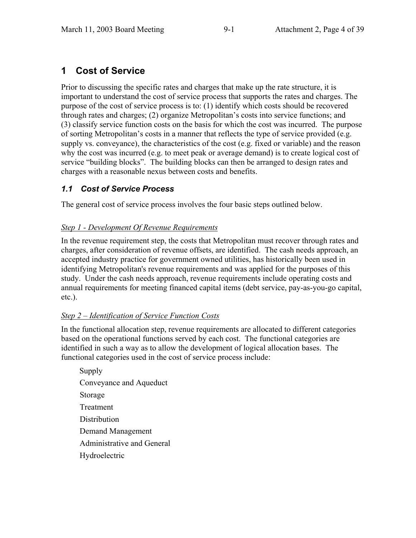## **1 Cost of Service**

Prior to discussing the specific rates and charges that make up the rate structure, it is important to understand the cost of service process that supports the rates and charges. The purpose of the cost of service process is to: (1) identify which costs should be recovered through rates and charges; (2) organize Metropolitan's costs into service functions; and (3) classify service function costs on the basis for which the cost was incurred. The purpose of sorting Metropolitan's costs in a manner that reflects the type of service provided (e.g. supply vs. conveyance), the characteristics of the cost (e.g. fixed or variable) and the reason why the cost was incurred (e.g. to meet peak or average demand) is to create logical cost of service "building blocks". The building blocks can then be arranged to design rates and charges with a reasonable nexus between costs and benefits.

### *1.1 Cost of Service Process*

The general cost of service process involves the four basic steps outlined below.

#### *Step 1 - Development Of Revenue Requirements*

In the revenue requirement step, the costs that Metropolitan must recover through rates and charges, after consideration of revenue offsets, are identified. The cash needs approach, an accepted industry practice for government owned utilities, has historically been used in identifying Metropolitan's revenue requirements and was applied for the purposes of this study. Under the cash needs approach, revenue requirements include operating costs and annual requirements for meeting financed capital items (debt service, pay-as-you-go capital, etc.).

#### *Step 2 – Identification of Service Function Costs*

In the functional allocation step, revenue requirements are allocated to different categories based on the operational functions served by each cost. The functional categories are identified in such a way as to allow the development of logical allocation bases. The functional categories used in the cost of service process include:

 Supply Conveyance and Aqueduct Storage Treatment **Distribution**  Demand Management Administrative and General Hydroelectric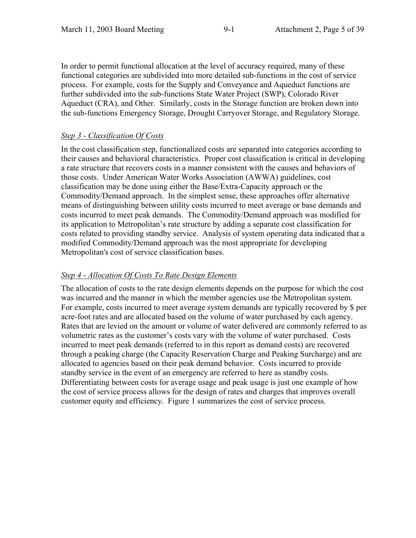In order to permit functional allocation at the level of accuracy required, many of these functional categories are subdivided into more detailed sub-functions in the cost of service process. For example, costs for the Supply and Conveyance and Aqueduct functions are further subdivided into the sub-functions State Water Project (SWP), Colorado River Aqueduct (CRA), and Other. Similarly, costs in the Storage function are broken down into the sub-functions Emergency Storage, Drought Carryover Storage, and Regulatory Storage.

#### *Step 3 - Classification Of Costs*

In the cost classification step, functionalized costs are separated into categories according to their causes and behavioral characteristics. Proper cost classification is critical in developing a rate structure that recovers costs in a manner consistent with the causes and behaviors of those costs. Under American Water Works Association (AWWA) guidelines, cost classification may be done using either the Base/Extra-Capacity approach or the Commodity/Demand approach. In the simplest sense, these approaches offer alternative means of distinguishing between utility costs incurred to meet average or base demands and costs incurred to meet peak demands. The Commodity/Demand approach was modified for its application to Metropolitan's rate structure by adding a separate cost classification for costs related to providing standby service. Analysis of system operating data indicated that a modified Commodity/Demand approach was the most appropriate for developing Metropolitan's cost of service classification bases.

#### *Step 4 - Allocation Of Costs To Rate Design Elements*

The allocation of costs to the rate design elements depends on the purpose for which the cost was incurred and the manner in which the member agencies use the Metropolitan system. For example, costs incurred to meet average system demands are typically recovered by \$ per acre-foot rates and are allocated based on the volume of water purchased by each agency. Rates that are levied on the amount or volume of water delivered are commonly referred to as volumetric rates as the customer's costs vary with the volume of water purchased. Costs incurred to meet peak demands (referred to in this report as demand costs) are recovered through a peaking charge (the Capacity Reservation Charge and Peaking Surcharge) and are allocated to agencies based on their peak demand behavior. Costs incurred to provide standby service in the event of an emergency are referred to here as standby costs. Differentiating between costs for average usage and peak usage is just one example of how the cost of service process allows for the design of rates and charges that improves overall customer equity and efficiency. Figure 1 summarizes the cost of service process.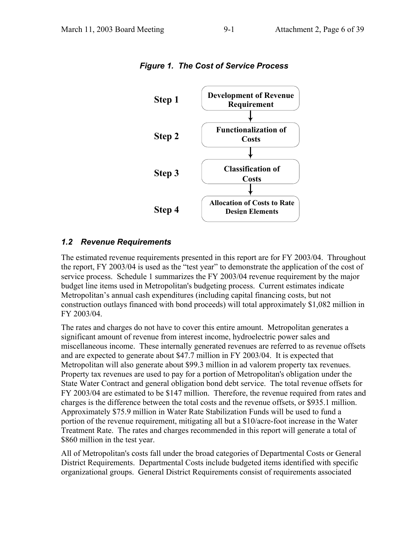

*Figure 1. The Cost of Service Process* 

#### *1.2 Revenue Requirements*

The estimated revenue requirements presented in this report are for FY 2003/04. Throughout the report, FY 2003/04 is used as the "test year" to demonstrate the application of the cost of service process. Schedule 1 summarizes the FY 2003/04 revenue requirement by the major budget line items used in Metropolitan's budgeting process. Current estimates indicate Metropolitan's annual cash expenditures (including capital financing costs, but not construction outlays financed with bond proceeds) will total approximately \$1,082 million in FY 2003/04.

The rates and charges do not have to cover this entire amount. Metropolitan generates a significant amount of revenue from interest income, hydroelectric power sales and miscellaneous income. These internally generated revenues are referred to as revenue offsets and are expected to generate about \$47.7 million in FY 2003/04. It is expected that Metropolitan will also generate about \$99.3 million in ad valorem property tax revenues. Property tax revenues are used to pay for a portion of Metropolitan's obligation under the State Water Contract and general obligation bond debt service. The total revenue offsets for FY 2003/04 are estimated to be \$147 million. Therefore, the revenue required from rates and charges is the difference between the total costs and the revenue offsets, or \$935.1 million. Approximately \$75.9 million in Water Rate Stabilization Funds will be used to fund a portion of the revenue requirement, mitigating all but a \$10/acre-foot increase in the Water Treatment Rate. The rates and charges recommended in this report will generate a total of \$860 million in the test year.

All of Metropolitan's costs fall under the broad categories of Departmental Costs or General District Requirements. Departmental Costs include budgeted items identified with specific organizational groups. General District Requirements consist of requirements associated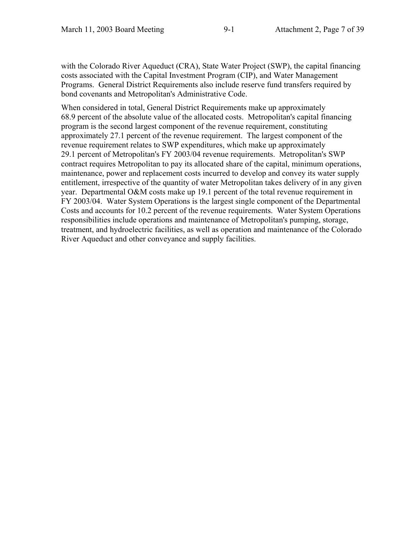with the Colorado River Aqueduct (CRA), State Water Project (SWP), the capital financing costs associated with the Capital Investment Program (CIP), and Water Management Programs. General District Requirements also include reserve fund transfers required by bond covenants and Metropolitan's Administrative Code.

When considered in total, General District Requirements make up approximately 68.9 percent of the absolute value of the allocated costs. Metropolitan's capital financing program is the second largest component of the revenue requirement, constituting approximately 27.1 percent of the revenue requirement. The largest component of the revenue requirement relates to SWP expenditures, which make up approximately 29.1 percent of Metropolitan's FY 2003/04 revenue requirements. Metropolitan's SWP contract requires Metropolitan to pay its allocated share of the capital, minimum operations, maintenance, power and replacement costs incurred to develop and convey its water supply entitlement, irrespective of the quantity of water Metropolitan takes delivery of in any given year. Departmental O&M costs make up 19.1 percent of the total revenue requirement in FY 2003/04. Water System Operations is the largest single component of the Departmental Costs and accounts for 10.2 percent of the revenue requirements. Water System Operations responsibilities include operations and maintenance of Metropolitan's pumping, storage, treatment, and hydroelectric facilities, as well as operation and maintenance of the Colorado River Aqueduct and other conveyance and supply facilities.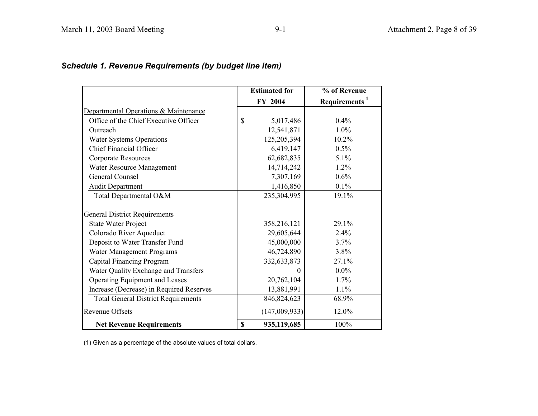## *Schedule 1. Revenue Requirements (by budget line item)*

|                                            | <b>Estimated for</b> | % of Revenue              |
|--------------------------------------------|----------------------|---------------------------|
|                                            | FY 2004              | Requirements <sup>1</sup> |
| Departmental Operations & Maintenance      |                      |                           |
| Office of the Chief Executive Officer      | \$<br>5,017,486      | 0.4%                      |
| Outreach                                   | 12,541,871           | $1.0\%$                   |
| <b>Water Systems Operations</b>            | 125,205,394          | 10.2%                     |
| <b>Chief Financial Officer</b>             | 6,419,147            | $0.5\%$                   |
| <b>Corporate Resources</b>                 | 62,682,835           | 5.1%                      |
| Water Resource Management                  | 14,714,242           | 1.2%                      |
| General Counsel                            | 7,307,169            | $0.6\%$                   |
| <b>Audit Department</b>                    | 1,416,850            | 0.1%                      |
| Total Departmental O&M                     | 235,304,995          | 19.1%                     |
|                                            |                      |                           |
| <b>General District Requirements</b>       |                      |                           |
| <b>State Water Project</b>                 | 358,216,121          | 29.1%                     |
| Colorado River Aqueduct                    | 29,605,644           | 2.4%                      |
| Deposit to Water Transfer Fund             | 45,000,000           | 3.7%                      |
| Water Management Programs                  | 46,724,890           | 3.8%                      |
| Capital Financing Program                  | 332,633,873          | 27.1%                     |
| Water Quality Exchange and Transfers       | $\Omega$             | $0.0\%$                   |
| Operating Equipment and Leases             | 20,762,104           | 1.7%                      |
| Increase (Decrease) in Required Reserves   | 13,881,991           | 1.1%                      |
| <b>Total General District Requirements</b> | 846, 824, 623        | 68.9%                     |
| <b>Revenue Offsets</b>                     | (147,009,933)        | 12.0%                     |
| <b>Net Revenue Requirements</b>            | \$<br>935,119,685    | 100%                      |

(1) Given as a percentage of the absolute values of total dollars.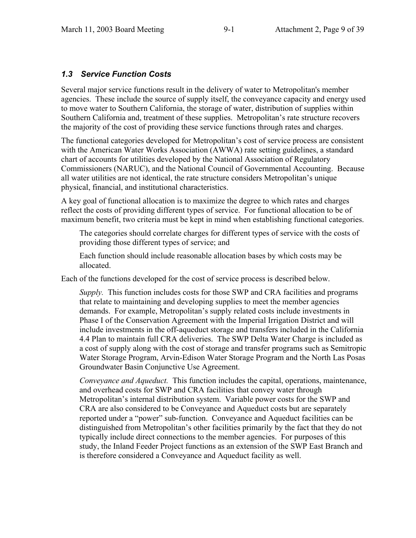#### *1.3 Service Function Costs*

Several major service functions result in the delivery of water to Metropolitan's member agencies. These include the source of supply itself, the conveyance capacity and energy used to move water to Southern California, the storage of water, distribution of supplies within Southern California and, treatment of these supplies. Metropolitan's rate structure recovers the majority of the cost of providing these service functions through rates and charges.

The functional categories developed for Metropolitan's cost of service process are consistent with the American Water Works Association (AWWA) rate setting guidelines, a standard chart of accounts for utilities developed by the National Association of Regulatory Commissioners (NARUC), and the National Council of Governmental Accounting. Because all water utilities are not identical, the rate structure considers Metropolitan's unique physical, financial, and institutional characteristics.

A key goal of functional allocation is to maximize the degree to which rates and charges reflect the costs of providing different types of service. For functional allocation to be of maximum benefit, two criteria must be kept in mind when establishing functional categories.

 The categories should correlate charges for different types of service with the costs of providing those different types of service; and

 Each function should include reasonable allocation bases by which costs may be allocated.

Each of the functions developed for the cost of service process is described below.

 *Supply.* This function includes costs for those SWP and CRA facilities and programs that relate to maintaining and developing supplies to meet the member agencies demands. For example, Metropolitan's supply related costs include investments in Phase I of the Conservation Agreement with the Imperial Irrigation District and will include investments in the off-aqueduct storage and transfers included in the California 4.4 Plan to maintain full CRA deliveries. The SWP Delta Water Charge is included as a cost of supply along with the cost of storage and transfer programs such as Semitropic Water Storage Program, Arvin-Edison Water Storage Program and the North Las Posas Groundwater Basin Conjunctive Use Agreement.

 *Conveyance and Aqueduct.* This function includes the capital, operations, maintenance, and overhead costs for SWP and CRA facilities that convey water through Metropolitan's internal distribution system. Variable power costs for the SWP and CRA are also considered to be Conveyance and Aqueduct costs but are separately reported under a "power" sub-function. Conveyance and Aqueduct facilities can be distinguished from Metropolitan's other facilities primarily by the fact that they do not typically include direct connections to the member agencies. For purposes of this study, the Inland Feeder Project functions as an extension of the SWP East Branch and is therefore considered a Conveyance and Aqueduct facility as well.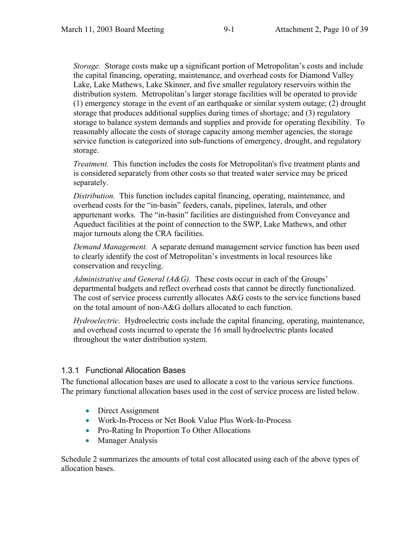*Storage.* Storage costs make up a significant portion of Metropolitan's costs and include the capital financing, operating, maintenance, and overhead costs for Diamond Valley Lake, Lake Mathews, Lake Skinner, and five smaller regulatory reservoirs within the distribution system. Metropolitan's larger storage facilities will be operated to provide (1) emergency storage in the event of an earthquake or similar system outage; (2) drought storage that produces additional supplies during times of shortage; and (3) regulatory storage to balance system demands and supplies and provide for operating flexibility. To reasonably allocate the costs of storage capacity among member agencies, the storage service function is categorized into sub-functions of emergency, drought, and regulatory storage.

 *Treatment.* This function includes the costs for Metropolitan's five treatment plants and is considered separately from other costs so that treated water service may be priced separately.

 *Distribution.* This function includes capital financing, operating, maintenance, and overhead costs for the "in-basin" feeders, canals, pipelines, laterals, and other appurtenant works. The "in-basin" facilities are distinguished from Conveyance and Aqueduct facilities at the point of connection to the SWP, Lake Mathews, and other major turnouts along the CRA facilities.

 *Demand Management.* A separate demand management service function has been used to clearly identify the cost of Metropolitan's investments in local resources like conservation and recycling.

 *Administrative and General (A&G).* These costs occur in each of the Groups' departmental budgets and reflect overhead costs that cannot be directly functionalized. The cost of service process currently allocates A&G costs to the service functions based on the total amount of non-A&G dollars allocated to each function.

 *Hydroelectric.* Hydroelectric costs include the capital financing, operating, maintenance, and overhead costs incurred to operate the 16 small hydroelectric plants located throughout the water distribution system.

#### 1.3.1 Functional Allocation Bases

The functional allocation bases are used to allocate a cost to the various service functions. The primary functional allocation bases used in the cost of service process are listed below.

- Direct Assignment
- x Work-In-Process or Net Book Value Plus Work-In-Process
- Pro-Rating In Proportion To Other Allocations
- Manager Analysis

Schedule 2 summarizes the amounts of total cost allocated using each of the above types of allocation bases.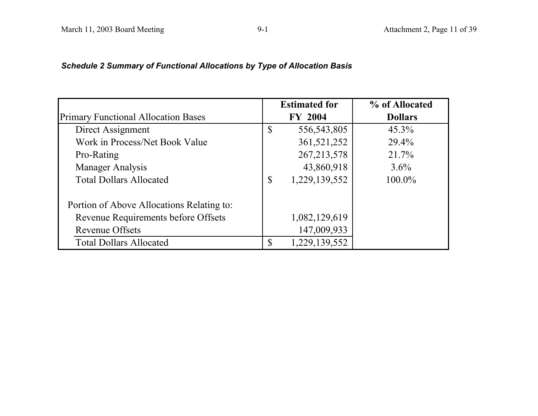## *Schedule 2 Summary of Functional Allocations by Type of Allocation Basis*

|                                            | <b>Estimated for</b> | % of Allocated |
|--------------------------------------------|----------------------|----------------|
| <b>Primary Functional Allocation Bases</b> | <b>FY 2004</b>       | <b>Dollars</b> |
| Direct Assignment                          | \$<br>556, 543, 805  | $45.3\%$       |
| Work in Process/Net Book Value             | 361,521,252          | $29.4\%$       |
| Pro-Rating                                 | 267, 213, 578        | 21.7%          |
| <b>Manager Analysis</b>                    | 43,860,918           | $3.6\%$        |
| <b>Total Dollars Allocated</b>             | \$<br>1,229,139,552  | 100.0%         |
| Portion of Above Allocations Relating to:  |                      |                |
| Revenue Requirements before Offsets        | 1,082,129,619        |                |
| <b>Revenue Offsets</b>                     | 147,009,933          |                |
| <b>Total Dollars Allocated</b>             | \$<br>1,229,139,552  |                |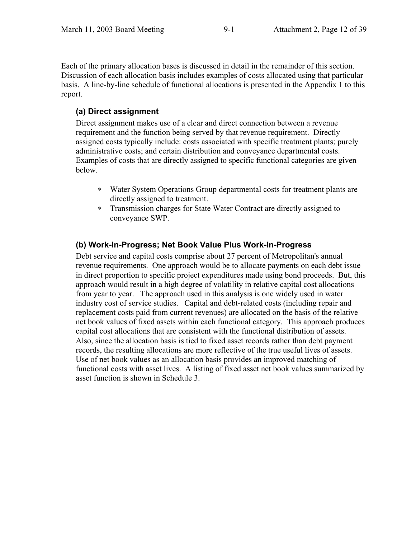Each of the primary allocation bases is discussed in detail in the remainder of this section. Discussion of each allocation basis includes examples of costs allocated using that particular basis. A line-by-line schedule of functional allocations is presented in the Appendix 1 to this report.

#### **(a) Direct assignment**

Direct assignment makes use of a clear and direct connection between a revenue requirement and the function being served by that revenue requirement. Directly assigned costs typically include: costs associated with specific treatment plants; purely administrative costs; and certain distribution and conveyance departmental costs. Examples of costs that are directly assigned to specific functional categories are given below.

- Water System Operations Group departmental costs for treatment plants are directly assigned to treatment.
- Transmission charges for State Water Contract are directly assigned to conveyance SWP.

#### **(b) Work-In-Progress; Net Book Value Plus Work-In-Progress**

Debt service and capital costs comprise about 27 percent of Metropolitan's annual revenue requirements. One approach would be to allocate payments on each debt issue in direct proportion to specific project expenditures made using bond proceeds. But, this approach would result in a high degree of volatility in relative capital cost allocations from year to year. The approach used in this analysis is one widely used in water industry cost of service studies. Capital and debt-related costs (including repair and replacement costs paid from current revenues) are allocated on the basis of the relative net book values of fixed assets within each functional category. This approach produces capital cost allocations that are consistent with the functional distribution of assets. Also, since the allocation basis is tied to fixed asset records rather than debt payment records, the resulting allocations are more reflective of the true useful lives of assets. Use of net book values as an allocation basis provides an improved matching of functional costs with asset lives. A listing of fixed asset net book values summarized by asset function is shown in Schedule 3.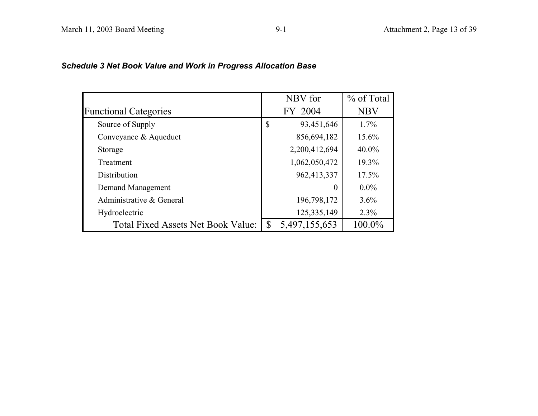### *Schedule 3 Net Book Value and Work in Progress Allocation Base*

|                                           |    | NBV for       | % of Total |
|-------------------------------------------|----|---------------|------------|
| <b>Functional Categories</b>              |    | FY 2004       | <b>NBV</b> |
| Source of Supply                          | \$ | 93,451,646    | $1.7\%$    |
| Conveyance & Aqueduct                     |    | 856,694,182   | 15.6%      |
| Storage                                   |    | 2,200,412,694 | $40.0\%$   |
| Treatment                                 |    | 1,062,050,472 | 19.3%      |
| Distribution                              |    | 962,413,337   | 17.5%      |
| Demand Management                         |    | $\theta$      | $0.0\%$    |
| Administrative & General                  |    | 196,798,172   | 3.6%       |
| Hydroelectric                             |    | 125,335,149   | 2.3%       |
| <b>Total Fixed Assets Net Book Value:</b> | S  | 5,497,155,653 | 100.0%     |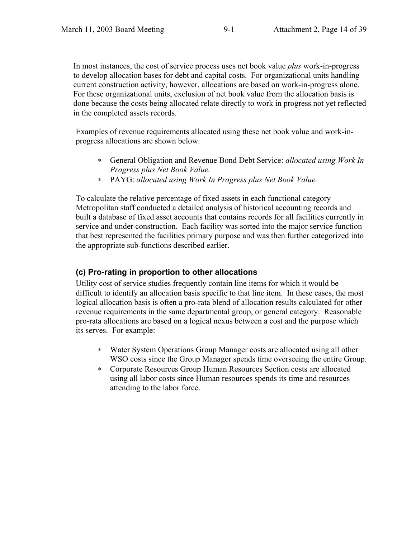In most instances, the cost of service process uses net book value *plus* work-in-progress to develop allocation bases for debt and capital costs. For organizational units handling current construction activity, however, allocations are based on work-in-progress alone. For these organizational units, exclusion of net book value from the allocation basis is done because the costs being allocated relate directly to work in progress not yet reflected in the completed assets records.

Examples of revenue requirements allocated using these net book value and work-inprogress allocations are shown below.

- General Obligation and Revenue Bond Debt Service: *allocated using Work In Progress plus Net Book Value.*
- PAYG: *allocated using Work In Progress plus Net Book Value.*

To calculate the relative percentage of fixed assets in each functional category Metropolitan staff conducted a detailed analysis of historical accounting records and built a database of fixed asset accounts that contains records for all facilities currently in service and under construction. Each facility was sorted into the major service function that best represented the facilities primary purpose and was then further categorized into the appropriate sub-functions described earlier.

#### **(c) Pro-rating in proportion to other allocations**

Utility cost of service studies frequently contain line items for which it would be difficult to identify an allocation basis specific to that line item. In these cases, the most logical allocation basis is often a pro-rata blend of allocation results calculated for other revenue requirements in the same departmental group, or general category. Reasonable pro-rata allocations are based on a logical nexus between a cost and the purpose which its serves. For example:

- Water System Operations Group Manager costs are allocated using all other WSO costs since the Group Manager spends time overseeing the entire Group.
- Corporate Resources Group Human Resources Section costs are allocated using all labor costs since Human resources spends its time and resources attending to the labor force.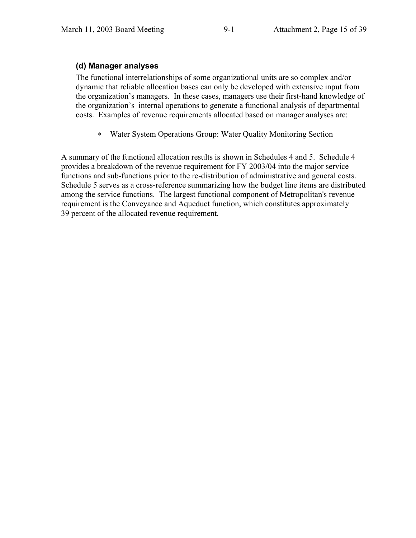#### **(d) Manager analyses**

The functional interrelationships of some organizational units are so complex and/or dynamic that reliable allocation bases can only be developed with extensive input from the organization's managers. In these cases, managers use their first-hand knowledge of the organization's internal operations to generate a functional analysis of departmental costs. Examples of revenue requirements allocated based on manager analyses are:

Water System Operations Group: Water Quality Monitoring Section

A summary of the functional allocation results is shown in Schedules 4 and 5. Schedule 4 provides a breakdown of the revenue requirement for FY 2003/04 into the major service functions and sub-functions prior to the re-distribution of administrative and general costs. Schedule 5 serves as a cross-reference summarizing how the budget line items are distributed among the service functions. The largest functional component of Metropolitan's revenue requirement is the Conveyance and Aqueduct function, which constitutes approximately 39 percent of the allocated revenue requirement.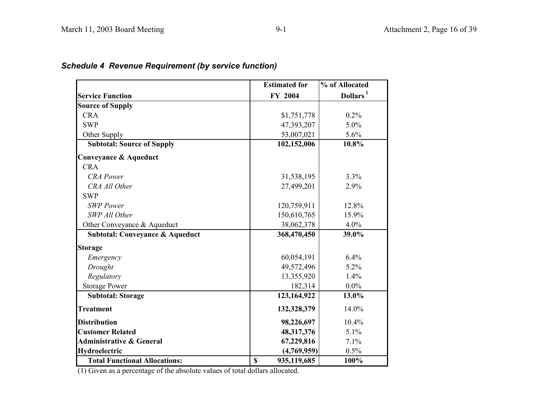|                                            | <b>Estimated for</b>       | $\sqrt[9]{\phantom{1}}$ of Allocated |
|--------------------------------------------|----------------------------|--------------------------------------|
| <b>Service Function</b>                    | FY 2004                    | Dollars <sup>1</sup>                 |
| <b>Source of Supply</b>                    |                            |                                      |
| <b>CRA</b>                                 | \$1,751,778                | 0.2%                                 |
| <b>SWP</b>                                 | 47,393,207                 | 5.0%                                 |
| Other Supply                               | 53,007,021                 | 5.6%                                 |
| <b>Subtotal: Source of Supply</b>          | 102,152,006                | 10.8%                                |
| Conveyance & Aqueduct                      |                            |                                      |
| <b>CRA</b>                                 |                            |                                      |
| <b>CRA</b> Power                           | 31,538,195                 | 3.3%                                 |
| <b>CRA All Other</b>                       | 27,499,201                 | 2.9%                                 |
| <b>SWP</b>                                 |                            |                                      |
| <b>SWP</b> Power                           | 120,759,911                | 12.8%                                |
| SWP All Other                              | 150,610,765                | 15.9%                                |
| Other Conveyance & Aqueduct                | 38,062,378                 | 4.0%                                 |
| <b>Subtotal: Conveyance &amp; Aqueduct</b> | 368,470,450                | 39.0%                                |
| <b>Storage</b>                             |                            |                                      |
| Emergency                                  | 60,054,191                 | 6.4%                                 |
| Drought                                    | 49,572,496                 | 5.2%                                 |
| Regulatory                                 | 13,355,920                 | 1.4%                                 |
| <b>Storage Power</b>                       | 182,314                    | $0.0\%$                              |
| <b>Subtotal: Storage</b>                   | 123,164,922                | 13.0%                                |
| <b>Treatment</b>                           | 132,328,379                | 14.0%                                |
| <b>Distribution</b>                        | 98,226,697                 | 10.4%                                |
| <b>Customer Related</b>                    | 48,317,376                 | 5.1%                                 |
| <b>Administrative &amp; General</b>        | 67,229,816                 | 7.1%                                 |
| Hydroelectric                              | (4,769,959)                | 0.5%                                 |
| <b>Total Functional Allocations:</b>       | $\mathbf S$<br>935,119,685 | 100%                                 |

### *Schedule 4 Revenue Requirement (by service function)*

(1) Given as a percentage of the absolute values of total dollars allocated.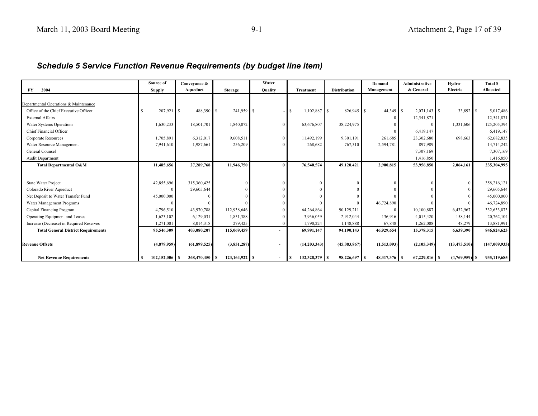### *Schedule 5 Service Function Revenue Requirements (by budget line item)*

|                                            | Source of            | Conveyance &   |                  | Water          |                  |                     | Demand        | <b>Administrative</b> | Hydro-           | <b>Total S</b>   |
|--------------------------------------------|----------------------|----------------|------------------|----------------|------------------|---------------------|---------------|-----------------------|------------------|------------------|
| 2004<br>FY                                 | <b>Supply</b>        | Aqueduct       | <b>Storage</b>   | <b>Quality</b> | <b>Treatment</b> | <b>Distribution</b> | Management    | & General             | Electric         | <b>Allocated</b> |
|                                            |                      |                |                  |                |                  |                     |               |                       |                  |                  |
| Departmental Operations & Maintenance      |                      |                |                  |                |                  |                     |               |                       |                  |                  |
| Office of the Chief Executive Officer      | 207,921              | 488,390 \$     | 241,959 \$       |                | 1,102,887 \$     | 826,945 \$          | 44,349        | $2,071,143$ \$        |                  | 5,017,486        |
| <b>External Affairs</b>                    |                      |                |                  |                |                  |                     |               | 12,541,871            |                  | 12,541,871       |
| Water Systems Operations                   | 1,630,233            | 18,501,701     | 1,840,072        |                | 63,676,807       | 38,224,975          |               |                       | 1,331,606        | 125,205,394      |
| Chief Financial Officer                    |                      |                |                  |                |                  |                     |               | 6,419,147             |                  | 6,419,147        |
| Corporate Resources                        | 1,705,891            | 6,312,017      | 9,608,511        |                | 11,492,199       | 9,301,191           | 261,685       | 23,302,680            | 698,663          | 62,682,835       |
| Water Resource Management                  | 7,941,610            | 1,987,661      | 256,209          |                | 268,682          | 767,310             | 2,594,781     | 897.989               |                  | 14,714,242       |
| General Counsel                            |                      |                |                  |                |                  |                     |               | 7,307,169             |                  | 7,307,169        |
| Audit Department                           |                      |                |                  |                |                  |                     |               | 1,416,850             |                  | 1,416,850        |
| Total Departmental O&M                     | 11,485,656           | 27,289,768     | 11,946,750       |                | 76,540,574       | 49,120,421          | 2,900,815     | 53,956,850            | 2,064,161        | 235,304,995      |
|                                            |                      |                |                  |                |                  |                     |               |                       |                  |                  |
| <b>State Water Project</b>                 | 42,855,696           | 315,360,425    |                  |                |                  |                     |               |                       | $\overline{0}$   | 358,216,121      |
| Colorado River Aqueduct                    |                      | 29,605,644     |                  |                |                  |                     |               |                       |                  | 29,605,644       |
| Net Deposit to Water Transfer Fund         | 45,000,000           |                |                  |                |                  |                     |               |                       |                  | 45,000,000       |
|                                            |                      |                |                  |                |                  |                     |               |                       |                  |                  |
| Water Management Programs                  | 4,796,510            | 43,970,788     | 112,938,646      |                | 64,264,864       | 90,129,211          | 46,724,890    |                       | 6,432,967        | 46,724,890       |
| Capital Financing Program                  |                      |                |                  |                |                  |                     |               | 10,100,887            |                  | 332,633,873      |
| Operating Equipment and Leases             | 1,623,102            | 6,129,031      | 1,851,388        |                | 3,936,059        | 2,912,044           | 136,916       | 4,015,420             | 158,144          | 20,762,104       |
| Increase (Decrease) in Required Reserves   | 1,271,001            | 8,014,318      | 279,425          |                | 1,790,224        | 1,148,888           | 67,848        | 1,262,008             | 48,279           | 13,881,991       |
| <b>Total General District Requirements</b> | 95,546,309           | 403,080,207    | 115,069,459      |                | 69,991,147       | 94,190,143          | 46,929,654    | 15,378,315            | 6,639,390        | 846,824,623      |
|                                            |                      |                |                  |                |                  |                     |               |                       |                  |                  |
| <b>Revenue Offsets</b>                     | (4,879,959)          | (61, 899, 525) | (3,851,287)      |                | (14, 203, 343)   | (45,083,867)        | (1,513,093)   | (2,105,349)           | (13, 473, 510)   | (147,009,933)    |
| <b>Net Revenue Requirements</b>            | $102,152,006$ S<br>s | 368,470,450 \$ | $123,164,922$ \$ |                | 132,328,379 S    | 98,226,697 \$       | 48,317,376 \$ | $67,229,816$ S        | $(4,769,959)$ \$ | 935,119,685      |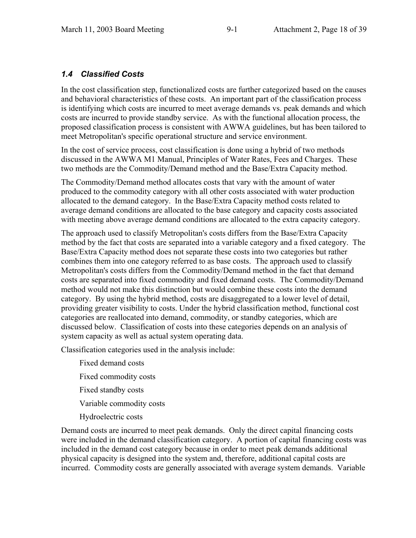#### *1.4 Classified Costs*

In the cost classification step, functionalized costs are further categorized based on the causes and behavioral characteristics of these costs. An important part of the classification process is identifying which costs are incurred to meet average demands vs. peak demands and which costs are incurred to provide standby service. As with the functional allocation process, the proposed classification process is consistent with AWWA guidelines, but has been tailored to meet Metropolitan's specific operational structure and service environment.

In the cost of service process, cost classification is done using a hybrid of two methods discussed in the AWWA M1 Manual, Principles of Water Rates, Fees and Charges. These two methods are the Commodity/Demand method and the Base/Extra Capacity method.

The Commodity/Demand method allocates costs that vary with the amount of water produced to the commodity category with all other costs associated with water production allocated to the demand category. In the Base/Extra Capacity method costs related to average demand conditions are allocated to the base category and capacity costs associated with meeting above average demand conditions are allocated to the extra capacity category.

The approach used to classify Metropolitan's costs differs from the Base/Extra Capacity method by the fact that costs are separated into a variable category and a fixed category. The Base/Extra Capacity method does not separate these costs into two categories but rather combines them into one category referred to as base costs. The approach used to classify Metropolitan's costs differs from the Commodity/Demand method in the fact that demand costs are separated into fixed commodity and fixed demand costs. The Commodity/Demand method would not make this distinction but would combine these costs into the demand category. By using the hybrid method, costs are disaggregated to a lower level of detail, providing greater visibility to costs. Under the hybrid classification method, functional cost categories are reallocated into demand, commodity, or standby categories, which are discussed below. Classification of costs into these categories depends on an analysis of system capacity as well as actual system operating data.

Classification categories used in the analysis include:

 Fixed demand costs Fixed commodity costs Fixed standby costs Variable commodity costs Hydroelectric costs

Demand costs are incurred to meet peak demands. Only the direct capital financing costs were included in the demand classification category. A portion of capital financing costs was included in the demand cost category because in order to meet peak demands additional physical capacity is designed into the system and, therefore, additional capital costs are incurred. Commodity costs are generally associated with average system demands. Variable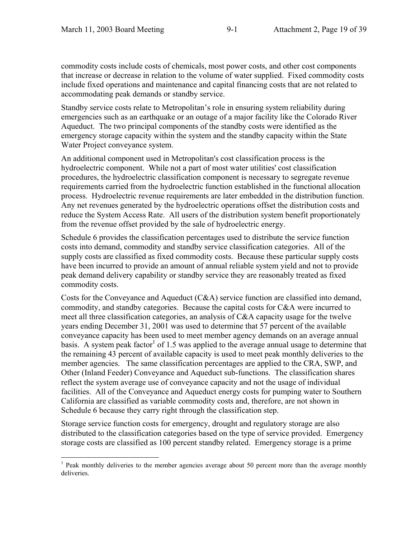commodity costs include costs of chemicals, most power costs, and other cost components that increase or decrease in relation to the volume of water supplied. Fixed commodity costs include fixed operations and maintenance and capital financing costs that are not related to accommodating peak demands or standby service.

Standby service costs relate to Metropolitan's role in ensuring system reliability during emergencies such as an earthquake or an outage of a major facility like the Colorado River Aqueduct. The two principal components of the standby costs were identified as the emergency storage capacity within the system and the standby capacity within the State Water Project conveyance system.

An additional component used in Metropolitan's cost classification process is the hydroelectric component. While not a part of most water utilities' cost classification procedures, the hydroelectric classification component is necessary to segregate revenue requirements carried from the hydroelectric function established in the functional allocation process. Hydroelectric revenue requirements are later embedded in the distribution function. Any net revenues generated by the hydroelectric operations offset the distribution costs and reduce the System Access Rate. All users of the distribution system benefit proportionately from the revenue offset provided by the sale of hydroelectric energy.

Schedule 6 provides the classification percentages used to distribute the service function costs into demand, commodity and standby service classification categories. All of the supply costs are classified as fixed commodity costs. Because these particular supply costs have been incurred to provide an amount of annual reliable system yield and not to provide peak demand delivery capability or standby service they are reasonably treated as fixed commodity costs.

Costs for the Conveyance and Aqueduct (C&A) service function are classified into demand, commodity, and standby categories. Because the capital costs for C&A were incurred to meet all three classification categories, an analysis of C&A capacity usage for the twelve years ending December 31, 2001 was used to determine that 57 percent of the available conveyance capacity has been used to meet member agency demands on an average annual basis. A system peak factor<sup>1</sup> of 1.5 was applied to the average annual usage to determine that the remaining 43 percent of available capacity is used to meet peak monthly deliveries to the member agencies. The same classification percentages are applied to the CRA, SWP, and Other (Inland Feeder) Conveyance and Aqueduct sub-functions. The classification shares reflect the system average use of conveyance capacity and not the usage of individual facilities. All of the Conveyance and Aqueduct energy costs for pumping water to Southern California are classified as variable commodity costs and, therefore, are not shown in Schedule 6 because they carry right through the classification step.

Storage service function costs for emergency, drought and regulatory storage are also distributed to the classification categories based on the type of service provided. Emergency storage costs are classified as 100 percent standby related. Emergency storage is a prime

<sup>&</sup>lt;sup>1</sup> Peak monthly deliveries to the member agencies average about 50 percent more than the average monthly deliveries.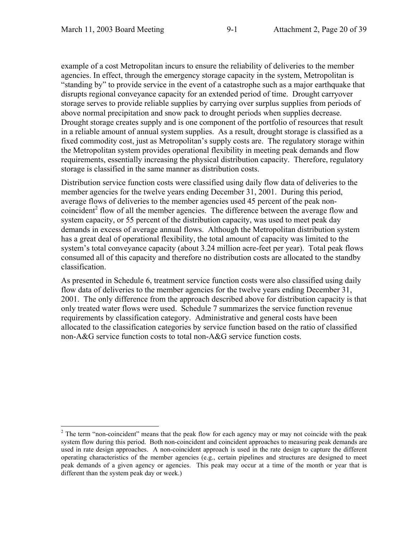example of a cost Metropolitan incurs to ensure the reliability of deliveries to the member agencies. In effect, through the emergency storage capacity in the system, Metropolitan is "standing by" to provide service in the event of a catastrophe such as a major earthquake that disrupts regional conveyance capacity for an extended period of time. Drought carryover storage serves to provide reliable supplies by carrying over surplus supplies from periods of above normal precipitation and snow pack to drought periods when supplies decrease. Drought storage creates supply and is one component of the portfolio of resources that result in a reliable amount of annual system supplies. As a result, drought storage is classified as a fixed commodity cost, just as Metropolitan's supply costs are. The regulatory storage within the Metropolitan system provides operational flexibility in meeting peak demands and flow requirements, essentially increasing the physical distribution capacity. Therefore, regulatory storage is classified in the same manner as distribution costs.

Distribution service function costs were classified using daily flow data of deliveries to the member agencies for the twelve years ending December 31, 2001. During this period, average flows of deliveries to the member agencies used 45 percent of the peak noncoincident<sup>2</sup> flow of all the member agencies. The difference between the average flow and system capacity, or 55 percent of the distribution capacity, was used to meet peak day demands in excess of average annual flows. Although the Metropolitan distribution system has a great deal of operational flexibility, the total amount of capacity was limited to the system's total conveyance capacity (about 3.24 million acre-feet per year). Total peak flows consumed all of this capacity and therefore no distribution costs are allocated to the standby classification.

As presented in Schedule 6, treatment service function costs were also classified using daily flow data of deliveries to the member agencies for the twelve years ending December 31, 2001. The only difference from the approach described above for distribution capacity is that only treated water flows were used. Schedule 7 summarizes the service function revenue requirements by classification category. Administrative and general costs have been allocated to the classification categories by service function based on the ratio of classified non-A&G service function costs to total non-A&G service function costs.

 $2$  The term "non-coincident" means that the peak flow for each agency may or may not coincide with the peak system flow during this period. Both non-coincident and coincident approaches to measuring peak demands are used in rate design approaches. A non-coincident approach is used in the rate design to capture the different operating characteristics of the member agencies (e.g., certain pipelines and structures are designed to meet peak demands of a given agency or agencies. This peak may occur at a time of the month or year that is different than the system peak day or week.)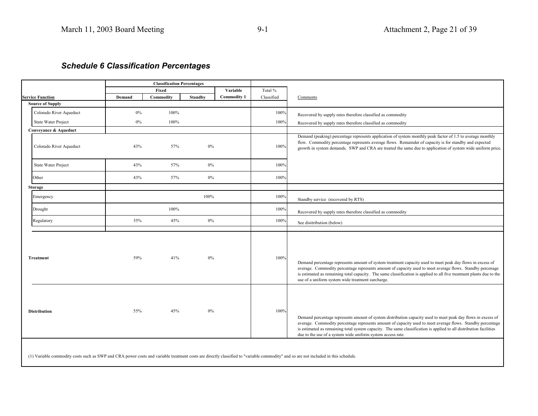### *Schedule 6 Classification Percentages*

|                            |               | <b>Classification Percentages</b> |                |                    |            |                                                                                                                                                                                                                                                                                                                                                                                                                 |
|----------------------------|---------------|-----------------------------------|----------------|--------------------|------------|-----------------------------------------------------------------------------------------------------------------------------------------------------------------------------------------------------------------------------------------------------------------------------------------------------------------------------------------------------------------------------------------------------------------|
|                            |               | Fixed                             |                | Variable           | Total %    |                                                                                                                                                                                                                                                                                                                                                                                                                 |
| <b>Service Function</b>    | <b>Demand</b> | Commodity                         | <b>Standby</b> | <b>Commodity 1</b> | Classified | Comments                                                                                                                                                                                                                                                                                                                                                                                                        |
| <b>Source of Supply</b>    |               |                                   |                |                    |            |                                                                                                                                                                                                                                                                                                                                                                                                                 |
| Colorado River Aqueduct    | $0\%$         | 100%                              |                |                    | 100%       | Recovered by supply rates therefore classified as commodity                                                                                                                                                                                                                                                                                                                                                     |
| <b>State Water Project</b> | $0\%$         | 100%                              |                |                    | 100%       | Recovered by supply rates therefore classified as commodity                                                                                                                                                                                                                                                                                                                                                     |
| Conveyance & Aqueduct      |               |                                   |                |                    |            |                                                                                                                                                                                                                                                                                                                                                                                                                 |
| Colorado River Aqueduct    | 43%           | 57%                               | $0\%$          |                    | 100%       | Demand (peaking) percentage represents application of system monthly peak factor of 1.5 to average monthly<br>flow. Commodity percentage represents average flows. Remainder of capacity is for standby and expected<br>growth in system demands. SWP and CRA are treated the same due to application of system wide uniform price.                                                                             |
| State Water Project        | 43%           | 57%                               | $0\%$          |                    | 100%       |                                                                                                                                                                                                                                                                                                                                                                                                                 |
| Other                      | 43%           | 57%                               | $0\%$          |                    | 100%       |                                                                                                                                                                                                                                                                                                                                                                                                                 |
| Storage                    |               |                                   |                |                    |            |                                                                                                                                                                                                                                                                                                                                                                                                                 |
| Emergency                  |               |                                   | 100%           |                    | 100%       | Standby service (recovered by RTS)                                                                                                                                                                                                                                                                                                                                                                              |
| Drought                    |               | 100%                              |                |                    | 100%       | Recovered by supply rates therefore classified as commodity                                                                                                                                                                                                                                                                                                                                                     |
| Regulatory                 | 55%           | 45%                               | $0\%$          |                    | 100%       | See disitribution (below)                                                                                                                                                                                                                                                                                                                                                                                       |
| <b>Treatment</b>           | 59%           | 41%                               | $0\%$          |                    | 100%       | Demand percentage represents amount of system treatment capacity used to meet peak day flows in excess of<br>average. Commodity percentage represents amount of capacity used to meet average flows. Standby percenage<br>is estimated as remaining total capacity. The same classification is applied to all five treatment plants due to the<br>use of a uniform system wide treatment surcharge.             |
| <b>Distribution</b>        | 55%           | 45%                               | 0%             |                    | 100%       | Demand percentage represents amount of system distribution capacity used to meet peak day flows in excess of<br>average. Commodity percentage represents amount of capacity used to meet average flows. Standby percentage<br>is estimated as remaining total system capacity. The same classification is applied to all distribution facilities<br>due to the use of a system wide uniform system access rate. |

(1) Variable commodity costs such as SWP and CRA power costs and variable treatment costs are directly classified to "variable commodity" and so are not included in this schedule.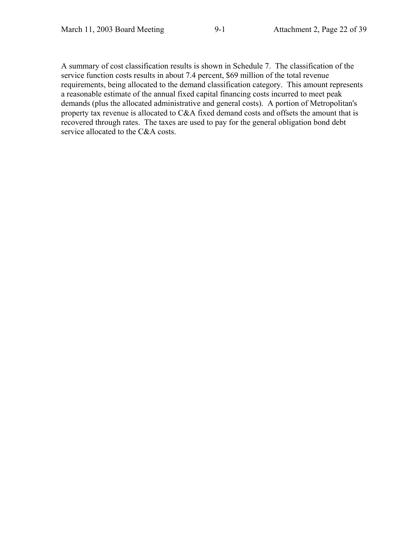A summary of cost classification results is shown in Schedule 7. The classification of the service function costs results in about 7.4 percent, \$69 million of the total revenue requirements, being allocated to the demand classification category. This amount represents a reasonable estimate of the annual fixed capital financing costs incurred to meet peak demands (plus the allocated administrative and general costs). A portion of Metropolitan's property tax revenue is allocated to C&A fixed demand costs and offsets the amount that is recovered through rates. The taxes are used to pay for the general obligation bond debt service allocated to the C&A costs.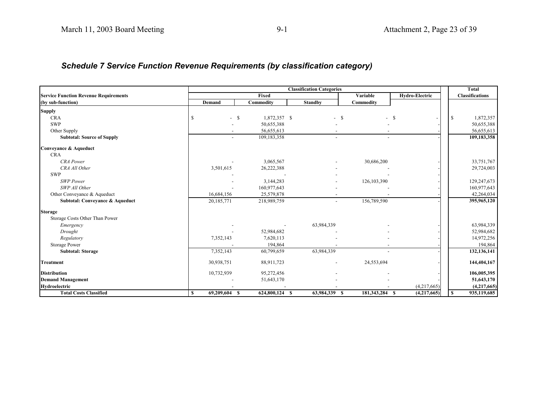### *Schedule 7 Service Function Revenue Requirements (by classification category)*

|                                              |                          | <b>Total</b>         |                          |                          |                |                             |
|----------------------------------------------|--------------------------|----------------------|--------------------------|--------------------------|----------------|-----------------------------|
| <b>Service Function Revenue Requirements</b> |                          | Fixed                |                          | Variable                 | Hydro-Electric | <b>Classifications</b>      |
| (by sub-function)                            | Demand                   | Commodity            | <b>Standby</b>           | Commodity                |                |                             |
| <b>Supply</b>                                |                          |                      |                          |                          |                |                             |
| <b>CRA</b>                                   | $\overline{\phantom{a}}$ | 1,872,357 \$<br>- \$ |                          | <sup>\$</sup>            | $-$ \$         | 1,872,357<br>-S             |
| <b>SWP</b>                                   |                          | 50,655,388           |                          |                          |                | 50,655,388                  |
| Other Supply                                 |                          | 56,655,613           |                          |                          |                | 56,655,613                  |
| <b>Subtotal: Source of Supply</b>            | $\overline{a}$           | 109,183,358          | $\overline{\phantom{a}}$ | $\overline{\phantom{0}}$ |                | 109,183,358                 |
| Conveyance & Aqueduct                        |                          |                      |                          |                          |                |                             |
| <b>CRA</b>                                   |                          |                      |                          |                          |                |                             |
| <b>CRA</b> Power                             |                          | 3,065,567            |                          | 30,686,200               |                | 33,751,767                  |
| CRA All Other                                | 3,501,615                | 26,222,388           |                          |                          |                | 29,724,003                  |
| <b>SWP</b>                                   |                          |                      |                          |                          |                |                             |
| <b>SWP</b> Power                             |                          | 3,144,283            |                          | 126, 103, 390            |                | 129,247,673                 |
| SWP All Other                                |                          | 160,977,643          |                          |                          |                | 160,977,643                 |
| Other Conveyance & Aqueduct                  | 16,684,156               | 25,579,878           |                          |                          |                | 42,264,034                  |
| Subtotal: Conveyance & Aqueduct              | 20,185,771               | 218,989,759          |                          | 156,789,590              |                | 395,965,120                 |
| <b>Storage</b>                               |                          |                      |                          |                          |                |                             |
| Storage Costs Other Than Power               |                          |                      |                          |                          |                |                             |
| Emergency                                    |                          |                      | 63,984,339               |                          |                | 63,984,339                  |
| Drought                                      |                          | 52,984,682           |                          |                          |                | 52,984,682                  |
| Regulatory                                   | 7,352,143                | 7,620,113            |                          |                          |                | 14,972,256                  |
| <b>Storage Power</b>                         |                          | 194.864              |                          |                          |                | 194,864                     |
| <b>Subtotal: Storage</b>                     | 7,352,143                | 60,799,659           | 63,984,339               |                          |                | 132,136,141                 |
| <b>Treatment</b>                             | 30,938,751               | 88,911,723           |                          | 24,553,694               |                | 144,404,167                 |
| <b>Distribution</b>                          | 10,732,939               | 95,272,456           |                          |                          |                | 106,005,395                 |
| <b>Demand Management</b>                     |                          | 51,643,170           |                          |                          |                | 51,643,170                  |
| Hydroelectric                                |                          |                      |                          |                          | (4,217,665)    | (4,217,665)                 |
| <b>Total Costs Classified</b>                | 69,209,604 \$<br>S.      | 624,800,124 \$       | 63,984,339 \$            | 181,343,284 \$           | (4,217,665)    | 935,119,685<br><sup>S</sup> |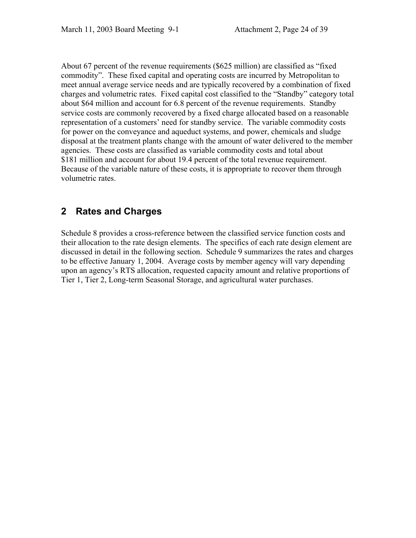About 67 percent of the revenue requirements (\$625 million) are classified as "fixed commodity". These fixed capital and operating costs are incurred by Metropolitan to meet annual average service needs and are typically recovered by a combination of fixed charges and volumetric rates. Fixed capital cost classified to the "Standby" category total about \$64 million and account for 6.8 percent of the revenue requirements. Standby service costs are commonly recovered by a fixed charge allocated based on a reasonable representation of a customers' need for standby service. The variable commodity costs for power on the conveyance and aqueduct systems, and power, chemicals and sludge disposal at the treatment plants change with the amount of water delivered to the member agencies. These costs are classified as variable commodity costs and total about \$181 million and account for about 19.4 percent of the total revenue requirement. Because of the variable nature of these costs, it is appropriate to recover them through volumetric rates.

### **2 Rates and Charges**

Schedule 8 provides a cross-reference between the classified service function costs and their allocation to the rate design elements. The specifics of each rate design element are discussed in detail in the following section. Schedule 9 summarizes the rates and charges to be effective January 1, 2004. Average costs by member agency will vary depending upon an agency's RTS allocation, requested capacity amount and relative proportions of Tier 1, Tier 2, Long-term Seasonal Storage, and agricultural water purchases.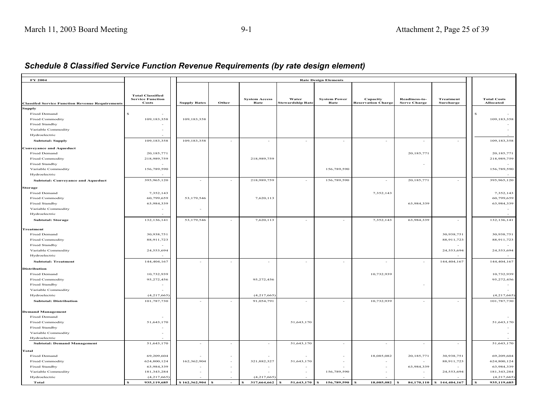| FY 2004                                                |                                  |                     |               |                              |                                  | <b>Rate Design Elements</b> |                                       |                                      |                               |   |                                        |
|--------------------------------------------------------|----------------------------------|---------------------|---------------|------------------------------|----------------------------------|-----------------------------|---------------------------------------|--------------------------------------|-------------------------------|---|----------------------------------------|
|                                                        |                                  |                     |               |                              |                                  |                             |                                       |                                      |                               |   |                                        |
|                                                        |                                  |                     |               |                              |                                  |                             |                                       |                                      |                               |   |                                        |
|                                                        | <b>Total Classified</b>          |                     |               |                              |                                  |                             |                                       |                                      |                               |   |                                        |
| <b>Classifed Service Function Revenue Requirements</b> | <b>Service Function</b><br>Costs | <b>Supply Rates</b> | Other         | <b>System Access</b><br>Rate | Water<br><b>Stewardship Rate</b> | <b>System Power</b><br>Rate | Capacity<br><b>Reservation Charge</b> | Readiness-to-<br><b>Serve Charge</b> | <b>Treatment</b><br>Surcharge |   | <b>Total Costs</b><br><b>Allocated</b> |
| Supply                                                 |                                  |                     |               |                              |                                  |                             |                                       |                                      |                               |   |                                        |
| Fixed Demand                                           |                                  |                     |               |                              |                                  |                             |                                       |                                      |                               | S |                                        |
| <b>Fixed Commodity</b>                                 | 109,183,358                      | 109,183,358         |               |                              |                                  |                             |                                       |                                      |                               |   | 109,183,358                            |
| Fixed Standby                                          |                                  |                     |               |                              |                                  |                             |                                       |                                      |                               |   |                                        |
| Variable Commodity                                     | ÷                                |                     |               |                              |                                  |                             |                                       |                                      |                               |   |                                        |
| Hydroelectric                                          | $\sim$                           |                     |               |                              |                                  |                             |                                       |                                      |                               |   |                                        |
| <b>Subtotal: Supply</b>                                | 109,183,358                      | 109,183,358         |               | $\sim$                       | $\sim$                           |                             |                                       | $\sim$                               |                               |   | 109,183,358                            |
|                                                        |                                  |                     |               |                              |                                  |                             |                                       |                                      |                               |   |                                        |
| <b>Conveyance and Aqueduct</b>                         |                                  |                     |               |                              |                                  |                             |                                       |                                      |                               |   |                                        |
| Fixed Demand                                           | 20,185,771                       |                     |               |                              |                                  |                             |                                       | 20,185,771                           |                               |   | 20,185,771                             |
| <b>Fixed Commodity</b>                                 | 218,989,759                      |                     |               | 218,989,759                  |                                  |                             |                                       |                                      |                               |   | 218,989,759                            |
| Fixed Standby                                          |                                  |                     |               |                              |                                  |                             |                                       |                                      |                               |   |                                        |
| Variable Commodity                                     | 156,789,590                      |                     |               |                              |                                  | 156,789,590                 |                                       |                                      |                               |   | 156,789,590                            |
| Hydroelectric                                          |                                  |                     |               |                              |                                  |                             |                                       |                                      |                               |   |                                        |
| <b>Subtotal: Conveyance and Aqueduct</b>               | 395,965,120                      | $\sim$              | $\sim$        | 218,989,759                  | $\sim$                           | 156,789,590                 | $\sim$                                | 20, 185, 771                         | $\sim$                        |   | 395,965,120                            |
| Storage                                                |                                  |                     |               |                              |                                  |                             |                                       |                                      |                               |   |                                        |
| Fixed Demand                                           | 7,352,143                        |                     |               |                              |                                  |                             | 7,352,143                             |                                      |                               |   | 7,352,143                              |
| <b>Fixed Commodity</b>                                 | 60,799,659                       | 53,179,546          |               | 7,620,113                    |                                  |                             |                                       |                                      |                               |   | 60,799,659                             |
| Fixed Standby                                          | 63,984,339                       |                     |               |                              |                                  |                             |                                       | 63,984,339                           |                               |   | 63,984,339                             |
| Variable Commodity                                     |                                  |                     |               |                              |                                  |                             |                                       |                                      |                               |   |                                        |
| Hydroelectric                                          |                                  |                     |               |                              |                                  |                             |                                       |                                      |                               |   |                                        |
|                                                        |                                  |                     |               |                              |                                  |                             |                                       |                                      |                               |   |                                        |
| <b>Subtotal: Storage</b>                               | 132,136,141                      | 53,179,546          |               | 7,620,113                    |                                  | $\sim$                      | 7,352,143                             | 63,984,339                           | $\sim$                        |   | 132,136,141                            |
| <b>Freatment</b>                                       |                                  |                     |               |                              |                                  |                             |                                       |                                      |                               |   |                                        |
| Fixed Demand                                           | 30,938,751                       |                     |               |                              |                                  |                             |                                       |                                      | 30,938,751                    |   | 30,938,751                             |
| <b>Fixed Commodity</b>                                 | 88,911,723                       |                     |               |                              |                                  |                             |                                       |                                      | 88,911,723                    |   | 88,911,723                             |
| Fixed Standby                                          |                                  |                     |               |                              |                                  |                             |                                       |                                      |                               |   |                                        |
| Variable Commodity                                     | 24,553,694                       |                     |               |                              |                                  |                             |                                       |                                      | 24,553,694                    |   | 24,553,694                             |
| Hydroelectric                                          |                                  |                     |               |                              |                                  |                             |                                       |                                      |                               |   |                                        |
| <b>Subtotal: Treatment</b>                             | 144,404,167                      | $\sim$              | $\sim$        | $\sim$                       | $\sim$                           | $\sim$                      | $\overline{a}$                        | $\sim$                               | 144,404,167                   |   | 144,404,167                            |
|                                                        |                                  |                     |               |                              |                                  |                             |                                       |                                      |                               |   |                                        |
| Distribution                                           |                                  |                     |               |                              |                                  |                             |                                       |                                      |                               |   |                                        |
| <b>Fixed Demand</b>                                    | 10,732,939                       |                     |               |                              |                                  |                             | 10,732,939                            |                                      |                               |   | 10,732,939                             |
| <b>Fixed Commodity</b>                                 | 95,272,456                       |                     |               | 95,272,456                   |                                  |                             |                                       |                                      |                               |   | 95,272,456                             |
| Fixed Standby                                          |                                  |                     |               |                              |                                  |                             |                                       |                                      |                               |   |                                        |
| Variable Commodity                                     |                                  |                     |               |                              |                                  |                             |                                       |                                      |                               |   |                                        |
| Hydroelectric                                          | (4,217,665)                      |                     |               | (4,217,665)                  |                                  |                             |                                       |                                      |                               |   | (4, 217, 665)                          |
| <b>Subtotal: Distribution</b>                          | 101,787,730                      | ÷.                  | $\sim$        | 91,054,791                   | $\sim$                           | $\sim$                      | 10,732,939                            | $\sim$                               | $\sim$                        |   | 101,787,730                            |
|                                                        |                                  |                     |               |                              |                                  |                             |                                       |                                      |                               |   |                                        |
| <b>Demand Management</b>                               |                                  |                     |               |                              |                                  |                             |                                       |                                      |                               |   |                                        |
| <b>Fixed Demand</b>                                    |                                  |                     |               |                              |                                  |                             |                                       |                                      |                               |   |                                        |
| <b>Fixed Commodity</b>                                 | 51,643,170                       |                     |               |                              | 51,643,170                       |                             |                                       |                                      |                               |   | 51,643,170                             |
| Fixed Standby                                          |                                  |                     |               |                              |                                  |                             |                                       |                                      |                               |   |                                        |
| Variable Commodity                                     |                                  |                     |               |                              |                                  |                             |                                       |                                      |                               |   |                                        |
| Hydroelectric                                          |                                  |                     |               |                              |                                  |                             |                                       |                                      |                               |   |                                        |
| <b>Subtotal: Demand Management</b>                     | 51,643,170                       |                     |               | $\sim$                       | 51,643,170                       | $\sim$                      | $\sim$                                | $\overline{\phantom{a}}$             | $\sim$                        |   | 51,643,170                             |
| <b>Fotal</b>                                           |                                  |                     |               |                              |                                  |                             |                                       |                                      |                               |   |                                        |
| <b>Fixed Demand</b>                                    | 69,209,604                       |                     |               |                              |                                  |                             | 18,085,082                            | 20, 185, 771                         | 30,938,751                    |   | 69,209,604                             |
| <b>Fixed Commodity</b>                                 | 624,800,124                      | 162,362,904         |               | 321,882,327                  | 51,643,170                       |                             |                                       |                                      | 88,911,723                    |   | 624,800,124                            |
| Fixed Standby                                          | 63,984,339                       |                     |               | $\sim$                       |                                  |                             |                                       | 63,984,339                           |                               |   | 63,984,339                             |
| Variable Commodity                                     | 181,343,284                      |                     |               |                              |                                  | 156,789,590                 |                                       |                                      | 24,553,694                    |   | 181,343,284                            |
| Hydroelectric                                          | (4,217,665)                      |                     |               | (4,217,665)                  |                                  |                             |                                       |                                      |                               |   | (4,217,665)                            |
| Total                                                  | 935,119,685                      | \$162,362,904       | -53<br>$\sim$ | 317,664,662<br>s             | 51,643,170                       | 156,789,590<br>S            | 18,085,082                            | 84,170,110                           | \$144,404,167                 |   | 935,119,685                            |
|                                                        |                                  |                     |               |                              |                                  |                             |                                       |                                      |                               |   |                                        |

### *Schedule 8 Classified Service Function Revenue Requirements (by rate design element)*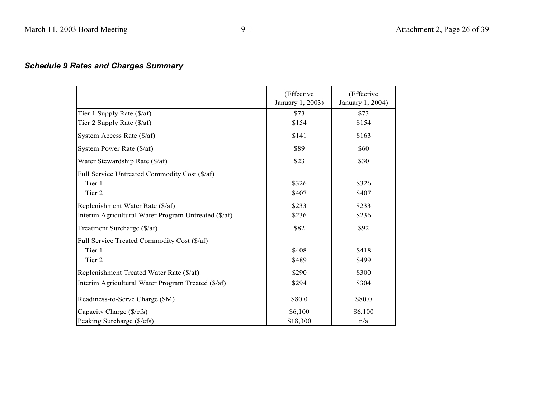## *Schedule 9 Rates and Charges Summary*

|                                                      | (Effective<br>January 1, 2003) | (Effective<br>January 1, 2004) |
|------------------------------------------------------|--------------------------------|--------------------------------|
| Tier 1 Supply Rate (\$/af)                           | \$73                           | \$73                           |
| Tier 2 Supply Rate (\$/af)                           | \$154                          | \$154                          |
| System Access Rate (\$/af)                           | \$141                          | \$163                          |
| System Power Rate (\$/af)                            | \$89                           | \$60                           |
| Water Stewardship Rate (\$/af)                       | \$23                           | \$30                           |
| Full Service Untreated Commodity Cost (\$/af)        |                                |                                |
| Tier 1                                               | \$326                          | \$326                          |
| Tier 2                                               | \$407                          | \$407                          |
| Replenishment Water Rate (\$/af)                     | \$233                          | \$233                          |
| Interim Agricultural Water Program Untreated (\$/af) | \$236                          | \$236                          |
| Treatment Surcharge (\$/af)                          | \$82                           | \$92                           |
| Full Service Treated Commodity Cost (\$/af)          |                                |                                |
| Tier 1                                               | \$408                          | \$418                          |
| Tier 2                                               | \$489                          | \$499                          |
| Replenishment Treated Water Rate (\$/af)             | \$290                          | \$300                          |
| Interim Agricultural Water Program Treated (\$/af)   | \$294                          | \$304                          |
| Readiness-to-Serve Charge (\$M)                      | \$80.0                         | \$80.0                         |
| Capacity Charge (\$/cfs)                             | \$6,100                        | \$6,100                        |
| Peaking Surcharge (\$/cfs)                           | \$18,300                       | n/a                            |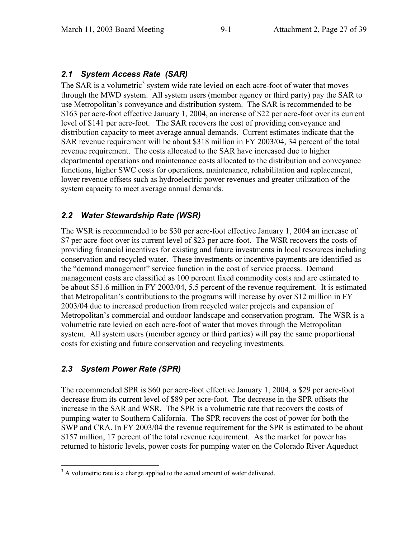#### *2.1 System Access Rate (SAR)*

The SAR is a volumetric<sup>3</sup> system wide rate levied on each acre-foot of water that moves through the MWD system. All system users (member agency or third party) pay the SAR to use Metropolitan's conveyance and distribution system. The SAR is recommended to be \$163 per acre-foot effective January 1, 2004, an increase of \$22 per acre-foot over its current level of \$141 per acre-foot. The SAR recovers the cost of providing conveyance and distribution capacity to meet average annual demands. Current estimates indicate that the SAR revenue requirement will be about \$318 million in FY 2003/04, 34 percent of the total revenue requirement. The costs allocated to the SAR have increased due to higher departmental operations and maintenance costs allocated to the distribution and conveyance functions, higher SWC costs for operations, maintenance, rehabilitation and replacement, lower revenue offsets such as hydroelectric power revenues and greater utilization of the system capacity to meet average annual demands.

#### *2.2 Water Stewardship Rate (WSR)*

The WSR is recommended to be \$30 per acre-foot effective January 1, 2004 an increase of \$7 per acre-foot over its current level of \$23 per acre-foot. The WSR recovers the costs of providing financial incentives for existing and future investments in local resources including conservation and recycled water. These investments or incentive payments are identified as the "demand management" service function in the cost of service process. Demand management costs are classified as 100 percent fixed commodity costs and are estimated to be about \$51.6 million in FY 2003/04, 5.5 percent of the revenue requirement. It is estimated that Metropolitan's contributions to the programs will increase by over \$12 million in FY 2003/04 due to increased production from recycled water projects and expansion of Metropolitan's commercial and outdoor landscape and conservation program. The WSR is a volumetric rate levied on each acre-foot of water that moves through the Metropolitan system. All system users (member agency or third parties) will pay the same proportional costs for existing and future conservation and recycling investments.

#### *2.3 System Power Rate (SPR)*

The recommended SPR is \$60 per acre-foot effective January 1, 2004, a \$29 per acre-foot decrease from its current level of \$89 per acre-foot. The decrease in the SPR offsets the increase in the SAR and WSR. The SPR is a volumetric rate that recovers the costs of pumping water to Southern California. The SPR recovers the cost of power for both the SWP and CRA. In FY 2003/04 the revenue requirement for the SPR is estimated to be about \$157 million, 17 percent of the total revenue requirement. As the market for power has returned to historic levels, power costs for pumping water on the Colorado River Aqueduct

 $3$  A volumetric rate is a charge applied to the actual amount of water delivered.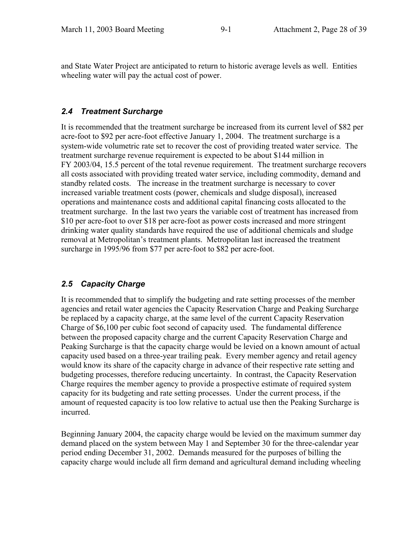and State Water Project are anticipated to return to historic average levels as well. Entities wheeling water will pay the actual cost of power.

### *2.4 Treatment Surcharge*

It is recommended that the treatment surcharge be increased from its current level of \$82 per acre-foot to \$92 per acre-foot effective January 1, 2004. The treatment surcharge is a system-wide volumetric rate set to recover the cost of providing treated water service. The treatment surcharge revenue requirement is expected to be about \$144 million in FY 2003/04, 15.5 percent of the total revenue requirement. The treatment surcharge recovers all costs associated with providing treated water service, including commodity, demand and standby related costs. The increase in the treatment surcharge is necessary to cover increased variable treatment costs (power, chemicals and sludge disposal), increased operations and maintenance costs and additional capital financing costs allocated to the treatment surcharge. In the last two years the variable cost of treatment has increased from \$10 per acre-foot to over \$18 per acre-foot as power costs increased and more stringent drinking water quality standards have required the use of additional chemicals and sludge removal at Metropolitan's treatment plants. Metropolitan last increased the treatment surcharge in 1995/96 from \$77 per acre-foot to \$82 per acre-foot.

## *2.5 Capacity Charge*

It is recommended that to simplify the budgeting and rate setting processes of the member agencies and retail water agencies the Capacity Reservation Charge and Peaking Surcharge be replaced by a capacity charge, at the same level of the current Capacity Reservation Charge of \$6,100 per cubic foot second of capacity used. The fundamental difference between the proposed capacity charge and the current Capacity Reservation Charge and Peaking Surcharge is that the capacity charge would be levied on a known amount of actual capacity used based on a three-year trailing peak. Every member agency and retail agency would know its share of the capacity charge in advance of their respective rate setting and budgeting processes, therefore reducing uncertainty. In contrast, the Capacity Reservation Charge requires the member agency to provide a prospective estimate of required system capacity for its budgeting and rate setting processes. Under the current process, if the amount of requested capacity is too low relative to actual use then the Peaking Surcharge is incurred.

Beginning January 2004, the capacity charge would be levied on the maximum summer day demand placed on the system between May 1 and September 30 for the three-calendar year period ending December 31, 2002. Demands measured for the purposes of billing the capacity charge would include all firm demand and agricultural demand including wheeling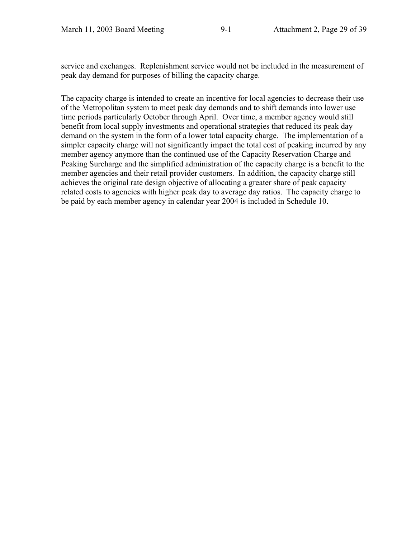service and exchanges. Replenishment service would not be included in the measurement of peak day demand for purposes of billing the capacity charge.

The capacity charge is intended to create an incentive for local agencies to decrease their use of the Metropolitan system to meet peak day demands and to shift demands into lower use time periods particularly October through April. Over time, a member agency would still benefit from local supply investments and operational strategies that reduced its peak day demand on the system in the form of a lower total capacity charge. The implementation of a simpler capacity charge will not significantly impact the total cost of peaking incurred by any member agency anymore than the continued use of the Capacity Reservation Charge and Peaking Surcharge and the simplified administration of the capacity charge is a benefit to the member agencies and their retail provider customers. In addition, the capacity charge still achieves the original rate design objective of allocating a greater share of peak capacity related costs to agencies with higher peak day to average day ratios. The capacity charge to be paid by each member agency in calendar year 2004 is included in Schedule 10.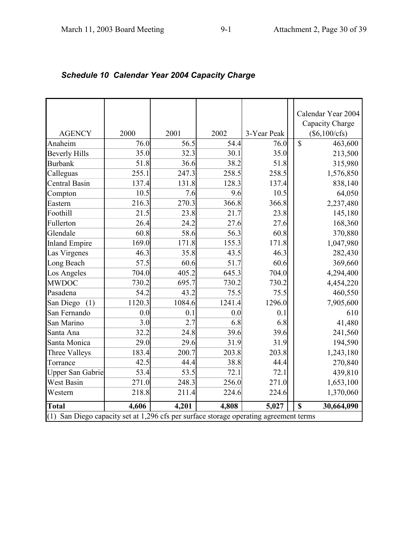|                                                                                          |        |        |        |             |                         | Calendar Year 2004<br>Capacity Charge |
|------------------------------------------------------------------------------------------|--------|--------|--------|-------------|-------------------------|---------------------------------------|
| <b>AGENCY</b>                                                                            | 2000   | 2001   | 2002   | 3-Year Peak |                         | $(\$6,100/cfs)$                       |
| Anaheim                                                                                  | 76.0   | 56.5   | 54.4   | 76.0        | $\overline{\mathbb{S}}$ | 463,600                               |
| <b>Beverly Hills</b>                                                                     | 35.0   | 32.3   | 30.1   | 35.0        |                         | 213,500                               |
| <b>Burbank</b>                                                                           | 51.8   | 36.6   | 38.2   | 51.8        |                         | 315,980                               |
| Calleguas                                                                                | 255.1  | 247.3  | 258.5  | 258.5       |                         | 1,576,850                             |
| Central Basin                                                                            | 137.4  | 131.8  | 128.3  | 137.4       |                         | 838,140                               |
| Compton                                                                                  | 10.5   | 7.6    | 9.6    | 10.5        |                         | 64,050                                |
| Eastern                                                                                  | 216.3  | 270.3  | 366.8  | 366.8       |                         | 2,237,480                             |
| Foothill                                                                                 | 21.5   | 23.8   | 21.7   | 23.8        |                         | 145,180                               |
| Fullerton                                                                                | 26.4   | 24.2   | 27.6   | 27.6        |                         | 168,360                               |
| Glendale                                                                                 | 60.8   | 58.6   | 56.3   | 60.8        |                         | 370,880                               |
| <b>Inland Empire</b>                                                                     | 169.0  | 171.8  | 155.3  | 171.8       |                         | 1,047,980                             |
| Las Virgenes                                                                             | 46.3   | 35.8   | 43.5   | 46.3        |                         | 282,430                               |
| Long Beach                                                                               | 57.5   | 60.6   | 51.7   | 60.6        |                         | 369,660                               |
| Los Angeles                                                                              | 704.0  | 405.2  | 645.3  | 704.0       |                         | 4,294,400                             |
| <b>MWDOC</b>                                                                             | 730.2  | 695.7  | 730.2  | 730.2       |                         | 4,454,220                             |
| Pasadena                                                                                 | 54.2   | 43.2   | 75.5   | 75.5        |                         | 460,550                               |
| San Diego (1)                                                                            | 1120.3 | 1084.6 | 1241.4 | 1296.0      |                         | 7,905,600                             |
| San Fernando                                                                             | 0.0    | 0.1    | 0.0    | 0.1         |                         | 610                                   |
| San Marino                                                                               | 3.0    | 2.7    | 6.8    | 6.8         |                         | 41,480                                |
| Santa Ana                                                                                | 32.2   | 24.8   | 39.6   | 39.6        |                         | 241,560                               |
| Santa Monica                                                                             | 29.0   | 29.6   | 31.9   | 31.9        |                         | 194,590                               |
| Three Valleys                                                                            | 183.4  | 200.7  | 203.8  | 203.8       |                         | 1,243,180                             |
| Torrance                                                                                 | 42.5   | 44.4   | 38.8   | 44.4        |                         | 270,840                               |
| <b>Upper San Gabrie</b>                                                                  | 53.4   | 53.5   | 72.1   | 72.1        |                         | 439,810                               |
| West Basin                                                                               | 271.0  | 248.3  | 256.0  | 271.0       |                         | 1,653,100                             |
| Western                                                                                  | 218.8  | 211.4  | 224.6  | 224.6       |                         | 1,370,060                             |
| <b>Total</b>                                                                             | 4,606  | 4,201  | 4,808  | 5,027       | $\mathbf S$             | 30,664,090                            |
| San Diego capacity set at 1,296 cfs per surface storage operating agreement terms<br>(1) |        |        |        |             |                         |                                       |

# *Schedule 10 Calendar Year 2004 Capacity Charge*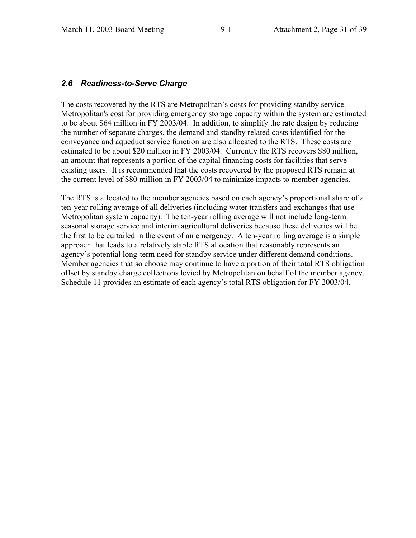### *2.6 Readiness-to-Serve Charge*

The costs recovered by the RTS are Metropolitan's costs for providing standby service. Metropolitan's cost for providing emergency storage capacity within the system are estimated to be about \$64 million in FY 2003/04. In addition, to simplify the rate design by reducing the number of separate charges, the demand and standby related costs identified for the conveyance and aqueduct service function are also allocated to the RTS. These costs are estimated to be about \$20 million in FY 2003/04. Currently the RTS recovers \$80 million, an amount that represents a portion of the capital financing costs for facilities that serve existing users. It is recommended that the costs recovered by the proposed RTS remain at the current level of \$80 million in FY 2003/04 to minimize impacts to member agencies.

The RTS is allocated to the member agencies based on each agency's proportional share of a ten-year rolling average of all deliveries (including water transfers and exchanges that use Metropolitan system capacity). The ten-year rolling average will not include long-term seasonal storage service and interim agricultural deliveries because these deliveries will be the first to be curtailed in the event of an emergency. A ten-year rolling average is a simple approach that leads to a relatively stable RTS allocation that reasonably represents an agency's potential long-term need for standby service under different demand conditions. Member agencies that so choose may continue to have a portion of their total RTS obligation offset by standby charge collections levied by Metropolitan on behalf of the member agency. Schedule 11 provides an estimate of each agency's total RTS obligation for FY 2003/04.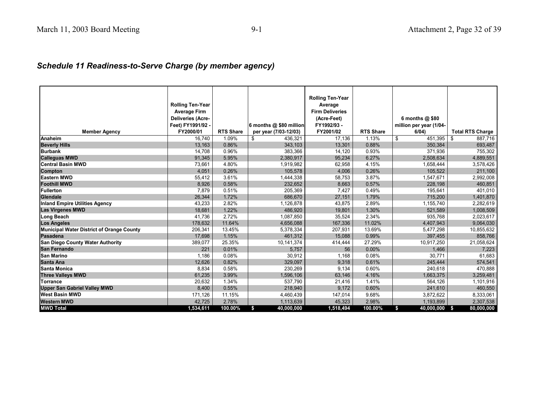# *Schedule 11 Readiness-to-Serve Charge (by member agency)*

|                                                  | <b>Rolling Ten-Year</b><br><b>Average Firm</b><br><b>Deliveries (Acre-</b><br>Feet) FY1991/92 - |                  | 6 months @ \$80 million | <b>Rolling Ten-Year</b><br>Average<br><b>Firm Deliveries</b><br>(Acre-Feet)<br>FY1992/93 - |                  | 6 months $@$ \$80<br>million per year (1/04- |                         |
|--------------------------------------------------|-------------------------------------------------------------------------------------------------|------------------|-------------------------|--------------------------------------------------------------------------------------------|------------------|----------------------------------------------|-------------------------|
| <b>Member Agency</b>                             | FY2000/01                                                                                       | <b>RTS Share</b> | per year (7/03-12/03)   | FY2001/02                                                                                  | <b>RTS Share</b> | 6/04)                                        | <b>Total RTS Charge</b> |
| Anaheim                                          | 16,740                                                                                          | 1.09%            | \$<br>436,321           | 17,136                                                                                     | 1.13%            | \$<br>451,395                                | \$<br>887,716           |
| <b>Beverly Hills</b>                             | 13,163                                                                                          | 0.86%            | 343,103                 | 13,301                                                                                     | 0.88%            | 350,384                                      | 693,487                 |
| <b>Burbank</b>                                   | 14,708                                                                                          | 0.96%            | 383,366                 | 14,120                                                                                     | 0.93%            | 371,936                                      | 755,302                 |
| <b>Calleguas MWD</b>                             | 91,345                                                                                          | 5.95%            | 2,380,917               | 95,234                                                                                     | 6.27%            | 2,508,634                                    | 4,889,551               |
| <b>Central Basin MWD</b>                         | 73,661                                                                                          | 4.80%            | 1,919,982               | 62,958                                                                                     | 4.15%            | 1,658,444                                    | 3,578,426               |
| <b>Compton</b>                                   | 4,051                                                                                           | 0.26%            | 105,578                 | 4,006                                                                                      | 0.26%            | 105,522                                      | 211,100                 |
| <b>Eastern MWD</b>                               | 55,412                                                                                          | 3.61%            | 1,444,338               | 58,753                                                                                     | 3.87%            | 1,547,671                                    | 2,992,008               |
| <b>Foothill MWD</b>                              | 8,926                                                                                           | 0.58%            | 232,652                 | 8.663                                                                                      | 0.57%            | 228,198                                      | 460,851                 |
| <b>Fullerton</b>                                 | 7,879                                                                                           | 0.51%            | 205,369                 | 7,427                                                                                      | 0.49%            | 195,641                                      | 401,010                 |
| Glendale                                         | 26,344                                                                                          | 1.72%            | 686,670                 | 27,151                                                                                     | 1.79%            | 715,200                                      | 1,401,870               |
| <b>Inland Empire Utilities Agency</b>            | 43,233                                                                                          | 2.82%            | 1,126,878               | 43,875                                                                                     | 2.89%            | 1,155,740                                    | 2,282,619               |
| <b>Las Virgenes MWD</b>                          | 18,681                                                                                          | 1.22%            | 486,920                 | 19,801                                                                                     | 1.30%            | 521,589                                      | 1,008,509               |
| <b>Long Beach</b>                                | 41,736                                                                                          | 2.72%            | 1,087,850               | 35,524                                                                                     | 2.34%            | 935,768                                      | 2,023,617               |
| <b>Los Angeles</b>                               | 178,632                                                                                         | 11.64%           | 4,656,088               | 167,336                                                                                    | 11.02%           | 4,407,943                                    | 9,064,030               |
| <b>Municipal Water District of Orange County</b> | 206,341                                                                                         | 13.45%           | 5,378,334               | 207,931                                                                                    | 13.69%           | 5,477,298                                    | 10,855,632              |
| Pasadena                                         | 17,698                                                                                          | 1.15%            | 461,312                 | 15,088                                                                                     | 0.99%            | 397,455                                      | 858,766                 |
| <b>San Diego County Water Authority</b>          | 389,077                                                                                         | 25.35%           | 10,141,374              | 414,444                                                                                    | 27.29%           | 10,917,250                                   | 21,058,624              |
| <b>San Fernando</b>                              | 221                                                                                             | 0.01%            | 5,757                   | 56                                                                                         | 0.00%            | 1,466                                        | 7,223                   |
| <b>San Marino</b>                                | 1,186                                                                                           | 0.08%            | 30,912                  | 1,168                                                                                      | 0.08%            | 30,771                                       | 61,683                  |
| Santa Ana                                        | 12,626                                                                                          | 0.82%            | 329,097                 | 9,318                                                                                      | 0.61%            | 245,444                                      | 574,541                 |
| Santa Monica                                     | 8,834                                                                                           | 0.58%            | 230,269                 | 9,134                                                                                      | 0.60%            | 240,618                                      | 470,888                 |
| <b>Three Valleys MWD</b>                         | 61,235                                                                                          | 3.99%            | 1,596,106               | 63,146                                                                                     | 4.16%            | 1,663,375                                    | 3,259,481               |
| Torrance                                         | 20,632                                                                                          | 1.34%            | 537,790                 | 21,416                                                                                     | 1.41%            | 564,126                                      | 1,101,916               |
| <b>Upper San Gabriel Valley MWD</b>              | 8,400                                                                                           | 0.55%            | 218,940                 | 9.172                                                                                      | 0.60%            | 241,610                                      | 460,550                 |
| <b>West Basin MWD</b>                            | 171,126                                                                                         | 11.15%           | 4,460,439               | 147,014                                                                                    | 9.68%            | 3,872,622                                    | 8,333,061               |
| <b>Western MWD</b>                               | 42,725                                                                                          | 2.78%            | 1,113,639               | 45,323                                                                                     | 2.98%            | 1,193,899                                    | 2,307,538               |
| <b>MWD Total</b>                                 | 1,534,611                                                                                       | 100.00%          | \$<br>40,000,000        | 1,518,494                                                                                  | 100.00%          | \$<br>40,000,000                             | 80,000,000<br>- \$      |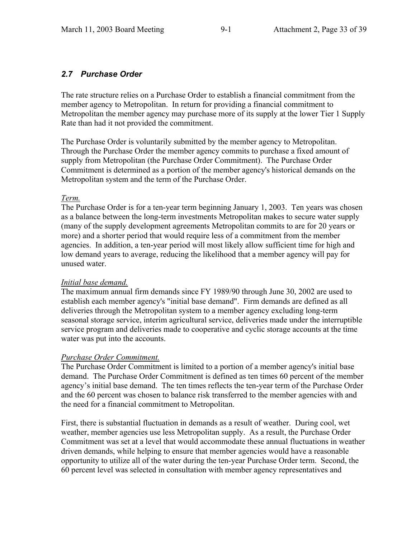## *2.7 Purchase Order*

The rate structure relies on a Purchase Order to establish a financial commitment from the member agency to Metropolitan. In return for providing a financial commitment to Metropolitan the member agency may purchase more of its supply at the lower Tier 1 Supply Rate than had it not provided the commitment.

The Purchase Order is voluntarily submitted by the member agency to Metropolitan. Through the Purchase Order the member agency commits to purchase a fixed amount of supply from Metropolitan (the Purchase Order Commitment). The Purchase Order Commitment is determined as a portion of the member agency's historical demands on the Metropolitan system and the term of the Purchase Order.

#### *Term.*

The Purchase Order is for a ten-year term beginning January 1, 2003. Ten years was chosen as a balance between the long-term investments Metropolitan makes to secure water supply (many of the supply development agreements Metropolitan commits to are for 20 years or more) and a shorter period that would require less of a commitment from the member agencies. In addition, a ten-year period will most likely allow sufficient time for high and low demand years to average, reducing the likelihood that a member agency will pay for unused water.

#### *Initial base demand.*

The maximum annual firm demands since FY 1989/90 through June 30, 2002 are used to establish each member agency's "initial base demand". Firm demands are defined as all deliveries through the Metropolitan system to a member agency excluding long-term seasonal storage service, interim agricultural service, deliveries made under the interruptible service program and deliveries made to cooperative and cyclic storage accounts at the time water was put into the accounts.

#### *Purchase Order Commitment.*

The Purchase Order Commitment is limited to a portion of a member agency's initial base demand. The Purchase Order Commitment is defined as ten times 60 percent of the member agency's initial base demand. The ten times reflects the ten-year term of the Purchase Order and the 60 percent was chosen to balance risk transferred to the member agencies with and the need for a financial commitment to Metropolitan.

First, there is substantial fluctuation in demands as a result of weather. During cool, wet weather, member agencies use less Metropolitan supply. As a result, the Purchase Order Commitment was set at a level that would accommodate these annual fluctuations in weather driven demands, while helping to ensure that member agencies would have a reasonable opportunity to utilize all of the water during the ten-year Purchase Order term. Second, the 60 percent level was selected in consultation with member agency representatives and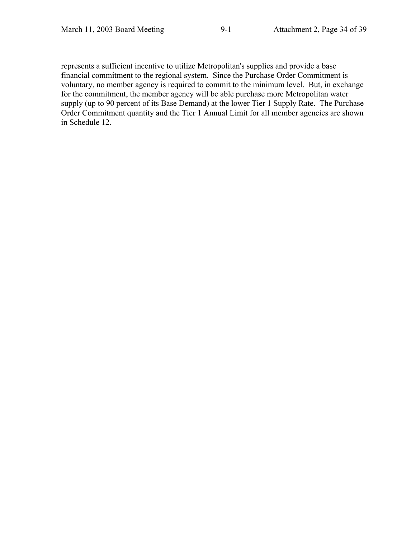represents a sufficient incentive to utilize Metropolitan's supplies and provide a base financial commitment to the regional system. Since the Purchase Order Commitment is voluntary, no member agency is required to commit to the minimum level. But, in exchange for the commitment, the member agency will be able purchase more Metropolitan water supply (up to 90 percent of its Base Demand) at the lower Tier 1 Supply Rate. The Purchase Order Commitment quantity and the Tier 1 Annual Limit for all member agencies are shown in Schedule 12.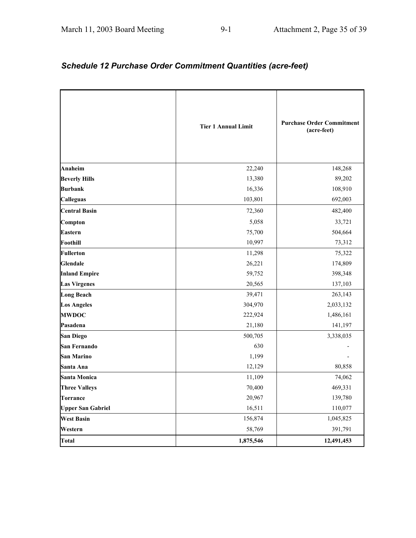# *Schedule 12 Purchase Order Commitment Quantities (acre-feet)*

|                          | <b>Tier 1 Annual Limit</b> | <b>Purchase Order Commitment</b><br>(acre-feet) |
|--------------------------|----------------------------|-------------------------------------------------|
| <b>Anaheim</b>           | 22,240                     | 148,268                                         |
| <b>Beverly Hills</b>     | 13,380                     | 89,202                                          |
| <b>Burbank</b>           | 16,336                     | 108,910                                         |
| <b>Calleguas</b>         | 103,801                    | 692,003                                         |
| <b>Central Basin</b>     | 72,360                     | 482,400                                         |
| Compton                  | 5,058                      | 33,721                                          |
| <b>Eastern</b>           | 75,700                     | 504,664                                         |
| <b>Foothill</b>          | 10,997                     | 73,312                                          |
| <b>Fullerton</b>         | 11,298                     | 75,322                                          |
| <b>Glendale</b>          | 26,221                     | 174,809                                         |
| <b>Inland Empire</b>     | 59,752                     | 398,348                                         |
| <b>Las Virgenes</b>      | 20,565                     | 137,103                                         |
| <b>Long Beach</b>        | 39,471                     | 263,143                                         |
| <b>Los Angeles</b>       | 304,970                    | 2,033,132                                       |
| <b>MWDOC</b>             | 222,924                    | 1,486,161                                       |
| Pasadena                 | 21,180                     | 141,197                                         |
| <b>San Diego</b>         | 500,705                    | 3,338,035                                       |
| San Fernando             | 630                        |                                                 |
| <b>San Marino</b>        | 1,199                      |                                                 |
| Santa Ana                | 12,129                     | 80,858                                          |
| <b>Santa Monica</b>      | 11,109                     | 74,062                                          |
| <b>Three Valleys</b>     | 70,400                     | 469,331                                         |
| <b>Torrance</b>          | 20,967                     | 139,780                                         |
| <b>Upper San Gabriel</b> | 16,511                     | 110,077                                         |
| <b>West Basin</b>        | 156,874                    | 1,045,825                                       |
| Western                  | 58,769                     | 391,791                                         |
| <b>Total</b>             | 1,875,546                  | 12,491,453                                      |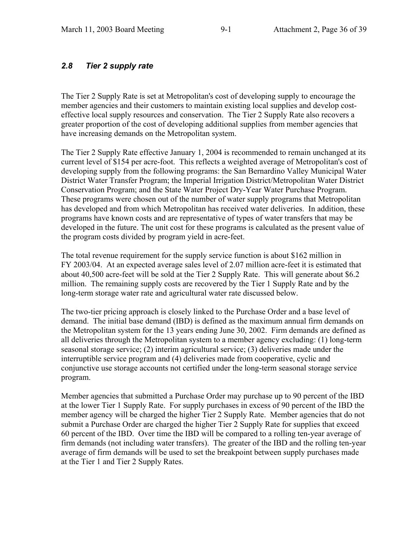### *2.8 Tier 2 supply rate*

The Tier 2 Supply Rate is set at Metropolitan's cost of developing supply to encourage the member agencies and their customers to maintain existing local supplies and develop costeffective local supply resources and conservation. The Tier 2 Supply Rate also recovers a greater proportion of the cost of developing additional supplies from member agencies that have increasing demands on the Metropolitan system.

The Tier 2 Supply Rate effective January 1, 2004 is recommended to remain unchanged at its current level of \$154 per acre-foot. This reflects a weighted average of Metropolitan's cost of developing supply from the following programs: the San Bernardino Valley Municipal Water District Water Transfer Program; the Imperial Irrigation District/Metropolitan Water District Conservation Program; and the State Water Project Dry-Year Water Purchase Program. These programs were chosen out of the number of water supply programs that Metropolitan has developed and from which Metropolitan has received water deliveries. In addition, these programs have known costs and are representative of types of water transfers that may be developed in the future. The unit cost for these programs is calculated as the present value of the program costs divided by program yield in acre-feet.

The total revenue requirement for the supply service function is about \$162 million in FY 2003/04. At an expected average sales level of 2.07 million acre-feet it is estimated that about 40,500 acre-feet will be sold at the Tier 2 Supply Rate. This will generate about \$6.2 million. The remaining supply costs are recovered by the Tier 1 Supply Rate and by the long-term storage water rate and agricultural water rate discussed below.

The two-tier pricing approach is closely linked to the Purchase Order and a base level of demand. The initial base demand (IBD) is defined as the maximum annual firm demands on the Metropolitan system for the 13 years ending June 30, 2002. Firm demands are defined as all deliveries through the Metropolitan system to a member agency excluding: (1) long-term seasonal storage service; (2) interim agricultural service; (3) deliveries made under the interruptible service program and (4) deliveries made from cooperative, cyclic and conjunctive use storage accounts not certified under the long-term seasonal storage service program.

Member agencies that submitted a Purchase Order may purchase up to 90 percent of the IBD at the lower Tier 1 Supply Rate. For supply purchases in excess of 90 percent of the IBD the member agency will be charged the higher Tier 2 Supply Rate. Member agencies that do not submit a Purchase Order are charged the higher Tier 2 Supply Rate for supplies that exceed 60 percent of the IBD. Over time the IBD will be compared to a rolling ten-year average of firm demands (not including water transfers). The greater of the IBD and the rolling ten-year average of firm demands will be used to set the breakpoint between supply purchases made at the Tier 1 and Tier 2 Supply Rates.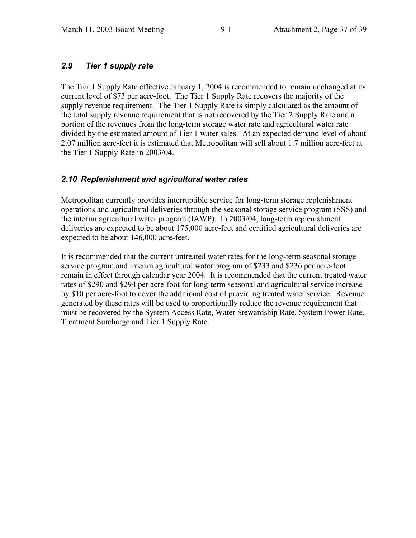## *2.9 Tier 1 supply rate*

The Tier 1 Supply Rate effective January 1, 2004 is recommended to remain unchanged at its current level of \$73 per acre-foot. The Tier 1 Supply Rate recovers the majority of the supply revenue requirement. The Tier 1 Supply Rate is simply calculated as the amount of the total supply revenue requirement that is not recovered by the Tier 2 Supply Rate and a portion of the revenues from the long-term storage water rate and agricultural water rate divided by the estimated amount of Tier 1 water sales. At an expected demand level of about 2.07 million acre-feet it is estimated that Metropolitan will sell about 1.7 million acre-feet at the Tier 1 Supply Rate in 2003/04.

## *2.10 Replenishment and agricultural water rates*

Metropolitan currently provides interruptible service for long-term storage replenishment operations and agricultural deliveries through the seasonal storage service program (SSS) and the interim agricultural water program (IAWP). In 2003/04, long-term replenishment deliveries are expected to be about 175,000 acre-feet and certified agricultural deliveries are expected to be about 146,000 acre-feet.

It is recommended that the current untreated water rates for the long-term seasonal storage service program and interim agricultural water program of \$233 and \$236 per acre-foot remain in effect through calendar year 2004. It is recommended that the current treated water rates of \$290 and \$294 per acre-foot for long-term seasonal and agricultural service increase by \$10 per acre-foot to cover the additional cost of providing treated water service. Revenue generated by these rates will be used to proportionally reduce the revenue requirement that must be recovered by the System Access Rate, Water Stewardship Rate, System Power Rate, Treatment Surcharge and Tier 1 Supply Rate.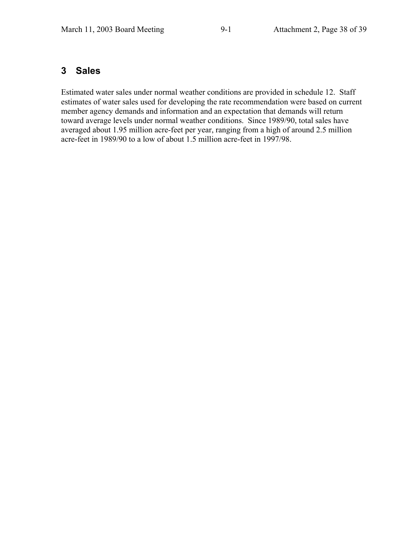## **3 Sales**

Estimated water sales under normal weather conditions are provided in schedule 12. Staff estimates of water sales used for developing the rate recommendation were based on current member agency demands and information and an expectation that demands will return toward average levels under normal weather conditions. Since 1989/90, total sales have averaged about 1.95 million acre-feet per year, ranging from a high of around 2.5 million acre-feet in 1989/90 to a low of about 1.5 million acre-feet in 1997/98.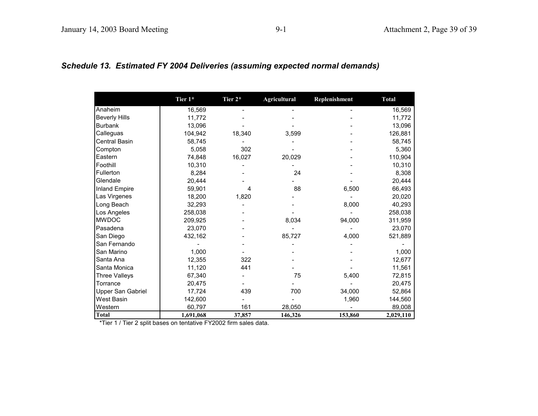|  |  |  |  | Schedule 13.  Estimated FY 2004 Deliveries (assuming expected normal demands) |  |
|--|--|--|--|-------------------------------------------------------------------------------|--|
|--|--|--|--|-------------------------------------------------------------------------------|--|

|                      | Tier 1*   | Tier 2* | <b>Agricultural</b> | Replenishment | <b>Total</b> |
|----------------------|-----------|---------|---------------------|---------------|--------------|
| Anaheim              | 16,569    |         |                     |               | 16,569       |
| <b>Beverly Hills</b> | 11,772    |         |                     |               | 11,772       |
| <b>Burbank</b>       | 13,096    |         |                     |               | 13,096       |
| Calleguas            | 104,942   | 18,340  | 3,599               |               | 126,881      |
| Central Basin        | 58,745    |         |                     |               | 58,745       |
| Compton              | 5,058     | 302     |                     |               | 5,360        |
| Eastern              | 74,848    | 16,027  | 20,029              |               | 110,904      |
| Foothill             | 10,310    |         |                     |               | 10,310       |
| Fullerton            | 8,284     |         | 24                  |               | 8,308        |
| Glendale             | 20,444    |         |                     |               | 20,444       |
| <b>Inland Empire</b> | 59,901    | 4       | 88                  | 6,500         | 66,493       |
| Las Virgenes         | 18,200    | 1,820   |                     |               | 20,020       |
| Long Beach           | 32,293    |         |                     | 8,000         | 40,293       |
| Los Angeles          | 258,038   |         |                     |               | 258,038      |
| <b>MWDOC</b>         | 209,925   |         | 8,034               | 94,000        | 311,959      |
| Pasadena             | 23,070    |         |                     |               | 23,070       |
| San Diego            | 432,162   |         | 85,727              | 4,000         | 521,889      |
| San Fernando         |           |         |                     |               |              |
| San Marino           | 1,000     |         |                     |               | 1,000        |
| Santa Ana            | 12,355    | 322     |                     |               | 12,677       |
| Santa Monica         | 11,120    | 441     |                     |               | 11,561       |
| <b>Three Valleys</b> | 67,340    |         | 75                  | 5,400         | 72,815       |
| Torrance             | 20,475    |         |                     |               | 20,475       |
| Upper San Gabriel    | 17,724    | 439     | 700                 | 34,000        | 52,864       |
| <b>West Basin</b>    | 142,600   |         |                     | 1,960         | 144,560      |
| Western              | 60,797    | 161     | 28,050              |               | 89,008       |
| <b>Total</b>         | 1,691,068 | 37,857  | 146,326             | 153,860       | 2,029,110    |

\*Tier 1 / Tier 2 split bases on tentative FY2002 firm sales data.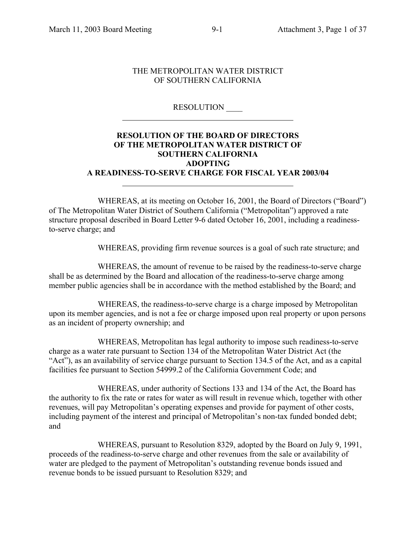#### THE METROPOLITAN WATER DISTRICT OF SOUTHERN CALIFORNIA

#### RESOLUTION \_\_\_\_

#### **RESOLUTION OF THE BOARD OF DIRECTORS OF THE METROPOLITAN WATER DISTRICT OF SOUTHERN CALIFORNIA ADOPTING A READINESS-TO-SERVE CHARGE FOR FISCAL YEAR 2003/04**

WHEREAS, at its meeting on October 16, 2001, the Board of Directors ("Board") of The Metropolitan Water District of Southern California ("Metropolitan") approved a rate structure proposal described in Board Letter 9-6 dated October 16, 2001, including a readinessto-serve charge; and

WHEREAS, providing firm revenue sources is a goal of such rate structure; and

WHEREAS, the amount of revenue to be raised by the readiness-to-serve charge shall be as determined by the Board and allocation of the readiness-to-serve charge among member public agencies shall be in accordance with the method established by the Board; and

WHEREAS, the readiness-to-serve charge is a charge imposed by Metropolitan upon its member agencies, and is not a fee or charge imposed upon real property or upon persons as an incident of property ownership; and

WHEREAS, Metropolitan has legal authority to impose such readiness-to-serve charge as a water rate pursuant to Section 134 of the Metropolitan Water District Act (the "Act"), as an availability of service charge pursuant to Section 134.5 of the Act, and as a capital facilities fee pursuant to Section 54999.2 of the California Government Code; and

WHEREAS, under authority of Sections 133 and 134 of the Act, the Board has the authority to fix the rate or rates for water as will result in revenue which, together with other revenues, will pay Metropolitan's operating expenses and provide for payment of other costs, including payment of the interest and principal of Metropolitan's non-tax funded bonded debt; and

WHEREAS, pursuant to Resolution 8329, adopted by the Board on July 9, 1991, proceeds of the readiness-to-serve charge and other revenues from the sale or availability of water are pledged to the payment of Metropolitan's outstanding revenue bonds issued and revenue bonds to be issued pursuant to Resolution 8329; and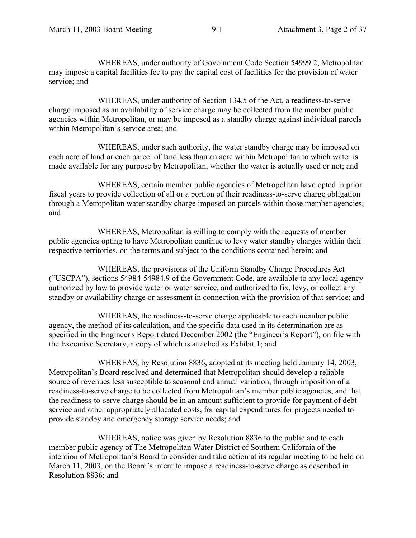WHEREAS, under authority of Government Code Section 54999.2, Metropolitan may impose a capital facilities fee to pay the capital cost of facilities for the provision of water service; and

WHEREAS, under authority of Section 134.5 of the Act, a readiness-to-serve charge imposed as an availability of service charge may be collected from the member public agencies within Metropolitan, or may be imposed as a standby charge against individual parcels within Metropolitan's service area; and

WHEREAS, under such authority, the water standby charge may be imposed on each acre of land or each parcel of land less than an acre within Metropolitan to which water is made available for any purpose by Metropolitan, whether the water is actually used or not; and

WHEREAS, certain member public agencies of Metropolitan have opted in prior fiscal years to provide collection of all or a portion of their readiness-to-serve charge obligation through a Metropolitan water standby charge imposed on parcels within those member agencies; and

WHEREAS, Metropolitan is willing to comply with the requests of member public agencies opting to have Metropolitan continue to levy water standby charges within their respective territories, on the terms and subject to the conditions contained herein; and

WHEREAS, the provisions of the Uniform Standby Charge Procedures Act ("USCPA"), sections 54984-54984.9 of the Government Code, are available to any local agency authorized by law to provide water or water service, and authorized to fix, levy, or collect any standby or availability charge or assessment in connection with the provision of that service; and

WHEREAS, the readiness-to-serve charge applicable to each member public agency, the method of its calculation, and the specific data used in its determination are as specified in the Engineer's Report dated December 2002 (the "Engineer's Report"), on file with the Executive Secretary, a copy of which is attached as Exhibit 1; and

WHEREAS, by Resolution 8836, adopted at its meeting held January 14, 2003, Metropolitan's Board resolved and determined that Metropolitan should develop a reliable source of revenues less susceptible to seasonal and annual variation, through imposition of a readiness-to-serve charge to be collected from Metropolitan's member public agencies, and that the readiness-to-serve charge should be in an amount sufficient to provide for payment of debt service and other appropriately allocated costs, for capital expenditures for projects needed to provide standby and emergency storage service needs; and

WHEREAS, notice was given by Resolution 8836 to the public and to each member public agency of The Metropolitan Water District of Southern California of the intention of Metropolitan's Board to consider and take action at its regular meeting to be held on March 11, 2003, on the Board's intent to impose a readiness-to-serve charge as described in Resolution 8836; and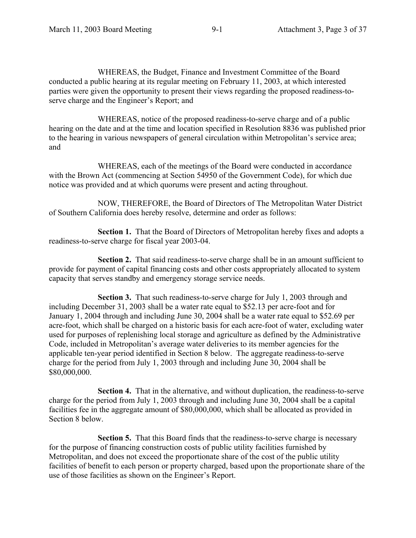WHEREAS, the Budget, Finance and Investment Committee of the Board conducted a public hearing at its regular meeting on February 11, 2003, at which interested parties were given the opportunity to present their views regarding the proposed readiness-toserve charge and the Engineer's Report; and

WHEREAS, notice of the proposed readiness-to-serve charge and of a public hearing on the date and at the time and location specified in Resolution 8836 was published prior to the hearing in various newspapers of general circulation within Metropolitan's service area; and

WHEREAS, each of the meetings of the Board were conducted in accordance with the Brown Act (commencing at Section 54950 of the Government Code), for which due notice was provided and at which quorums were present and acting throughout.

NOW, THEREFORE, the Board of Directors of The Metropolitan Water District of Southern California does hereby resolve, determine and order as follows:

**Section 1.** That the Board of Directors of Metropolitan hereby fixes and adopts a readiness-to-serve charge for fiscal year 2003-04.

**Section 2.** That said readiness-to-serve charge shall be in an amount sufficient to provide for payment of capital financing costs and other costs appropriately allocated to system capacity that serves standby and emergency storage service needs.

**Section 3.** That such readiness-to-serve charge for July 1, 2003 through and including December 31, 2003 shall be a water rate equal to \$52.13 per acre-foot and for January 1, 2004 through and including June 30, 2004 shall be a water rate equal to \$52.69 per acre-foot, which shall be charged on a historic basis for each acre-foot of water, excluding water used for purposes of replenishing local storage and agriculture as defined by the Administrative Code, included in Metropolitan's average water deliveries to its member agencies for the applicable ten-year period identified in Section 8 below. The aggregate readiness-to-serve charge for the period from July 1, 2003 through and including June 30, 2004 shall be \$80,000,000.

**Section 4.** That in the alternative, and without duplication, the readiness-to-serve charge for the period from July 1, 2003 through and including June 30, 2004 shall be a capital facilities fee in the aggregate amount of \$80,000,000, which shall be allocated as provided in Section 8 below.

**Section 5.** That this Board finds that the readiness-to-serve charge is necessary for the purpose of financing construction costs of public utility facilities furnished by Metropolitan, and does not exceed the proportionate share of the cost of the public utility facilities of benefit to each person or property charged, based upon the proportionate share of the use of those facilities as shown on the Engineer's Report.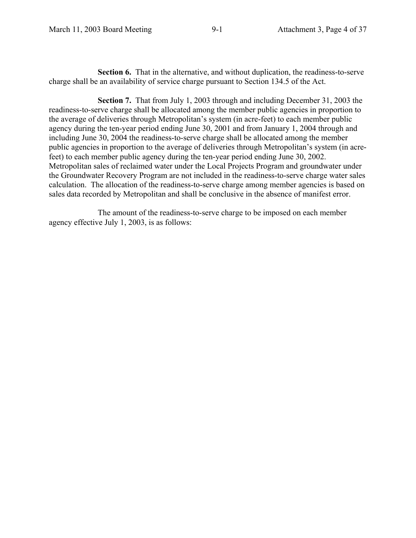**Section 6.** That in the alternative, and without duplication, the readiness-to-serve charge shall be an availability of service charge pursuant to Section 134.5 of the Act.

**Section 7.** That from July 1, 2003 through and including December 31, 2003 the readiness-to-serve charge shall be allocated among the member public agencies in proportion to the average of deliveries through Metropolitan's system (in acre-feet) to each member public agency during the ten-year period ending June 30, 2001 and from January 1, 2004 through and including June 30, 2004 the readiness-to-serve charge shall be allocated among the member public agencies in proportion to the average of deliveries through Metropolitan's system (in acrefeet) to each member public agency during the ten-year period ending June 30, 2002. Metropolitan sales of reclaimed water under the Local Projects Program and groundwater under the Groundwater Recovery Program are not included in the readiness-to-serve charge water sales calculation. The allocation of the readiness-to-serve charge among member agencies is based on sales data recorded by Metropolitan and shall be conclusive in the absence of manifest error.

The amount of the readiness-to-serve charge to be imposed on each member agency effective July 1, 2003, is as follows: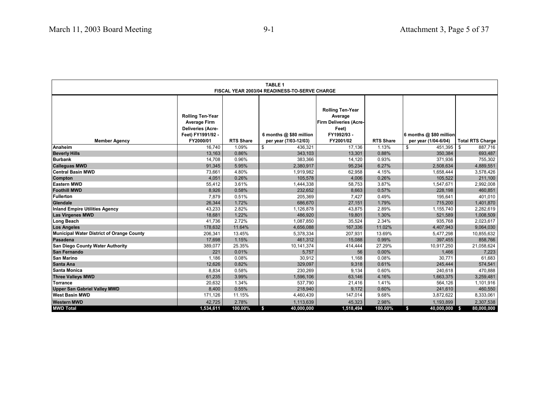| <b>TABLE 1</b><br>FISCAL YEAR 2003/04 READINESS-TO-SERVE CHARGE |                                                                                                 |                  |                         |                                                                                             |                  |                         |                         |
|-----------------------------------------------------------------|-------------------------------------------------------------------------------------------------|------------------|-------------------------|---------------------------------------------------------------------------------------------|------------------|-------------------------|-------------------------|
|                                                                 |                                                                                                 |                  |                         |                                                                                             |                  |                         |                         |
|                                                                 | <b>Rolling Ten-Year</b><br><b>Average Firm</b><br><b>Deliveries (Acre-</b><br>Feet) FY1991/92 - |                  | 6 months @ \$80 million | <b>Rolling Ten-Year</b><br>Average<br><b>Firm Deliveries (Acre-</b><br>Feet)<br>FY1992/93 - |                  | 6 months @ \$80 million |                         |
| <b>Member Agency</b>                                            | FY2000/01                                                                                       | <b>RTS Share</b> | per year (7/03-12/03)   | FY2001/02                                                                                   | <b>RTS Share</b> | per year (1/04-6/04)    | <b>Total RTS Charge</b> |
| Anaheim                                                         | 16,740                                                                                          | 1.09%            | \$<br>436,321           | 17,136                                                                                      | 1.13%            | $451,395$ \$<br>\$      | 887,716                 |
| <b>Beverly Hills</b>                                            | 13,163                                                                                          | 0.86%            | 343,103                 | 13,301                                                                                      | 0.88%            | 350,384                 | 693,487                 |
| <b>Burbank</b>                                                  | 14,708                                                                                          | 0.96%            | 383,366                 | 14,120                                                                                      | 0.93%            | 371,936                 | 755,302                 |
| <b>Calleguas MWD</b><br><b>Central Basin MWD</b>                | 91,345                                                                                          | 5.95%            | 2,380,917               | 95,234                                                                                      | 6.27%            | 2,508,634               | 4,889,551               |
|                                                                 | 73,661<br>4,051                                                                                 | 4.80%<br>0.26%   | 1,919,982<br>105,578    | 62,958<br>4,006                                                                             | 4.15%<br>0.26%   | 1,658,444<br>105,522    | 3,578,426<br>211,100    |
| Compton<br><b>Eastern MWD</b>                                   | 55,412                                                                                          | 3.61%            | 1,444,338               | 58,753                                                                                      | 3.87%            | 1,547,671               |                         |
| <b>Foothill MWD</b>                                             | 8,926                                                                                           | 0.58%            | 232,652                 | 8,663                                                                                       | 0.57%            | 228,198                 | 2,992,008<br>460,851    |
| Fullerton                                                       | 7,879                                                                                           | 0.51%            | 205,369                 | 7,427                                                                                       | 0.49%            | 195,641                 |                         |
| Glendale                                                        | 26,344                                                                                          | 1.72%            | 686,670                 | 27,151                                                                                      | 1.79%            | 715,200                 | 401,010<br>1,401,870    |
| Inland Empire Utilities Agency                                  | 43,233                                                                                          | 2.82%            | 1,126,878               | 43,875                                                                                      | 2.89%            | 1,155,740               | 2,282,619               |
| <b>Las Virgenes MWD</b>                                         | 18,681                                                                                          | 1.22%            | 486,920                 | 19,801                                                                                      | 1.30%            | 521,589                 | 1,008,509               |
| Long Beach                                                      | 41,736                                                                                          | 2.72%            | 1,087,850               | 35,524                                                                                      | 2.34%            | 935,768                 | 2,023,617               |
| Los Angeles                                                     | 178,632                                                                                         | 11.64%           | 4,656,088               | 167,336                                                                                     | 11.02%           | 4,407,943               | 9,064,030               |
| Municipal Water District of Orange County                       | 206,341                                                                                         | 13.45%           | 5,378,334               | 207,931                                                                                     | 13.69%           | 5,477,298               | 10,855,632              |
| Pasadena                                                        | 17,698                                                                                          | 1.15%            | 461,312                 | 15,088                                                                                      | 0.99%            | 397,455                 | 858,766                 |
| San Diego County Water Authority                                | 389,077                                                                                         | 25.35%           | 10,141,374              | 414,444                                                                                     | 27.29%           | 10,917,250              | 21,058,624              |
| San Fernando                                                    | 221                                                                                             | 0.01%            | 5,757                   | 56                                                                                          | 0.00%            | 1,466                   | 7,223                   |
| San Marino                                                      | 1,186                                                                                           | 0.08%            | 30,912                  | 1,168                                                                                       | 0.08%            | 30,771                  | 61,683                  |
| Santa Ana                                                       | 12,626                                                                                          | 0.82%            | 329,097                 | 9,318                                                                                       | 0.61%            | 245,444                 | 574,541                 |
| <b>ISanta Monica</b>                                            | 8,834                                                                                           | 0.58%            | 230.269                 | 9.134                                                                                       | 0.60%            | 240.618                 | 470,888                 |
| <b>Three Valleys MWD</b>                                        | 61,235                                                                                          | 3.99%            | 1,596,106               | 63,146                                                                                      | 4.16%            | 1,663,375               | 3,259,481               |
| Torrance                                                        | 20,632                                                                                          | 1.34%            | 537,790                 | 21,416                                                                                      | 1.41%            | 564.126                 | 1,101,916               |
| <b>Upper San Gabriel Valley MWD</b>                             | 8,400                                                                                           | 0.55%            | 218,940                 | 9,172                                                                                       | 0.60%            | 241,610                 | 460,550                 |
| West Basin MWD                                                  | 171,126                                                                                         | 11.15%           | 4,460,439               | 147,014                                                                                     | 9.68%            | 3,872,622               | 8,333,061               |
| <b>Western MWD</b>                                              | 42,725                                                                                          | 2.78%            | 1,113,639               | 45,323                                                                                      | 2.98%            | 1,193,899               | 2,307,538               |
| <b>MWD Total</b>                                                | 1,534,611                                                                                       | 100.00%          | 40,000,000<br>s.        | 1,518,494                                                                                   | 100.00%          | 40,000,000 \$<br>S.     | 80,000,000              |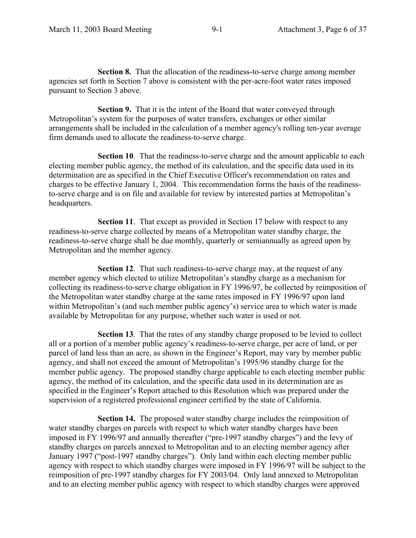**Section 8.** That the allocation of the readiness-to-serve charge among member agencies set forth in Section 7 above is consistent with the per-acre-foot water rates imposed pursuant to Section 3 above.

**Section 9.** That it is the intent of the Board that water conveyed through Metropolitan's system for the purposes of water transfers, exchanges or other similar arrangements shall be included in the calculation of a member agency's rolling ten-year average firm demands used to allocate the readiness-to-serve charge.

**Section 10**. That the readiness-to-serve charge and the amount applicable to each electing member public agency, the method of its calculation, and the specific data used in its determination are as specified in the Chief Executive Officer's recommendation on rates and charges to be effective January 1, 2004. This recommendation forms the basis of the readinessto-serve charge and is on file and available for review by interested parties at Metropolitan's headquarters.

**Section 11.** That except as provided in Section 17 below with respect to any readiness-to-serve charge collected by means of a Metropolitan water standby charge, the readiness-to-serve charge shall be due monthly, quarterly or semiannually as agreed upon by Metropolitan and the member agency.

**Section 12.** That such readiness-to-serve charge may, at the request of any member agency which elected to utilize Metropolitan's standby charge as a mechanism for collecting its readiness-to-serve charge obligation in FY 1996/97, be collected by reimposition of the Metropolitan water standby charge at the same rates imposed in FY 1996/97 upon land within Metropolitan's (and such member public agency's) service area to which water is made available by Metropolitan for any purpose, whether such water is used or not.

**Section 13**. That the rates of any standby charge proposed to be levied to collect all or a portion of a member public agency's readiness-to-serve charge, per acre of land, or per parcel of land less than an acre, as shown in the Engineer's Report, may vary by member public agency, and shall not exceed the amount of Metropolitan's 1995/96 standby charge for the member public agency. The proposed standby charge applicable to each electing member public agency, the method of its calculation, and the specific data used in its determination are as specified in the Engineer's Report attached to this Resolution which was prepared under the supervision of a registered professional engineer certified by the state of California.

**Section 14.** The proposed water standby charge includes the reimposition of water standby charges on parcels with respect to which water standby charges have been imposed in FY 1996/97 and annually thereafter ("pre-1997 standby charges") and the levy of standby charges on parcels annexed to Metropolitan and to an electing member agency after January 1997 ("post-1997 standby charges"). Only land within each electing member public agency with respect to which standby charges were imposed in FY 1996/97 will be subject to the reimposition of pre-1997 standby charges for FY 2003/04. Only land annexed to Metropolitan and to an electing member public agency with respect to which standby charges were approved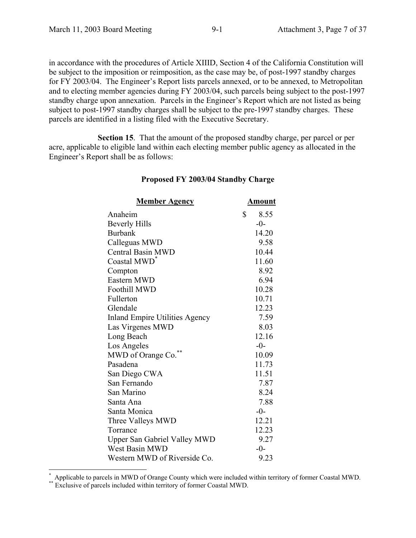in accordance with the procedures of Article XIIID, Section 4 of the California Constitution will be subject to the imposition or reimposition, as the case may be, of post-1997 standby charges for FY 2003/04. The Engineer's Report lists parcels annexed, or to be annexed, to Metropolitan and to electing member agencies during FY 2003/04, such parcels being subject to the post-1997 standby charge upon annexation. Parcels in the Engineer's Report which are not listed as being subject to post-1997 standby charges shall be subject to the pre-1997 standby charges. These parcels are identified in a listing filed with the Executive Secretary.

**Section 15**. That the amount of the proposed standby charge, per parcel or per acre, applicable to eligible land within each electing member public agency as allocated in the Engineer's Report shall be as follows:

| <b>Member Agency</b>                  | <u>Amount</u> |
|---------------------------------------|---------------|
| Anaheim                               | \$<br>8.55    |
| <b>Beverly Hills</b>                  | $-0-$         |
| <b>Burbank</b>                        | 14.20         |
| Calleguas MWD                         | 9.58          |
| <b>Central Basin MWD</b>              | 10.44         |
| Coastal MWD <sup>*</sup>              | 11.60         |
| Compton                               | 8.92          |
| Eastern MWD                           | 6.94          |
| <b>Foothill MWD</b>                   | 10.28         |
| Fullerton                             | 10.71         |
| Glendale                              | 12.23         |
| <b>Inland Empire Utilities Agency</b> | 7.59          |
| Las Virgenes MWD                      | 8.03          |
| Long Beach                            | 12.16         |
| Los Angeles                           | $-0-$         |
| MWD of Orange Co.                     | 10.09         |
| Pasadena                              | 11.73         |
| San Diego CWA                         | 11.51         |
| San Fernando                          | 7.87          |
| San Marino                            | 8.24          |
| Santa Ana                             | 7.88          |
| Santa Monica                          | $-0-$         |
| Three Valleys MWD                     | 12.21         |
| Torrance                              | 12.23         |
| <b>Upper San Gabriel Valley MWD</b>   | 9.27          |
| <b>West Basin MWD</b>                 | $-0-$         |
| Western MWD of Riverside Co.          | 9.23          |

#### **Proposed FY 2003/04 Standby Charge**

\* Applicable to parcels in MWD of Orange County which were included within territory of former Coastal MWD. Exclusive of parcels included within territory of former Coastal MWD.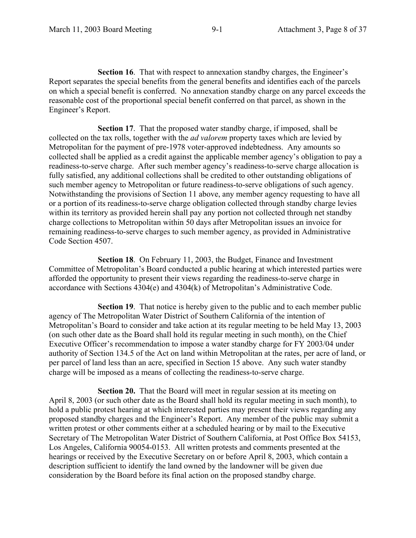**Section 16.** That with respect to annexation standby charges, the Engineer's Report separates the special benefits from the general benefits and identifies each of the parcels on which a special benefit is conferred. No annexation standby charge on any parcel exceeds the reasonable cost of the proportional special benefit conferred on that parcel, as shown in the Engineer's Report.

**Section 17.** That the proposed water standby charge, if imposed, shall be collected on the tax rolls, together with the *ad valorem* property taxes which are levied by Metropolitan for the payment of pre-1978 voter-approved indebtedness. Any amounts so collected shall be applied as a credit against the applicable member agency's obligation to pay a readiness-to-serve charge. After such member agency's readiness-to-serve charge allocation is fully satisfied, any additional collections shall be credited to other outstanding obligations of such member agency to Metropolitan or future readiness-to-serve obligations of such agency. Notwithstanding the provisions of Section 11 above, any member agency requesting to have all or a portion of its readiness-to-serve charge obligation collected through standby charge levies within its territory as provided herein shall pay any portion not collected through net standby charge collections to Metropolitan within 50 days after Metropolitan issues an invoice for remaining readiness-to-serve charges to such member agency, as provided in Administrative Code Section 4507.

**Section 18**. On February 11, 2003, the Budget, Finance and Investment Committee of Metropolitan's Board conducted a public hearing at which interested parties were afforded the opportunity to present their views regarding the readiness-to-serve charge in accordance with Sections 4304(e) and 4304(k) of Metropolitan's Administrative Code.

**Section 19**. That notice is hereby given to the public and to each member public agency of The Metropolitan Water District of Southern California of the intention of Metropolitan's Board to consider and take action at its regular meeting to be held May 13, 2003 (on such other date as the Board shall hold its regular meeting in such month), on the Chief Executive Officer's recommendation to impose a water standby charge for FY 2003/04 under authority of Section 134.5 of the Act on land within Metropolitan at the rates, per acre of land, or per parcel of land less than an acre, specified in Section 15 above. Any such water standby charge will be imposed as a means of collecting the readiness-to-serve charge.

**Section 20.** That the Board will meet in regular session at its meeting on April 8, 2003 (or such other date as the Board shall hold its regular meeting in such month), to hold a public protest hearing at which interested parties may present their views regarding any proposed standby charges and the Engineer's Report. Any member of the public may submit a written protest or other comments either at a scheduled hearing or by mail to the Executive Secretary of The Metropolitan Water District of Southern California, at Post Office Box 54153, Los Angeles, California 90054-0153. All written protests and comments presented at the hearings or received by the Executive Secretary on or before April 8, 2003, which contain a description sufficient to identify the land owned by the landowner will be given due consideration by the Board before its final action on the proposed standby charge.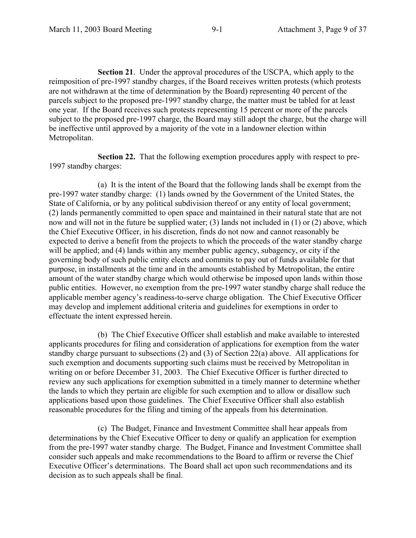**Section 21**. Under the approval procedures of the USCPA, which apply to the reimposition of pre-1997 standby charges, if the Board receives written protests (which protests are not withdrawn at the time of determination by the Board) representing 40 percent of the parcels subject to the proposed pre-1997 standby charge, the matter must be tabled for at least one year. If the Board receives such protests representing 15 percent or more of the parcels subject to the proposed pre-1997 charge, the Board may still adopt the charge, but the charge will be ineffective until approved by a majority of the vote in a landowner election within Metropolitan.

**Section 22.** That the following exemption procedures apply with respect to pre-1997 standby charges:

(a) It is the intent of the Board that the following lands shall be exempt from the pre-1997 water standby charge: (1) lands owned by the Government of the United States, the State of California, or by any political subdivision thereof or any entity of local government; (2) lands permanently committed to open space and maintained in their natural state that are not now and will not in the future be supplied water; (3) lands not included in (1) or (2) above, which the Chief Executive Officer, in his discretion, finds do not now and cannot reasonably be expected to derive a benefit from the projects to which the proceeds of the water standby charge will be applied; and (4) lands within any member public agency, subagency, or city if the governing body of such public entity elects and commits to pay out of funds available for that purpose, in installments at the time and in the amounts established by Metropolitan, the entire amount of the water standby charge which would otherwise be imposed upon lands within those public entities. However, no exemption from the pre-1997 water standby charge shall reduce the applicable member agency's readiness-to-serve charge obligation. The Chief Executive Officer may develop and implement additional criteria and guidelines for exemptions in order to effectuate the intent expressed herein.

(b) The Chief Executive Officer shall establish and make available to interested applicants procedures for filing and consideration of applications for exemption from the water standby charge pursuant to subsections (2) and (3) of Section 22(a) above. All applications for such exemption and documents supporting such claims must be received by Metropolitan in writing on or before December 31, 2003. The Chief Executive Officer is further directed to review any such applications for exemption submitted in a timely manner to determine whether the lands to which they pertain are eligible for such exemption and to allow or disallow such applications based upon those guidelines. The Chief Executive Officer shall also establish reasonable procedures for the filing and timing of the appeals from his determination.

(c) The Budget, Finance and Investment Committee shall hear appeals from determinations by the Chief Executive Officer to deny or qualify an application for exemption from the pre-1997 water standby charge. The Budget, Finance and Investment Committee shall consider such appeals and make recommendations to the Board to affirm or reverse the Chief Executive Officer's determinations. The Board shall act upon such recommendations and its decision as to such appeals shall be final.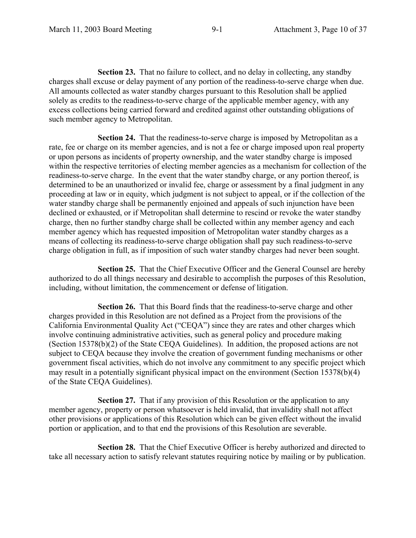**Section 23.** That no failure to collect, and no delay in collecting, any standby charges shall excuse or delay payment of any portion of the readiness-to-serve charge when due. All amounts collected as water standby charges pursuant to this Resolution shall be applied solely as credits to the readiness-to-serve charge of the applicable member agency, with any excess collections being carried forward and credited against other outstanding obligations of such member agency to Metropolitan.

**Section 24.** That the readiness-to-serve charge is imposed by Metropolitan as a rate, fee or charge on its member agencies, and is not a fee or charge imposed upon real property or upon persons as incidents of property ownership, and the water standby charge is imposed within the respective territories of electing member agencies as a mechanism for collection of the readiness-to-serve charge. In the event that the water standby charge, or any portion thereof, is determined to be an unauthorized or invalid fee, charge or assessment by a final judgment in any proceeding at law or in equity, which judgment is not subject to appeal, or if the collection of the water standby charge shall be permanently enjoined and appeals of such injunction have been declined or exhausted, or if Metropolitan shall determine to rescind or revoke the water standby charge, then no further standby charge shall be collected within any member agency and each member agency which has requested imposition of Metropolitan water standby charges as a means of collecting its readiness-to-serve charge obligation shall pay such readiness-to-serve charge obligation in full, as if imposition of such water standby charges had never been sought.

**Section 25.** That the Chief Executive Officer and the General Counsel are hereby authorized to do all things necessary and desirable to accomplish the purposes of this Resolution, including, without limitation, the commencement or defense of litigation.

 **Section 26.** That this Board finds that the readiness-to-serve charge and other charges provided in this Resolution are not defined as a Project from the provisions of the California Environmental Quality Act ("CEQA") since they are rates and other charges which involve continuing administrative activities, such as general policy and procedure making (Section 15378(b)(2) of the State CEQA Guidelines). In addition, the proposed actions are not subject to CEQA because they involve the creation of government funding mechanisms or other government fiscal activities, which do not involve any commitment to any specific project which may result in a potentially significant physical impact on the environment (Section 15378(b)(4) of the State CEQA Guidelines).

**Section 27.** That if any provision of this Resolution or the application to any member agency, property or person whatsoever is held invalid, that invalidity shall not affect other provisions or applications of this Resolution which can be given effect without the invalid portion or application, and to that end the provisions of this Resolution are severable.

**Section 28.** That the Chief Executive Officer is hereby authorized and directed to take all necessary action to satisfy relevant statutes requiring notice by mailing or by publication.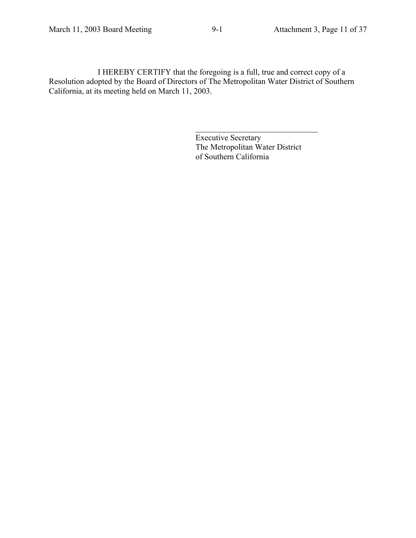Executive Secretary The Metropolitan Water District of Southern California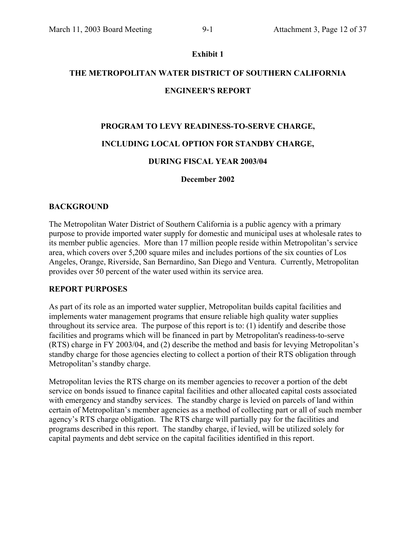#### **Exhibit 1**

# **THE METROPOLITAN WATER DISTRICT OF SOUTHERN CALIFORNIA ENGINEER'S REPORT**

#### **PROGRAM TO LEVY READINESS-TO-SERVE CHARGE,**

#### **INCLUDING LOCAL OPTION FOR STANDBY CHARGE,**

#### **DURING FISCAL YEAR 2003/04**

#### **December 2002**

#### **BACKGROUND**

The Metropolitan Water District of Southern California is a public agency with a primary purpose to provide imported water supply for domestic and municipal uses at wholesale rates to its member public agencies. More than 17 million people reside within Metropolitan's service area, which covers over 5,200 square miles and includes portions of the six counties of Los Angeles, Orange, Riverside, San Bernardino, San Diego and Ventura. Currently, Metropolitan provides over 50 percent of the water used within its service area.

#### **REPORT PURPOSES**

As part of its role as an imported water supplier, Metropolitan builds capital facilities and implements water management programs that ensure reliable high quality water supplies throughout its service area. The purpose of this report is to: (1) identify and describe those facilities and programs which will be financed in part by Metropolitan's readiness-to-serve (RTS) charge in FY 2003/04, and (2) describe the method and basis for levying Metropolitan's standby charge for those agencies electing to collect a portion of their RTS obligation through Metropolitan's standby charge.

Metropolitan levies the RTS charge on its member agencies to recover a portion of the debt service on bonds issued to finance capital facilities and other allocated capital costs associated with emergency and standby services. The standby charge is levied on parcels of land within certain of Metropolitan's member agencies as a method of collecting part or all of such member agency's RTS charge obligation. The RTS charge will partially pay for the facilities and programs described in this report. The standby charge, if levied, will be utilized solely for capital payments and debt service on the capital facilities identified in this report.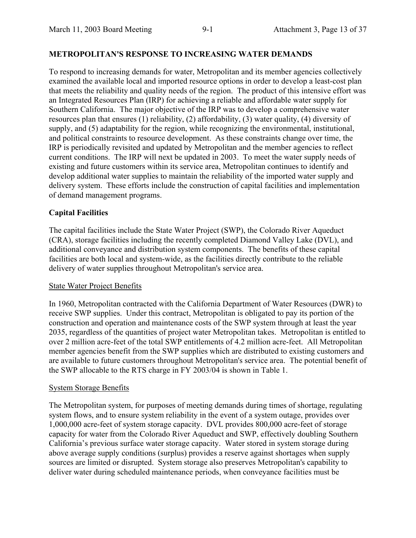#### **METROPOLITAN'S RESPONSE TO INCREASING WATER DEMANDS**

To respond to increasing demands for water, Metropolitan and its member agencies collectively examined the available local and imported resource options in order to develop a least-cost plan that meets the reliability and quality needs of the region. The product of this intensive effort was an Integrated Resources Plan (IRP) for achieving a reliable and affordable water supply for Southern California. The major objective of the IRP was to develop a comprehensive water resources plan that ensures (1) reliability, (2) affordability, (3) water quality, (4) diversity of supply, and (5) adaptability for the region, while recognizing the environmental, institutional, and political constraints to resource development. As these constraints change over time, the IRP is periodically revisited and updated by Metropolitan and the member agencies to reflect current conditions. The IRP will next be updated in 2003. To meet the water supply needs of existing and future customers within its service area, Metropolitan continues to identify and develop additional water supplies to maintain the reliability of the imported water supply and delivery system. These efforts include the construction of capital facilities and implementation of demand management programs.

#### **Capital Facilities**

The capital facilities include the State Water Project (SWP), the Colorado River Aqueduct (CRA), storage facilities including the recently completed Diamond Valley Lake (DVL), and additional conveyance and distribution system components. The benefits of these capital facilities are both local and system-wide, as the facilities directly contribute to the reliable delivery of water supplies throughout Metropolitan's service area.

#### State Water Project Benefits

In 1960, Metropolitan contracted with the California Department of Water Resources (DWR) to receive SWP supplies. Under this contract, Metropolitan is obligated to pay its portion of the construction and operation and maintenance costs of the SWP system through at least the year 2035, regardless of the quantities of project water Metropolitan takes. Metropolitan is entitled to over 2 million acre-feet of the total SWP entitlements of 4.2 million acre-feet. All Metropolitan member agencies benefit from the SWP supplies which are distributed to existing customers and are available to future customers throughout Metropolitan's service area. The potential benefit of the SWP allocable to the RTS charge in FY 2003/04 is shown in Table 1.

#### System Storage Benefits

The Metropolitan system, for purposes of meeting demands during times of shortage, regulating system flows, and to ensure system reliability in the event of a system outage, provides over 1,000,000 acre-feet of system storage capacity. DVL provides 800,000 acre-feet of storage capacity for water from the Colorado River Aqueduct and SWP, effectively doubling Southern California's previous surface water storage capacity. Water stored in system storage during above average supply conditions (surplus) provides a reserve against shortages when supply sources are limited or disrupted. System storage also preserves Metropolitan's capability to deliver water during scheduled maintenance periods, when conveyance facilities must be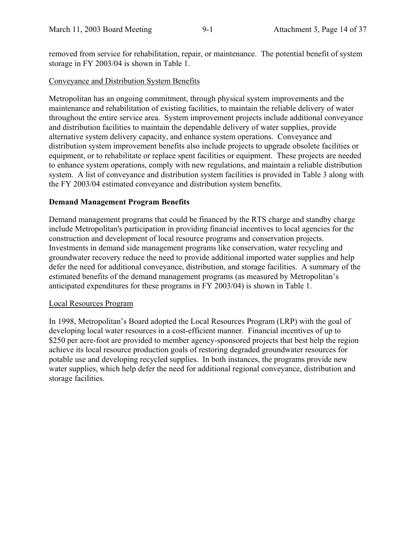removed from service for rehabilitation, repair, or maintenance. The potential benefit of system storage in FY 2003/04 is shown in Table 1.

#### Conveyance and Distribution System Benefits

Metropolitan has an ongoing commitment, through physical system improvements and the maintenance and rehabilitation of existing facilities, to maintain the reliable delivery of water throughout the entire service area. System improvement projects include additional conveyance and distribution facilities to maintain the dependable delivery of water supplies, provide alternative system delivery capacity, and enhance system operations. Conveyance and distribution system improvement benefits also include projects to upgrade obsolete facilities or equipment, or to rehabilitate or replace spent facilities or equipment. These projects are needed to enhance system operations, comply with new regulations, and maintain a reliable distribution system. A list of conveyance and distribution system facilities is provided in Table 3 along with the FY 2003/04 estimated conveyance and distribution system benefits.

#### **Demand Management Program Benefits**

Demand management programs that could be financed by the RTS charge and standby charge include Metropolitan's participation in providing financial incentives to local agencies for the construction and development of local resource programs and conservation projects. Investments in demand side management programs like conservation, water recycling and groundwater recovery reduce the need to provide additional imported water supplies and help defer the need for additional conveyance, distribution, and storage facilities. A summary of the estimated benefits of the demand management programs (as measured by Metropolitan's anticipated expenditures for these programs in FY 2003/04) is shown in Table 1.

#### Local Resources Program

In 1998, Metropolitan's Board adopted the Local Resources Program (LRP) with the goal of developing local water resources in a cost-efficient manner. Financial incentives of up to \$250 per acre-foot are provided to member agency-sponsored projects that best help the region achieve its local resource production goals of restoring degraded groundwater resources for potable use and developing recycled supplies. In both instances, the programs provide new water supplies, which help defer the need for additional regional conveyance, distribution and storage facilities.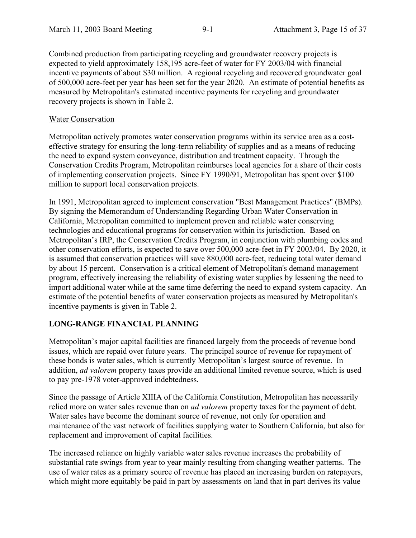Combined production from participating recycling and groundwater recovery projects is expected to yield approximately 158,195 acre-feet of water for FY 2003/04 with financial incentive payments of about \$30 million. A regional recycling and recovered groundwater goal of 500,000 acre-feet per year has been set for the year 2020. An estimate of potential benefits as measured by Metropolitan's estimated incentive payments for recycling and groundwater recovery projects is shown in Table 2.

#### Water Conservation

Metropolitan actively promotes water conservation programs within its service area as a costeffective strategy for ensuring the long-term reliability of supplies and as a means of reducing the need to expand system conveyance, distribution and treatment capacity. Through the Conservation Credits Program, Metropolitan reimburses local agencies for a share of their costs of implementing conservation projects. Since FY 1990/91, Metropolitan has spent over \$100 million to support local conservation projects.

In 1991, Metropolitan agreed to implement conservation "Best Management Practices" (BMPs). By signing the Memorandum of Understanding Regarding Urban Water Conservation in California, Metropolitan committed to implement proven and reliable water conserving technologies and educational programs for conservation within its jurisdiction. Based on Metropolitan's IRP, the Conservation Credits Program, in conjunction with plumbing codes and other conservation efforts, is expected to save over 500,000 acre-feet in FY 2003/04. By 2020, it is assumed that conservation practices will save 880,000 acre-feet, reducing total water demand by about 15 percent. Conservation is a critical element of Metropolitan's demand management program, effectively increasing the reliability of existing water supplies by lessening the need to import additional water while at the same time deferring the need to expand system capacity. An estimate of the potential benefits of water conservation projects as measured by Metropolitan's incentive payments is given in Table 2.

#### **LONG-RANGE FINANCIAL PLANNING**

Metropolitan's major capital facilities are financed largely from the proceeds of revenue bond issues, which are repaid over future years. The principal source of revenue for repayment of these bonds is water sales, which is currently Metropolitan's largest source of revenue. In addition, *ad valorem* property taxes provide an additional limited revenue source, which is used to pay pre-1978 voter-approved indebtedness.

Since the passage of Article XIIIA of the California Constitution, Metropolitan has necessarily relied more on water sales revenue than on *ad valorem* property taxes for the payment of debt. Water sales have become the dominant source of revenue, not only for operation and maintenance of the vast network of facilities supplying water to Southern California, but also for replacement and improvement of capital facilities.

The increased reliance on highly variable water sales revenue increases the probability of substantial rate swings from year to year mainly resulting from changing weather patterns. The use of water rates as a primary source of revenue has placed an increasing burden on ratepayers, which might more equitably be paid in part by assessments on land that in part derives its value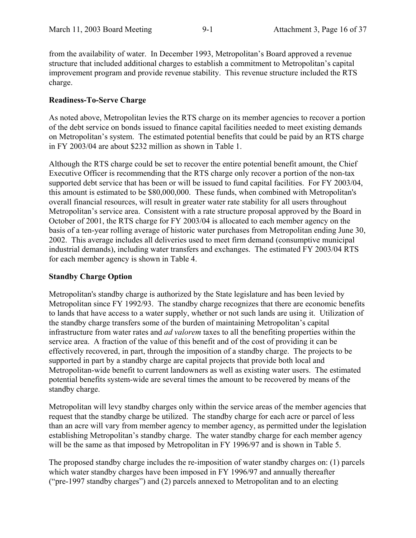from the availability of water. In December 1993, Metropolitan's Board approved a revenue structure that included additional charges to establish a commitment to Metropolitan's capital improvement program and provide revenue stability. This revenue structure included the RTS charge.

#### **Readiness-To-Serve Charge**

As noted above, Metropolitan levies the RTS charge on its member agencies to recover a portion of the debt service on bonds issued to finance capital facilities needed to meet existing demands on Metropolitan's system. The estimated potential benefits that could be paid by an RTS charge in FY 2003/04 are about \$232 million as shown in Table 1.

Although the RTS charge could be set to recover the entire potential benefit amount, the Chief Executive Officer is recommending that the RTS charge only recover a portion of the non-tax supported debt service that has been or will be issued to fund capital facilities. For FY 2003/04, this amount is estimated to be \$80,000,000. These funds, when combined with Metropolitan's overall financial resources, will result in greater water rate stability for all users throughout Metropolitan's service area. Consistent with a rate structure proposal approved by the Board in October of 2001, the RTS charge for FY 2003/04 is allocated to each member agency on the basis of a ten-year rolling average of historic water purchases from Metropolitan ending June 30, 2002. This average includes all deliveries used to meet firm demand (consumptive municipal industrial demands), including water transfers and exchanges. The estimated FY 2003/04 RTS for each member agency is shown in Table 4.

#### **Standby Charge Option**

Metropolitan's standby charge is authorized by the State legislature and has been levied by Metropolitan since FY 1992/93. The standby charge recognizes that there are economic benefits to lands that have access to a water supply, whether or not such lands are using it. Utilization of the standby charge transfers some of the burden of maintaining Metropolitan's capital infrastructure from water rates and *ad valorem* taxes to all the benefiting properties within the service area. A fraction of the value of this benefit and of the cost of providing it can be effectively recovered, in part, through the imposition of a standby charge. The projects to be supported in part by a standby charge are capital projects that provide both local and Metropolitan-wide benefit to current landowners as well as existing water users. The estimated potential benefits system-wide are several times the amount to be recovered by means of the standby charge.

Metropolitan will levy standby charges only within the service areas of the member agencies that request that the standby charge be utilized. The standby charge for each acre or parcel of less than an acre will vary from member agency to member agency, as permitted under the legislation establishing Metropolitan's standby charge. The water standby charge for each member agency will be the same as that imposed by Metropolitan in FY 1996/97 and is shown in Table 5.

The proposed standby charge includes the re-imposition of water standby charges on: (1) parcels which water standby charges have been imposed in FY 1996/97 and annually thereafter ("pre-1997 standby charges") and (2) parcels annexed to Metropolitan and to an electing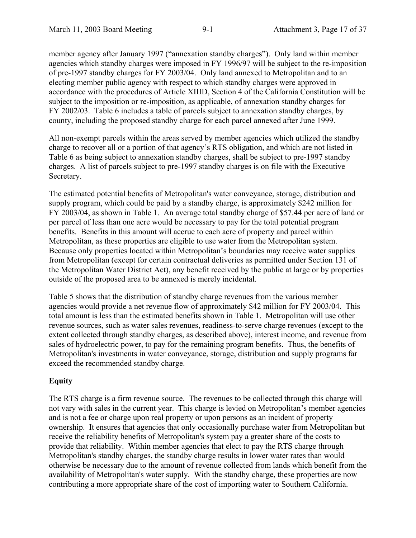member agency after January 1997 ("annexation standby charges"). Only land within member agencies which standby charges were imposed in FY 1996/97 will be subject to the re-imposition of pre-1997 standby charges for FY 2003/04. Only land annexed to Metropolitan and to an electing member public agency with respect to which standby charges were approved in accordance with the procedures of Article XIIID, Section 4 of the California Constitution will be subject to the imposition or re-imposition, as applicable, of annexation standby charges for FY 2002/03. Table 6 includes a table of parcels subject to annexation standby charges, by county, including the proposed standby charge for each parcel annexed after June 1999.

All non-exempt parcels within the areas served by member agencies which utilized the standby charge to recover all or a portion of that agency's RTS obligation, and which are not listed in Table 6 as being subject to annexation standby charges, shall be subject to pre-1997 standby charges. A list of parcels subject to pre-1997 standby charges is on file with the Executive Secretary.

The estimated potential benefits of Metropolitan's water conveyance, storage, distribution and supply program, which could be paid by a standby charge, is approximately \$242 million for FY 2003/04, as shown in Table 1. An average total standby charge of \$57.44 per acre of land or per parcel of less than one acre would be necessary to pay for the total potential program benefits. Benefits in this amount will accrue to each acre of property and parcel within Metropolitan, as these properties are eligible to use water from the Metropolitan system. Because only properties located within Metropolitan's boundaries may receive water supplies from Metropolitan (except for certain contractual deliveries as permitted under Section 131 of the Metropolitan Water District Act), any benefit received by the public at large or by properties outside of the proposed area to be annexed is merely incidental.

Table 5 shows that the distribution of standby charge revenues from the various member agencies would provide a net revenue flow of approximately \$42 million for FY 2003/04. This total amount is less than the estimated benefits shown in Table 1. Metropolitan will use other revenue sources, such as water sales revenues, readiness-to-serve charge revenues (except to the extent collected through standby charges, as described above), interest income, and revenue from sales of hydroelectric power, to pay for the remaining program benefits. Thus, the benefits of Metropolitan's investments in water conveyance, storage, distribution and supply programs far exceed the recommended standby charge.

#### **Equity**

The RTS charge is a firm revenue source. The revenues to be collected through this charge will not vary with sales in the current year. This charge is levied on Metropolitan's member agencies and is not a fee or charge upon real property or upon persons as an incident of property ownership. It ensures that agencies that only occasionally purchase water from Metropolitan but receive the reliability benefits of Metropolitan's system pay a greater share of the costs to provide that reliability. Within member agencies that elect to pay the RTS charge through Metropolitan's standby charges, the standby charge results in lower water rates than would otherwise be necessary due to the amount of revenue collected from lands which benefit from the availability of Metropolitan's water supply. With the standby charge, these properties are now contributing a more appropriate share of the cost of importing water to Southern California.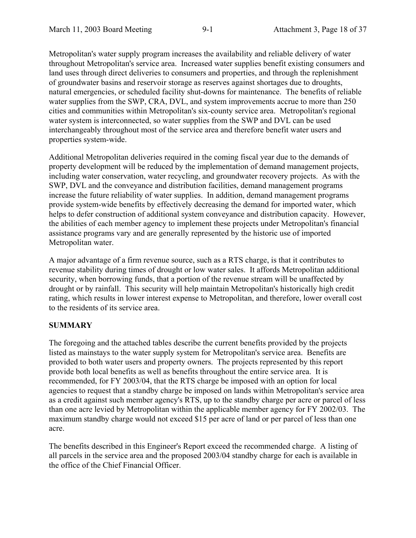Metropolitan's water supply program increases the availability and reliable delivery of water throughout Metropolitan's service area. Increased water supplies benefit existing consumers and land uses through direct deliveries to consumers and properties, and through the replenishment of groundwater basins and reservoir storage as reserves against shortages due to droughts, natural emergencies, or scheduled facility shut-downs for maintenance. The benefits of reliable water supplies from the SWP, CRA, DVL, and system improvements accrue to more than 250 cities and communities within Metropolitan's six-county service area. Metropolitan's regional water system is interconnected, so water supplies from the SWP and DVL can be used interchangeably throughout most of the service area and therefore benefit water users and properties system-wide.

Additional Metropolitan deliveries required in the coming fiscal year due to the demands of property development will be reduced by the implementation of demand management projects, including water conservation, water recycling, and groundwater recovery projects. As with the SWP, DVL and the conveyance and distribution facilities, demand management programs increase the future reliability of water supplies. In addition, demand management programs provide system-wide benefits by effectively decreasing the demand for imported water, which helps to defer construction of additional system conveyance and distribution capacity. However, the abilities of each member agency to implement these projects under Metropolitan's financial assistance programs vary and are generally represented by the historic use of imported Metropolitan water.

A major advantage of a firm revenue source, such as a RTS charge, is that it contributes to revenue stability during times of drought or low water sales. It affords Metropolitan additional security, when borrowing funds, that a portion of the revenue stream will be unaffected by drought or by rainfall. This security will help maintain Metropolitan's historically high credit rating, which results in lower interest expense to Metropolitan, and therefore, lower overall cost to the residents of its service area.

#### **SUMMARY**

The foregoing and the attached tables describe the current benefits provided by the projects listed as mainstays to the water supply system for Metropolitan's service area. Benefits are provided to both water users and property owners. The projects represented by this report provide both local benefits as well as benefits throughout the entire service area. It is recommended, for FY 2003/04, that the RTS charge be imposed with an option for local agencies to request that a standby charge be imposed on lands within Metropolitan's service area as a credit against such member agency's RTS, up to the standby charge per acre or parcel of less than one acre levied by Metropolitan within the applicable member agency for FY 2002/03. The maximum standby charge would not exceed \$15 per acre of land or per parcel of less than one acre.

The benefits described in this Engineer's Report exceed the recommended charge. A listing of all parcels in the service area and the proposed 2003/04 standby charge for each is available in the office of the Chief Financial Officer.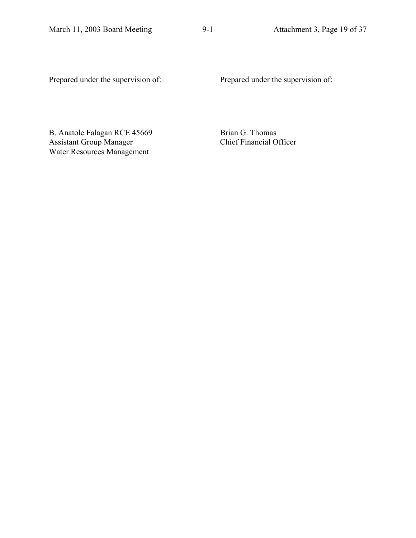Prepared under the supervision of: Prepared under the supervision of:

B. Anatole Falagan RCE 45669 Assistant Group Manager Water Resources Management

 Brian G. Thomas Chief Financial Officer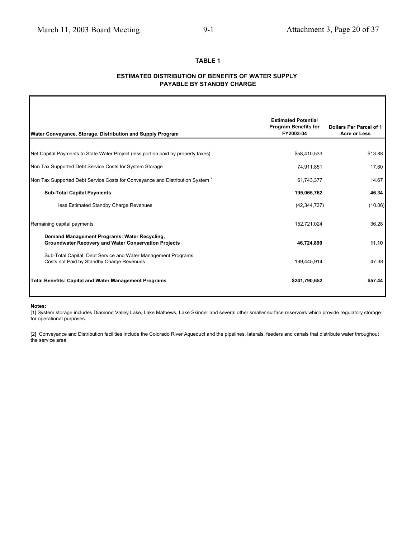#### **TABLE 1**

#### **ESTIMATED DISTRIBUTION OF BENEFITS OF WATER SUPPLY PAYABLE BY STANDBY CHARGE**

| Water Conveyance, Storage, Distribution and Supply Program                                                  | <b>Estimated Potential</b><br><b>Program Benefits for</b><br>FY2003-04 | Dollars Per Parcel of 1<br><b>Acre or Less</b> |
|-------------------------------------------------------------------------------------------------------------|------------------------------------------------------------------------|------------------------------------------------|
|                                                                                                             |                                                                        |                                                |
| Net Capital Payments to State Water Project (less portion paid by property taxes)                           | \$58,410,533                                                           | \$13.88                                        |
| Non Tax Supported Debt Service Costs for System Storage <sup>1</sup>                                        | 74,911,851                                                             | 17.80                                          |
| Non Tax Supported Debt Service Costs for Conveyance and Distribution System <sup>2</sup>                    | 61,743,377                                                             | 14.67                                          |
| <b>Sub-Total Capital Payments</b>                                                                           | 195,065,762                                                            | 46.34                                          |
| less Estimated Standby Charge Revenues                                                                      | (42, 344, 737)                                                         | (10.06)                                        |
| Remaining capital payments                                                                                  | 152,721,024                                                            | 36.28                                          |
| Demand Management Programs: Water Recycling,<br><b>Groundwater Recovery and Water Conservation Projects</b> | 46,724,890                                                             | 11.10                                          |
| Sub-Total Capital, Debt Service and Water Management Programs<br>Costs not Paid by Standby Charge Revenues  | 199,445,914                                                            | 47.38                                          |
| <b>Total Benefits: Capital and Water Management Programs</b>                                                | \$241,790,652                                                          | \$57.44                                        |

#### **Notes:**

Г

[1] System storage includes Diamond Valley Lake, Lake Mathews, Lake Skinner and several other smaller surface reservoirs which provide regulatory storage for operational purposes.

[2] Conveyance and Distribution facilities include the Colorado River Aqueduct and the pipelines, laterals, feeders and canals that distribute water throughout the service area.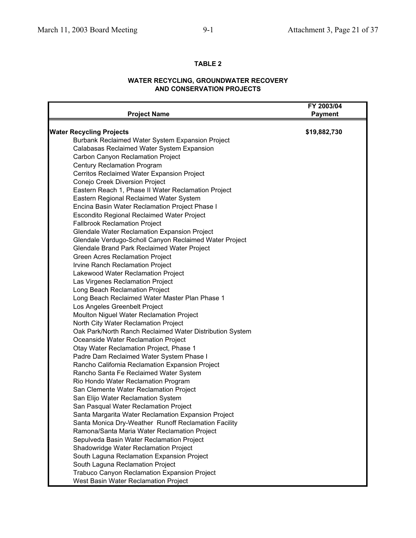#### **TABLE 2**

#### **WATER RECYCLING, GROUNDWATER RECOVERY AND CONSERVATION PROJECTS**

| <b>Project Name</b>                                      | FY 2003/04<br><b>Payment</b> |
|----------------------------------------------------------|------------------------------|
| <b>Water Recycling Projects</b>                          | \$19,882,730                 |
| Burbank Reclaimed Water System Expansion Project         |                              |
| Calabasas Reclaimed Water System Expansion               |                              |
| Carbon Canyon Reclamation Project                        |                              |
| <b>Century Reclamation Program</b>                       |                              |
| Cerritos Reclaimed Water Expansion Project               |                              |
| Conejo Creek Diversion Project                           |                              |
| Eastern Reach 1, Phase II Water Reclamation Project      |                              |
| Eastern Regional Reclaimed Water System                  |                              |
| Encina Basin Water Reclamation Project Phase I           |                              |
| Escondito Regional Reclaimed Water Project               |                              |
| <b>Fallbrook Reclamation Project</b>                     |                              |
| Glendale Water Reclamation Expansion Project             |                              |
| Glendale Verdugo-Scholl Canyon Reclaimed Water Project   |                              |
| Glendale Brand Park Reclaimed Water Project              |                              |
| Green Acres Reclamation Project                          |                              |
| Irvine Ranch Reclamation Project                         |                              |
| Lakewood Water Reclamation Project                       |                              |
| Las Virgenes Reclamation Project                         |                              |
| Long Beach Reclamation Project                           |                              |
| Long Beach Reclaimed Water Master Plan Phase 1           |                              |
| Los Angeles Greenbelt Project                            |                              |
| Moulton Niguel Water Reclamation Project                 |                              |
| North City Water Reclamation Project                     |                              |
| Oak Park/North Ranch Reclaimed Water Distribution System |                              |
| Oceanside Water Reclamation Project                      |                              |
| Otay Water Reclamation Project, Phase 1                  |                              |
| Padre Dam Reclaimed Water System Phase I                 |                              |
| Rancho California Reclamation Expansion Project          |                              |
| Rancho Santa Fe Reclaimed Water System                   |                              |
| Rio Hondo Water Reclamation Program                      |                              |
| San Clemente Water Reclamation Project                   |                              |
| San Elijo Water Reclamation System                       |                              |
| San Pasqual Water Reclamation Project                    |                              |
| Santa Margarita Water Reclamation Expansion Project      |                              |
| Santa Monica Dry-Weather Runoff Reclamation Facility     |                              |
| Ramona/Santa Maria Water Reclamation Project             |                              |
| Sepulveda Basin Water Reclamation Project                |                              |
| Shadowridge Water Reclamation Project                    |                              |
| South Laguna Reclamation Expansion Project               |                              |
| South Laguna Reclamation Project                         |                              |
| Trabuco Canyon Reclamation Expansion Project             |                              |
| West Basin Water Reclamation Project                     |                              |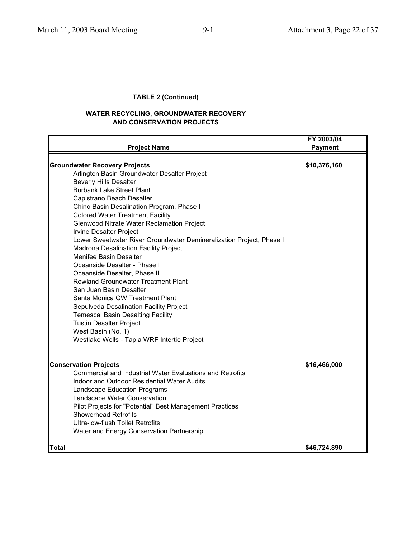#### **TABLE 2 (Continued)**

#### **WATER RECYCLING, GROUNDWATER RECOVERY AND CONSERVATION PROJECTS**

|                                                                                                                                                                                                                                                                                                                                                                                                                                                                                                                                                                                                                                                                                                                                                                                                                                                                                     | FY 2003/04     |
|-------------------------------------------------------------------------------------------------------------------------------------------------------------------------------------------------------------------------------------------------------------------------------------------------------------------------------------------------------------------------------------------------------------------------------------------------------------------------------------------------------------------------------------------------------------------------------------------------------------------------------------------------------------------------------------------------------------------------------------------------------------------------------------------------------------------------------------------------------------------------------------|----------------|
| <b>Project Name</b>                                                                                                                                                                                                                                                                                                                                                                                                                                                                                                                                                                                                                                                                                                                                                                                                                                                                 | <b>Payment</b> |
| <b>Groundwater Recovery Projects</b><br>Arlington Basin Groundwater Desalter Project<br><b>Beverly Hills Desalter</b><br><b>Burbank Lake Street Plant</b><br>Capistrano Beach Desalter<br>Chino Basin Desalination Program, Phase I<br><b>Colored Water Treatment Facility</b><br>Glenwood Nitrate Water Reclamation Project<br>Irvine Desalter Project<br>Lower Sweetwater River Groundwater Demineralization Project, Phase I<br>Madrona Desalination Facility Project<br><b>Menifee Basin Desalter</b><br>Oceanside Desalter - Phase I<br>Oceanside Desalter, Phase II<br><b>Rowland Groundwater Treatment Plant</b><br>San Juan Basin Desalter<br>Santa Monica GW Treatment Plant<br>Sepulveda Desalination Facility Project<br><b>Temescal Basin Desalting Facility</b><br><b>Tustin Desalter Project</b><br>West Basin (No. 1)<br>Westlake Wells - Tapia WRF Intertie Project | \$10,376,160   |
| <b>Conservation Projects</b><br><b>Commercial and Industrial Water Evaluations and Retrofits</b><br>Indoor and Outdoor Residential Water Audits<br>Landscape Education Programs<br>Landscape Water Conservation<br>Pilot Projects for "Potential" Best Management Practices<br><b>Showerhead Retrofits</b><br>Ultra-low-flush Toilet Retrofits<br>Water and Energy Conservation Partnership                                                                                                                                                                                                                                                                                                                                                                                                                                                                                         | \$16,466,000   |
| Total                                                                                                                                                                                                                                                                                                                                                                                                                                                                                                                                                                                                                                                                                                                                                                                                                                                                               | \$46,724,890   |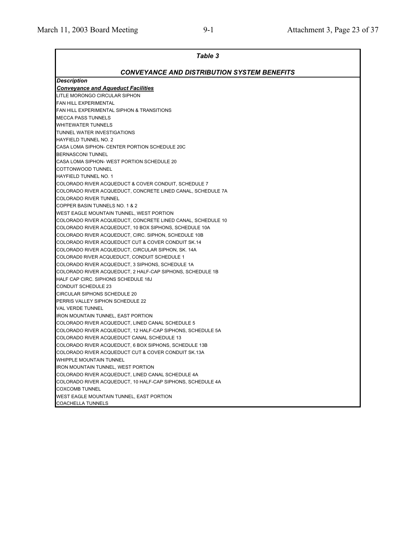| <b>Table 3</b>                                                                                                 |
|----------------------------------------------------------------------------------------------------------------|
| <b>CONVEYANCE AND DISTRIBUTION SYSTEM BENEFITS</b>                                                             |
| <b>Description</b>                                                                                             |
| <b>Conveyance and Aqueduct Facilities</b>                                                                      |
| LITLE MORONGO CIRCULAR SIPHON                                                                                  |
| FAN HILL EXPERIMENTAL                                                                                          |
| FAN HILL EXPERIMENTAL SIPHON & TRANSITIONS                                                                     |
| <b>MECCA PASS TUNNELS</b>                                                                                      |
| WHITEWATER TUNNELS                                                                                             |
| TUNNEL WATER INVESTIGATIONS                                                                                    |
| <b>HAYFIELD TUNNEL NO. 2</b>                                                                                   |
| CASA LOMA SIPHON- CENTER PORTION SCHEDULE 20C                                                                  |
| <b>BERNASCONI TUNNEL</b>                                                                                       |
| CASA LOMA SIPHON- WEST PORTION SCHEDULE 20                                                                     |
| COTTONWOOD TUNNEL                                                                                              |
| <b>HAYFIELD TUNNEL NO. 1</b>                                                                                   |
| COLORADO RIVER ACQUEDUCT & COVER CONDUIT, SCHEDULE 7                                                           |
| COLORADO RIVER ACQUEDUCT, CONCRETE LINED CANAL, SCHEDULE 7A                                                    |
| COLORADO RIVER TUNNEL                                                                                          |
| COPPER BASIN TUNNELS NO. 1 & 2                                                                                 |
| WEST EAGLE MOUNTAIN TUNNEL, WEST PORTION                                                                       |
| COLORADO RIVER ACQUEDUCT, CONCRETE LINED CANAL, SCHEDULE 10                                                    |
| COLORADO RIVER ACQUEDUCT, 10 BOX SIPHONS, SCHEDULE 10A                                                         |
| COLORADO RIVER ACQUEDUCT, CIRC. SIPHON, SCHEDULE 10B                                                           |
| COLORADO RIVER ACQUEDUCT CUT & COVER CONDUIT SK.14                                                             |
| COLORADO RIVER ACQUEDUCT, CIRCULAR SIPHON, SK. 14A                                                             |
| COLORAD0 RIVER ACQUEDUCT, CONDUIT SCHEDULE 1                                                                   |
| COLORADO RIVER ACQUEDUCT, 3 SIPHONS, SCHEDULE 1A                                                               |
| COLORADO RIVER ACQUEDUCT, 2 HALF-CAP SIPHONS, SCHEDULE 1B                                                      |
| HALF CAP CIRC. SIPHONS SCHEDULE 18J                                                                            |
| <b>CONDUIT SCHEDULE 23</b>                                                                                     |
| <b>CIRCULAR SIPHONS SCHEDULE 20</b>                                                                            |
| PERRIS VALLEY SIPHON SCHEDULE 22                                                                               |
| <b>VAL VERDE TUNNEL</b>                                                                                        |
| <b>IRON MOUNTAIN TUNNEL, EAST PORTION</b>                                                                      |
| COLORADO RIVER ACQUEDUCT, LINED CANAL SCHEDULE 5<br>COLORADO RIVER ACQUEDUCT, 12 HALF-CAP SIPHONS, SCHEDULE 5A |
| COLORADO RIVER ACQUEDUCT CANAL SCHEDULE 13                                                                     |
| COLORADO RIVER ACQUEDUCT, 6 BOX SIPHONS, SCHEDULE 13B                                                          |
| COLORADO RIVER ACQUEDUCT CUT & COVER CONDUIT SK.13A                                                            |
| WHIPPLE MOUNTAIN TUNNEL                                                                                        |
| <b>IRON MOUNTAIN TUNNEL, WEST PORTION</b>                                                                      |
| COLORADO RIVER ACQUEDUCT, LINED CANAL SCHEDULE 4A                                                              |
| COLORADO RIVER ACQUEDUCT, 10 HALF-CAP SIPHONS, SCHEDULE 4A                                                     |
| <b>COXCOMB TUNNEL</b>                                                                                          |
| WEST EAGLE MOUNTAIN TUNNEL, EAST PORTION                                                                       |
| <b>COACHELLA TUNNELS</b>                                                                                       |
|                                                                                                                |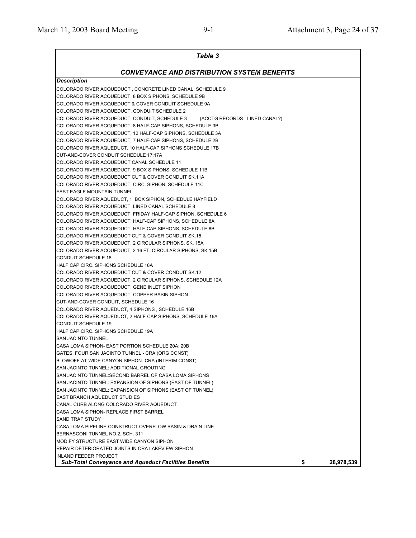| <b>Table 3</b>                                                                  |                  |
|---------------------------------------------------------------------------------|------------------|
| <b>CONVEYANCE AND DISTRIBUTION SYSTEM BENEFITS</b>                              |                  |
| <b>Description</b>                                                              |                  |
| COLORADO RIVER ACQUEDUCT, CONCRETE LINED CANAL, SCHEDULE 9                      |                  |
| COLORADO RIVER ACQUEDUCT, 8 BOX SIPHONS, SCHEDULE 9B                            |                  |
| COLORADO RIVER ACQUEDUCT & COVER CONDUIT SCHEDULE 9A                            |                  |
| COLORADO RIVER ACQUEDUCT, CONDUIT SCHEDULE 2                                    |                  |
| COLORADO RIVER ACQUEDUCT, CONDUIT, SCHEDULE 3<br>(ACCTG RECORDS - LINED CANAL?) |                  |
| COLORADO RIVER ACQUEDUCT, 8 HALF-CAP SIPHONS, SCHEDULE 3B                       |                  |
| COLORADO RIVER ACQUEDUCT, 12 HALF-CAP SIPHONS, SCHEDULE 3A                      |                  |
| COLORADO RIVER ACQUEDUCT, 7 HALF-CAP SIPHONS, SCHEDULE 2B                       |                  |
| COLORADO RIVER AQUEDUCT, 10 HALF-CAP SIPHONS SCHEDULE 17B                       |                  |
| CUT-AND-COVER CONDUIT SCHEDULE 17;17A                                           |                  |
| COLORADO RIVER ACQUEDUCT CANAL SCHEDULE 11                                      |                  |
| COLORADO RIVER ACQUEDUCT, 9 BOX SIPHONS, SCHEDULE 11B                           |                  |
| COLORADO RIVER ACQUEDUCT CUT & COVER CONDUIT SK.11A                             |                  |
| COLORADO RIVER ACQUEDUCT, CIRC. SIPHON, SCHEDULE 11C                            |                  |
| <b>EAST EAGLE MOUNTAIN TUNNEL</b>                                               |                  |
| COLORADO RIVER AQUEDUCT, 1 BOX SIPHON, SCHEDULE HAYFIELD                        |                  |
| COLORADO RIVER ACQUEDUCT, LINED CANAL SCHEDULE 8                                |                  |
| COLORADO RIVER ACQUEDUCT, FRIDAY HALF-CAP SIPHON, SCHEDULE 6                    |                  |
| COLORADO RIVER ACQUEDUCT, HALF-CAP SIPHONS, SCHEDULE 8A                         |                  |
| COLORADO RIVER ACQUEDUCT, HALF-CAP SIPHONS, SCHEDULE 8B                         |                  |
| COLORADO RIVER ACQUEDUCT CUT & COVER CONDUIT SK.15                              |                  |
| COLORADO RIVER ACQUEDUCT, 2 CIRCULAR SIPHONS, SK. 15A                           |                  |
| COLORADO RIVER ACQUEDUCT, 2 16 FT., CIRCULAR SIPHONS, SK.15B                    |                  |
| <b>CONDUIT SCHEDULE 18</b>                                                      |                  |
| HALF CAP CIRC. SIPHONS SCHEDULE 18A                                             |                  |
| COLORADO RIVER ACQUEDUCT CUT & COVER CONDUIT SK.12                              |                  |
| COLORADO RIVER ACQUEDUCT, 2 CIRCULAR SIPHONS, SCHEDULE 12A                      |                  |
| COLORADO RIVER ACQUEDUCT, GENE INLET SIPHON                                     |                  |
| COLORADO RIVER ACQUEDUCT, COPPER BASIN SIPHON                                   |                  |
| CUT-AND-COVER CONDUIT, SCHEDULE 16                                              |                  |
| COLORADO RIVER AQUEDUCT, 4 SIPHONS, SCHEDULE 16B                                |                  |
| COLORADO RIVER AQUEDUCT, 2 HALF-CAP SIPHONS, SCHEDULE 16A                       |                  |
| <b>CONDUIT SCHEDULE 19</b>                                                      |                  |
| HALF CAP CIRC. SIPHONS SCHEDULE 19A                                             |                  |
| <b>SAN JACINTO TUNNEL</b>                                                       |                  |
| CASA LOMA SIPHON- EAST PORTION SCHEDULE 20A; 20B                                |                  |
| GATES, FOUR SAN JACINTO TUNNEL - CRA (ORG CONST)                                |                  |
| BLOWOFF AT WIDE CANYON SIPHON- CRA (INTERIM CONST)                              |                  |
| SAN JACINTO TUNNEL: ADDITIONAL GROUTING                                         |                  |
| SAN JACINTO TUNNEL:SECOND BARREL OF CASA LOMA SIPHONS                           |                  |
| SAN JACINTO TUNNEL: EXPANSION OF SIPHONS (EAST OF TUNNEL)                       |                  |
| SAN JACINTO TUNNEL: EXPANSION OF SIPHONS (EAST OF TUNNEL)                       |                  |
| <b>EAST BRANCH AQUEDUCT STUDIES</b>                                             |                  |
| CANAL CURB ALONG COLORADO RIVER AQUEDUCT                                        |                  |
| CASA LOMA SIPHON- REPLACE FIRST BARREL                                          |                  |
| <b>SAND TRAP STUDY</b>                                                          |                  |
| CASA LOMA PIPELINE-CONSTRUCT OVERFLOW BASIN & DRAIN LINE                        |                  |
| BERNASCONI TUNNEL NO.2, SCH. 311                                                |                  |
| MODIFY STRUCTURE EAST WIDE CANYON SIPHON                                        |                  |
| REPAIR DETERIORATED JOINTS IN CRA LAKEVIEW SIPHON                               |                  |
| <b>INLAND FEEDER PROJECT</b>                                                    |                  |
| <b>Sub-Total Conveyance and Aqueduct Facilities Benefits</b>                    | \$<br>28,978,539 |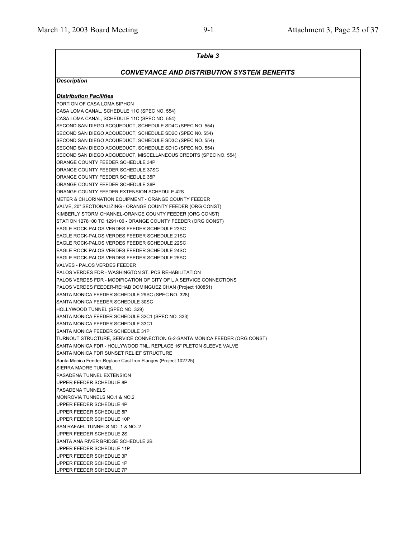| <b>Table 3</b>                                                                                             |  |  |  |  |  |  |
|------------------------------------------------------------------------------------------------------------|--|--|--|--|--|--|
| <b>CONVEYANCE AND DISTRIBUTION SYSTEM BENEFITS</b>                                                         |  |  |  |  |  |  |
| <b>Description</b>                                                                                         |  |  |  |  |  |  |
| <b>Distribution Facilities</b>                                                                             |  |  |  |  |  |  |
| PORTION OF CASA LOMA SIPHON                                                                                |  |  |  |  |  |  |
| CASA LOMA CANAL, SCHEDULE 11C (SPEC NO. 554)                                                               |  |  |  |  |  |  |
| CASA LOMA CANAL, SCHEDULE 11C (SPEC NO. 554)                                                               |  |  |  |  |  |  |
| SECOND SAN DIEGO ACQUEDUCT, SCHEDULE SD4C (SPEC NO. 554)                                                   |  |  |  |  |  |  |
| SECOND SAN DIEGO ACQUEDUCT, SCHEDULE SD2C (SPEC N0. 554)                                                   |  |  |  |  |  |  |
| SECOND SAN DIEGO ACQUEDUCT, SCHEDULE SD3C (SPEC NO. 554)                                                   |  |  |  |  |  |  |
| SECOND SAN DIEGO ACQUEDUCT, SCHEDULE SD1C (SPEC NO. 554)                                                   |  |  |  |  |  |  |
| SECOND SAN DIEGO ACQUEDUCT, MISCELLANEOUS CREDITS (SPEC NO. 554)                                           |  |  |  |  |  |  |
| ORANGE COUNTY FEEDER SCHEDULE 34P                                                                          |  |  |  |  |  |  |
| ORANGE COUNTY FEEDER SCHEDULE 37SC                                                                         |  |  |  |  |  |  |
| ORANGE COUNTY FEEDER SCHEDULE 35P                                                                          |  |  |  |  |  |  |
| ORANGE COUNTY FEEDER SCHEDULE 36P                                                                          |  |  |  |  |  |  |
| ORANGE COUNTY FEEDER EXTENSION SCHEDULE 42S                                                                |  |  |  |  |  |  |
| METER & CHLORINATION EQUIPMENT - ORANGE COUNTY FEEDER                                                      |  |  |  |  |  |  |
| VALVE, 20" SECTIONALIZING - ORANGE COUNTY FEEDER (ORG CONST)                                               |  |  |  |  |  |  |
| KIMBERLY STORM CHANNEL-ORANGE COUNTY FEEDER (ORG CONST)                                                    |  |  |  |  |  |  |
| STATION 1278+00 TO 1291+00 - ORANGE COUNTY FEEDER (ORG CONST)                                              |  |  |  |  |  |  |
| EAGLE ROCK-PALOS VERDES FEEDER SCHEDULE 23SC                                                               |  |  |  |  |  |  |
| EAGLE ROCK-PALOS VERDES FEEDER SCHEDULE 21SC                                                               |  |  |  |  |  |  |
| EAGLE ROCK-PALOS VERDES FEEDER SCHEDULE 22SC                                                               |  |  |  |  |  |  |
| EAGLE ROCK-PALOS VERDES FEEDER SCHEDULE 24SC                                                               |  |  |  |  |  |  |
| EAGLE ROCK-PALOS VERDES FEEDER SCHEDULE 25SC                                                               |  |  |  |  |  |  |
| VALVES - PALOS VERDES FEEDER                                                                               |  |  |  |  |  |  |
| <b>PALOS VERDES FDR - WASHINGTON ST. PCS REHABILITATION</b>                                                |  |  |  |  |  |  |
| <b>PALOS VERDES FDR - MODIFICATION OF CITY OF L A SERVICE CONNECTIONS</b>                                  |  |  |  |  |  |  |
| PALOS VERDES FEEDER-REHAB DOMINGUEZ CHAN (Project 100851)                                                  |  |  |  |  |  |  |
| SANTA MONICA FEEDER SCHEDULE 29SC (SPEC NO. 328)                                                           |  |  |  |  |  |  |
| SANTA MONICA FEEDER SCHEDULE 30SC                                                                          |  |  |  |  |  |  |
| HOLLYWOOD TUNNEL (SPEC NO. 329)                                                                            |  |  |  |  |  |  |
| SANTA MONICA FEEDER SCHEDULE 32C1 (SPEC NO. 333)                                                           |  |  |  |  |  |  |
| SANTA MONICA FEEDER SCHEDULE 33C1                                                                          |  |  |  |  |  |  |
| SANTA MONICA FEEDER SCHEDULE 31P                                                                           |  |  |  |  |  |  |
| TURNOUT STRUCTURE, SERVICE CONNECTION G-2-SANTA MONICA FEEDER (ORG CONST)                                  |  |  |  |  |  |  |
| SANTA MONICA FDR - HOLLYWOOD TNL. REPLACE 16" PLETON SLEEVE VALVE                                          |  |  |  |  |  |  |
| SANTA MONICA FDR SUNSET RELIEF STRUCTURE<br>Santa Monica Feeder-Replace Cast Iron Flanges (Project 102725) |  |  |  |  |  |  |
| SIERRA MADRE TUNNEL                                                                                        |  |  |  |  |  |  |
| PASADENA TUNNEL EXTENSION                                                                                  |  |  |  |  |  |  |
| UPPER FEEDER SCHEDULE 8P                                                                                   |  |  |  |  |  |  |
| <b>PASADENA TUNNELS</b>                                                                                    |  |  |  |  |  |  |
| MONROVIA TUNNELS NO.1 & NO.2                                                                               |  |  |  |  |  |  |
| UPPER FEEDER SCHEDULE 4P                                                                                   |  |  |  |  |  |  |
| UPPER FEEDER SCHEDULE 5P                                                                                   |  |  |  |  |  |  |
| UPPER FEEDER SCHEDULE 10P                                                                                  |  |  |  |  |  |  |
| SAN RAFAEL TUNNELS NO. 1 & NO. 2                                                                           |  |  |  |  |  |  |
| UPPER FEEDER SCHEDULE 2S                                                                                   |  |  |  |  |  |  |
| SANTA ANA RIVER BRIDGE SCHEDULE 2B                                                                         |  |  |  |  |  |  |
| UPPER FEEDER SCHEDULE 11P                                                                                  |  |  |  |  |  |  |
| UPPER FEEDER SCHEDULE 3P                                                                                   |  |  |  |  |  |  |
| UPPER FEEDER SCHEDULE 1P                                                                                   |  |  |  |  |  |  |
| UPPER FEEDER SCHEDULE 7P                                                                                   |  |  |  |  |  |  |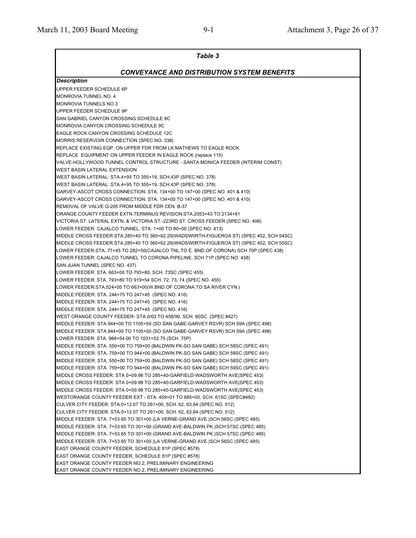| Table 3                                                                                                        |
|----------------------------------------------------------------------------------------------------------------|
| <b>CONVEYANCE AND DISTRIBUTION SYSTEM BENEFITS</b>                                                             |
| <b>Description</b>                                                                                             |
| UPPER FEEDER SCHEDULE 6P                                                                                       |
| <b>MONROVIA TUNNEL NO. 4</b>                                                                                   |
| <b>MONROVIA TUNNELS NO.3</b>                                                                                   |
| UPPER FEEDER SCHEDULE 9P                                                                                       |
| SAN GABRIEL CANYON CROSSING SCHEDULE 8C                                                                        |
| MONROVIA CANYON CROSSING SCHEDULE 9C                                                                           |
| EAGLE ROCK CANYON CROSSING SCHEDULE 12C                                                                        |
| MORRIS RESERVOIR CONNECTION (SPEC NO. 338)                                                                     |
| REPLACE EXISTING EQP. ON UPPER FDR FROM LK.MATHEWS TO EAGLE ROCK                                               |
| REPLACE EQUIPMENT ON UPPER FEEDER IN EAGLE ROCK (replace 115)                                                  |
| VALVE-HOLLYWOOD TUNNEL CONTROL STRUCTURE - SANTA MONICA FEEDER (INTERIM CONST)                                 |
| <b>WEST BASIN LATERAL EXTENSION</b>                                                                            |
| WEST BASIN LATERAL: STA.4+95 TO 355+19, SCH.43P (SPEC NO. 378)                                                 |
| WEST BASIN LATERAL: STA.4+95 TO 355+19, SCH.43P (SPEC NO. 378)                                                 |
| GARVEY-ASCOT CROSS CONNECTION: STA. 134+00 TO 147+00 (SPEC NO. 401 & 410)                                      |
| GARVEY-ASCOT CROSS CONNECTION: STA. 134+00 TO 147+00 (SPEC NO. 401 & 410)                                      |
| REMOVAL OF VALVE G-205 FROM MIDDLE FDR CEN. B-37                                                               |
| ORANGE COUNTY FEEDER EXTN.TERMINUS REVISION:STA.2053+43 TO 2134+81                                             |
| VICTORIA ST. LATERAL EXTN. & VICTORIA ST.-223RD ST. CROSS FEEDER (SPEC NO. 406)                                |
| LOWER FEEDER: CAJALCO TUNNEL: STA. 1+00 TO 80+00 (SPEC NO. 413)                                                |
| MIDDLE CROSS FEEDER:STA.285+40 TO 360+62.29(WADSW0RTH-FIGUEROA ST) (SPEC 452, SCH 54SC)                        |
| MIDDLE CROSS FEEDER:STA.285+40 TO 360+62.29(WADSW0RTH-FIGUEROA ST) (SPEC 452, SCH 55SC)                        |
| LOWER FEEDER:STA. 77+45 TO 282+50(CAJALCO TNL.TO E. BND.OF CORONA) SCH 70P (SPEC 438)                          |
| LOWER FEEDER: CAJALCO TUNNEL TO CORONA PIPELINE, SCH 71P (SPEC NO. 438)                                        |
| SAN JUAN TUNNEL (SPEC NO. 437)<br>LOWER FEEDER: STA. 663+00 TO 793+80, SCH. 73SC (SPEC 455)                    |
| LOWER FEEDER: STA. 793+80 TO 919+54 SCH. 72, 73, 74 (SPEC NO. 455)                                             |
| LOWER FEEDER:STA.524+05 TO 663+00(W.BND.OF CORONA TO SA RIVER CYN.)                                            |
| MIDDLE FEEDER: STA. 244+75 TO 247+45 (SPEC NO. 416)                                                            |
| MIDDLE FEEDER: STA. 244+75 TO 247+45 (SPEC NO. 416)                                                            |
| MIDDLE FEEDER: STA. 244+75 TO 247+45 (SPEC NO. 416)                                                            |
| WEST ORANGE COUNTY FEEDER- STA.0/03 TO 458/90, SCH. 60SC (SPEC #427)                                           |
| MIDDLE FEEDER: STA.944+00 TO 1105+50 (SO SAN GABE-GARVEY RSVR) SCH 59A (SPEC 498)                              |
| MIDDLE FEEDER: STA.944+00 TO 1105+50 (SO SAN GABE-GARVEY RSVR) SCH 59A (SPEC 498)                              |
| LOWER FEEDER: STA. 988+54.00 TO 1031+52.75 (SCH. 75P)                                                          |
| MIDDLE FEEDER: STA. 550+00 TO 759+00 (BALDWIN PK-SO SAN GABE) SCH 58SC (SPEC 491)                              |
| MIDDLE FEEDER: STA. 759+00 TO 944+00 (BALDWIN PK-SO SAN GABE) SCH 59SC (SPEC 491)                              |
| MIDDLE FEEDER: STA. 550+00 TO 759+00 (BALDWIN PK-SO SAN GABE) SCH 58SC (SPEC 491)                              |
| MIDDLE FEEDER: STA. 759+00 TO 944+00 (BALDWIN PK-SO SAN GABE) SCH 59SC (SPEC 491)                              |
| MIDDLE CROSS FEEDER: STA 0+09.98 TO 285+40-GARFIELD-WADSWORTH AVE(SPEC 453)                                    |
| MIDDLE CROSS FEEDER: STA 0+09.98 TO 285+40-GARFIELD-WADSWORTH AVE(SPEC 453)                                    |
| MIDDLE CROSS FEEDER: STA 0+09.98 TO 285+40-GARFIELD-WADSWORTH AVE(SPEC 453)                                    |
| WESTORANGE COUNTY FEEDER EXT - STA. 459+01 TO 685+00, SCH. 61SC (SPEC#482)                                     |
| CULVER CITY FEEDER: STA.0+12.07 TO 261+00, SCH. 62, 63,64 (SPEC NO. 512)                                       |
| CULVER CITY FEEDER: STA.0+12.07 TO 261+00, SCH. 62, 63,64 (SPEC NO. 512)                                       |
| MIDDLE FEEDER: STA. 7+53.65 TO 301+00 (LA VERNE-GRAND AVE.)SCH 56SC (SPEC 485)                                 |
| MIDDLE FEEDER: STA. 7+53.65 TO 301+00 (GRAND AVE-BALDWIN PK.)SCH 57SC (SPEC 485)                               |
| MIDDLE FEEDER: STA. 7+53.65 TO 301+00 (GRAND AVE-BALDWIN PK.)SCH 57SC (SPEC 485)                               |
| MIDDLE FEEDER: STA. 7+53.65 TO 301+00 (LA VERNE-GRAND AVE.)SCH 56SC (SPEC 485)                                 |
| EAST ORANGE COUNTY FEEDER, SCHEDULE 81P (SPEC #578)                                                            |
| EAST ORANGE COUNTY FEEDER, SCHEDULE 81P (SPEC #578)<br>EAST ORANGE COUNTY FEEDER NO.2, PRELIMINARY ENGINEERING |
| EAST ORANGE COUNTY FEEDER NO.2, PRELIMINARY ENGINEERING                                                        |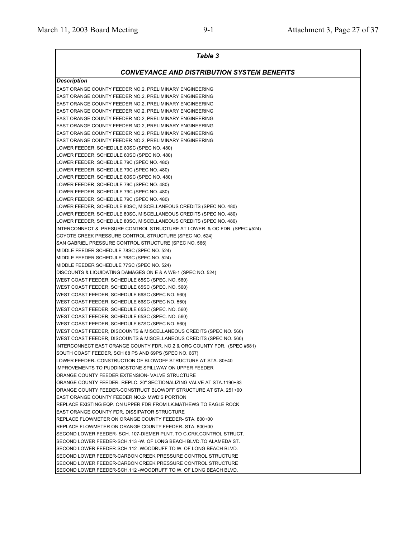| Table 3                                                                 |
|-------------------------------------------------------------------------|
| <b>CONVEYANCE AND DISTRIBUTION SYSTEM BENEFITS</b>                      |
| <b>Description</b>                                                      |
| EAST ORANGE COUNTY FEEDER NO.2, PRELIMINARY ENGINEERING                 |
| EAST ORANGE COUNTY FEEDER NO.2. PRELIMINARY ENGINEERING                 |
| EAST ORANGE COUNTY FEEDER NO.2, PRELIMINARY ENGINEERING                 |
| EAST ORANGE COUNTY FEEDER NO.2, PRELIMINARY ENGINEERING                 |
| EAST ORANGE COUNTY FEEDER NO.2, PRELIMINARY ENGINEERING                 |
| EAST ORANGE COUNTY FEEDER NO.2, PRELIMINARY ENGINEERING                 |
| EAST ORANGE COUNTY FEEDER NO.2, PRELIMINARY ENGINEERING                 |
| EAST ORANGE COUNTY FEEDER NO.2, PRELIMINARY ENGINEERING                 |
| LOWER FEEDER, SCHEDULE 80SC (SPEC NO. 480)                              |
| LOWER FEEDER, SCHEDULE 80SC (SPEC NO. 480)                              |
| LOWER FEEDER, SCHEDULE 79C (SPEC NO. 480)                               |
| LOWER FEEDER, SCHEDULE 79C (SPEC NO. 480)                               |
| LOWER FEEDER, SCHEDULE 80SC (SPEC NO. 480)                              |
| LOWER FEEDER, SCHEDULE 79C (SPEC NO. 480)                               |
| LOWER FEEDER, SCHEDULE 79C (SPEC NO. 480)                               |
| LOWER FEEDER, SCHEDULE 79C (SPEC NO. 480)                               |
| LOWER FEEDER, SCHEDULE 80SC, MISCELLANEOUS CREDITS (SPEC NO. 480)       |
| LOWER FEEDER, SCHEDULE 80SC, MISCELLANEOUS CREDITS (SPEC NO. 480)       |
| LOWER FEEDER, SCHEDULE 80SC, MISCELLANEOUS CREDITS (SPEC NO. 480)       |
| INTERCONNECT & PRESURE CONTROL STRUCTURE AT LOWER & OC FDR. (SPEC #524) |
| COYOTE CREEK PRESSURE CONTROL STRUCTURE (SPEC NO. 524)                  |
| SAN GABRIEL PRESSURE CONTROL STRUCTURE (SPEC NO. 566)                   |
| MIDDLE FEEDER SCHEDULE 78SC (SPEC NO. 524)                              |
| MIDDLE FEEDER SCHEDULE 76SC (SPEC NO. 524)                              |
| MIDDLE FEEDER SCHEDULE 77SC (SPEC NO. 524)                              |
| DISCOUNTS & LIQUIDATING DAMAGES ON E & A WB-1 (SPEC NO. 524)            |
| WEST COAST FEEDER, SCHEDULE 65SC (SPEC. NO. 560)                        |
| WEST COAST FEEDER, SCHEDULE 65SC (SPEC. NO. 560)                        |
| WEST COAST FEEDER, SCHEDULE 66SC (SPEC NO. 560)                         |
| WEST COAST FEEDER, SCHEDULE 66SC (SPEC NO. 560)                         |
| WEST COAST FEEDER, SCHEDULE 65SC (SPEC. NO. 560)                        |
| WEST COAST FEEDER, SCHEDULE 65SC (SPEC. NO. 560)                        |
| WEST COAST FEEDER, SCHEDULE 67SC (SPEC NO. 560)                         |
| WEST COAST FEEDER, DISCOUNTS & MISCELLANEOUS CREDITS (SPEC NO. 560)     |
| WEST COAST FEEDER, DISCOUNTS & MISCELLANEOUS CREDITS (SPEC NO. 560)     |
| INTERCONNECT EAST ORANGE COUNTY FDR. NO.2 & ORG COUNTY FDR. (SPEC #681) |
| SOUTH COAST FEEDER, SCH 68 PS AND 69PS (SPEC NO. 667)                   |
| LOWER FEEDER- CONSTRUCTION OF BLOWOFF STRUCTURE AT STA. 80+40           |
| IIMPROVEMENTS TO PUDDINGSTONE SPILLWAY ON UPPER FEEDER                  |
| ORANGE COUNTY FEEDER EXTENSION- VALVE STRUCTURE                         |
| ORANGE COUNTY FEEDER- REPLC. 20" SECTIONALIZING VALVE AT STA.1190+83    |
| ORANGE COUNTY FEEDER-CONSTRUCT BLOWOFF STRUCTURE AT STA. 251+00         |
| EAST ORANGE COUNTY FEEDER NO.2- MWD'S PORTION                           |
| REPLACE EXISTING EQP. ON UPPER FDR FROM LK.MATHEWS TO EAGLE ROCK        |
| EAST ORANGE COUNTY FDR. DISSIPATOR STRUCTURE                            |
| REPLACE FLOWMETER ON ORANGE COUNTY FEEDER- STA. 800+00                  |
| REPLACE FLOWMETER ON ORANGE COUNTY FEEDER- STA. 800+00                  |
| SECOND LOWER FEEDER- SCH. 107-DIEMER PLNT. TO C.CRK.CONTROL STRUCT.     |
| SECOND LOWER FEEDER-SCH.113 -W. OF LONG BEACH BLVD.TO ALAMEDA ST.       |
| SECOND LOWER FEEDER-SCH.112 -WOODRUFF TO W. OF LONG BEACH BLVD.         |
| SECOND LOWER FEEDER-CARBON CREEK PRESSURE CONTROL STRUCTURE             |
| SECOND LOWER FEEDER-CARBON CREEK PRESSURE CONTROL STRUCTURE             |
| SECOND LOWER FEEDER-SCH.112 -WOODRUFF TO W. OF LONG BEACH BLVD.         |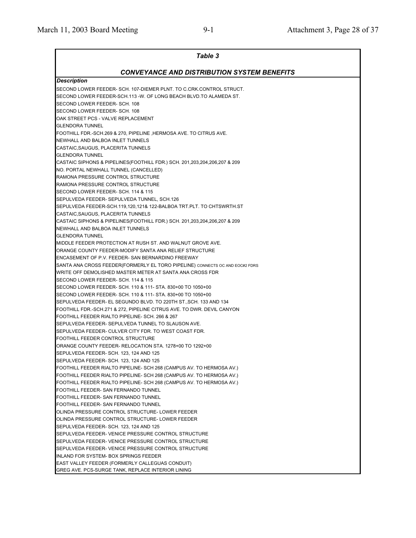| <b>Table 3</b>                                                                                                                                                            |
|---------------------------------------------------------------------------------------------------------------------------------------------------------------------------|
| CONVEYANCE AND DISTRIBUTION SYSTEM BENEFITS                                                                                                                               |
| <b>Description</b>                                                                                                                                                        |
| SECOND LOWER FEEDER- SCH. 107-DIEMER PLNT. TO C.CRK.CONTROL STRUCT.<br>SECOND LOWER FEEDER-SCH.113 -W. OF LONG BEACH BLVD.TO ALAMEDA ST.<br>SECOND LOWER FEEDER- SCH. 108 |
| SECOND LOWER FEEDER- SCH. 108<br>OAK STREET PCS - VALVE REPLACEMENT                                                                                                       |
| <b>GLENDORA TUNNEL</b>                                                                                                                                                    |
| FOOTHILL FDR.-SCH.269 & 270, PIPELINE ,HERMOSA AVE. TO CITRUS AVE.<br>NEWHALL AND BALBOA INLET TUNNELS<br>CASTAIC, SAUGUS, PLACERITA TUNNELS                              |
| <b>GLENDORA TUNNEL</b>                                                                                                                                                    |
| CASTAIC SIPHONS & PIPELINES(FOOTHILL FDR.) SCH. 201,203,204,206,207 & 209<br>NO. PORTAL NEWHALL TUNNEL (CANCELLED)                                                        |
| RAMONA PRESSURE CONTROL STRUCTURE                                                                                                                                         |
| RAMONA PRESSURE CONTROL STRUCTURE                                                                                                                                         |
| SECOND LOWER FEEDER- SCH. 114 & 115                                                                                                                                       |
| SEPULVEDA FEEDER- SEPULVEDA TUNNEL, SCH.126                                                                                                                               |
| SEPULVEDA FEEDER-SCH.119,120,121& 122-BALBOA TRT.PLT. TO CHTSWRTH.ST                                                                                                      |
| CASTAIC, SAUGUS, PLACERITA TUNNELS                                                                                                                                        |
| CASTAIC SIPHONS & PIPELINES(FOOTHILL FDR.) SCH. 201,203,204,206,207 & 209                                                                                                 |
| NEWHALL AND BALBOA INLET TUNNELS                                                                                                                                          |
| <b>GLENDORA TUNNEL</b>                                                                                                                                                    |
| MIDDLE FEEDER PROTECTION AT RUSH ST. AND WALNUT GROVE AVE.                                                                                                                |
| ORANGE COUNTY FEEDER-MODIFY SANTA ANA RELIEF STRUCTURE                                                                                                                    |
| <b>ENCASEMENT OF P.V. FEEDER- SAN BERNARDINO FREEWAY</b>                                                                                                                  |
| SANTA ANA CROSS FEEDER(FORMERLY EL TORO PIPELINE) CONNECTS OC AND EOC#2 FDRS                                                                                              |
| WRITE OFF DEMOLISHED MASTER METER AT SANTA ANA CROSS FDR<br>SECOND LOWER FEEDER- SCH. 114 & 115                                                                           |
| SECOND LOWER FEEDER- SCH. 110 & 111- STA. 830+00 TO 1050+00                                                                                                               |
| SECOND LOWER FEEDER- SCH. 110 & 111- STA. 830+00 TO 1050+00                                                                                                               |
| SEPULVEDA FEEDER- EL SEGUNDO BLVD. TO 220TH ST., SCH. 133 AND 134                                                                                                         |
| FOOTHILL FDR.-SCH.271 & 272, PIPELINE CITRUS AVE. TO DWR. DEVIL CANYON                                                                                                    |
| FOOTHILL FEEDER RIALTO PIPELINE-SCH. 266 & 267                                                                                                                            |
| SEPULVEDA FEEDER- SEPULVEDA TUNNEL TO SLAUSON AVE.                                                                                                                        |
| SEPULVEDA FEEDER- CULVER CITY FDR. TO WEST COAST FDR.                                                                                                                     |
| FOOTHILL FEEDER CONTROL STRUCTURE                                                                                                                                         |
| ORANGE COUNTY FEEDER- RELOCATION STA. 1278+00 TO 1292+00                                                                                                                  |
| SEPULVEDA FEEDER- SCH. 123, 124 AND 125                                                                                                                                   |
| SEPULVEDA FEEDER-SCH. 123, 124 AND 125                                                                                                                                    |
| FOOTHILL FEEDER RIALTO PIPELINE- SCH 268 (CAMPUS AV. TO HERMOSA AV.)                                                                                                      |
| FOOTHILL FEEDER RIALTO PIPELINE- SCH 268 (CAMPUS AV. TO HERMOSA AV.)                                                                                                      |
| FOOTHILL FEEDER RIALTO PIPELINE- SCH 268 (CAMPUS AV. TO HERMOSA AV.)                                                                                                      |
| FOOTHILL FEEDER- SAN FERNANDO TUNNEL                                                                                                                                      |
| FOOTHILL FEEDER- SAN FERNANDO TUNNEL                                                                                                                                      |
| FOOTHILL FEEDER- SAN FERNANDO TUNNEL                                                                                                                                      |
| OLINDA PRESSURE CONTROL STRUCTURE- LOWER FEEDER                                                                                                                           |
| OLINDA PRESSURE CONTROL STRUCTURE- LOWER FEEDER                                                                                                                           |
| SEPULVEDA FEEDER-SCH. 123, 124 AND 125                                                                                                                                    |
| SEPULVEDA FEEDER-VENICE PRESSURE CONTROL STRUCTURE                                                                                                                        |
| SEPULVEDA FEEDER- VENICE PRESSURE CONTROL STRUCTURE<br>SEPULVEDA FEEDER- VENICE PRESSURE CONTROL STRUCTURE                                                                |
| INLAND FOR SYSTEM- BOX SPRINGS FEEDER                                                                                                                                     |
| EAST VALLEY FEEDER (FORMERLY CALLEGUAS CONDUIT)                                                                                                                           |
| GREG AVE. PCS-SURGE TANK, REPLACE INTERIOR LINING                                                                                                                         |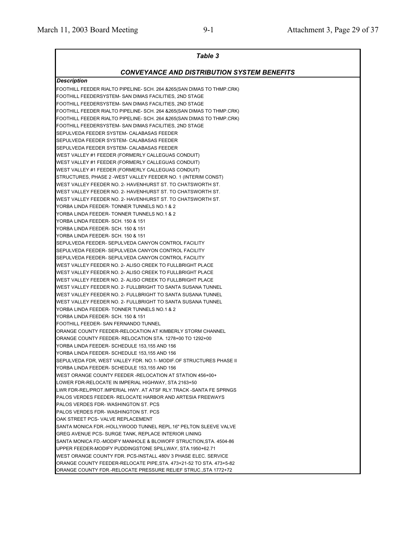| <b>Table 3</b>                                                                                                              |
|-----------------------------------------------------------------------------------------------------------------------------|
| CONVEYANCE AND DISTRIBUTION SYSTEM BENEFITS                                                                                 |
| <b>Description</b>                                                                                                          |
| FOOTHILL FEEDER RIALTO PIPELINE- SCH. 264 &265(SAN DIMAS TO THMP.CRK)                                                       |
| FOOTHILL FEEDERSYSTEM- SAN DIMAS FACILITIES, 2ND STAGE                                                                      |
| FOOTHILL FEEDERSYSTEM- SAN DIMAS FACILITIES, 2ND STAGE                                                                      |
| FOOTHILL FEEDER RIALTO PIPELINE- SCH. 264 &265(SAN DIMAS TO THMP.CRK)                                                       |
| FOOTHILL FEEDER RIALTO PIPELINE- SCH. 264 & 265 (SAN DIMAS TO THMP.CRK)                                                     |
| FOOTHILL FEEDERSYSTEM- SAN DIMAS FACILITIES, 2ND STAGE                                                                      |
| SEPULVEDA FEEDER SYSTEM- CALABASAS FEEDER                                                                                   |
| SEPULVEDA FEEDER SYSTEM- CALABASAS FEEDER                                                                                   |
| SEPULVEDA FEEDER SYSTEM- CALABASAS FEEDER                                                                                   |
| WEST VALLEY #1 FEEDER (FORMERLY CALLEGUAS CONDUIT)                                                                          |
| WEST VALLEY #1 FEEDER (FORMERLY CALLEGUAS CONDUIT)                                                                          |
| WEST VALLEY #1 FEEDER (FORMERLY CALLEGUAS CONDUIT)                                                                          |
| STRUCTURES, PHASE 2 -WEST VALLEY FEEDER NO. 1 (INTERIM CONST)                                                               |
| WEST VALLEY FEEDER NO. 2- HAVENHURST ST. TO CHATSWORTH ST.                                                                  |
| WEST VALLEY FEEDER NO. 2- HAVENHURST ST. TO CHATSWORTH ST.                                                                  |
| WEST VALLEY FEEDER NO. 2- HAVENHURST ST. TO CHATSWORTH ST.                                                                  |
| YORBA LINDA FEEDER- TONNER TUNNELS NO.1 & 2                                                                                 |
| YORBA LINDA FEEDER- TONNER TUNNELS NO.1 & 2                                                                                 |
| YORBA LINDA FEEDER- SCH. 150 & 151                                                                                          |
| YORBA LINDA FEEDER- SCH. 150 & 151                                                                                          |
| YORBA LINDA FEEDER- SCH. 150 & 151                                                                                          |
| SEPULVEDA FEEDER- SEPULVEDA CANYON CONTROL FACILITY                                                                         |
| SEPULVEDA FEEDER- SEPULVEDA CANYON CONTROL FACILITY                                                                         |
| SEPULVEDA FEEDER- SEPULVEDA CANYON CONTROL FACILITY                                                                         |
| WEST VALLEY FEEDER NO. 2- ALISO CREEK TO FULLBRIGHT PLACE                                                                   |
| WEST VALLEY FEEDER NO. 2- ALISO CREEK TO FULLBRIGHT PLACE                                                                   |
| WEST VALLEY FEEDER NO. 2- ALISO CREEK TO FULLBRIGHT PLACE                                                                   |
| WEST VALLEY FEEDER NO. 2- FULLBRIGHT TO SANTA SUSANA TUNNEL                                                                 |
| WEST VALLEY FEEDER NO. 2- FULLBRIGHT TO SANTA SUSANA TUNNEL                                                                 |
| WEST VALLEY FEEDER NO. 2- FULLBRIGHT TO SANTA SUSANA TUNNEL                                                                 |
| YORBA LINDA FEEDER- TONNER TUNNELS NO.1 & 2                                                                                 |
| YORBA LINDA FEEDER- SCH. 150 & 151                                                                                          |
| FOOTHILL FEEDER- SAN FERNANDO TUNNEL                                                                                        |
| ORANGE COUNTY FEEDER-RELOCATION AT KIMBERLY STORM CHANNEL                                                                   |
| ORANGE COUNTY FEEDER- RELOCATION STA. 1278+00 TO 1292+00                                                                    |
| YORBA LINDA FEEDER- SCHEDULE 153,155 AND 156                                                                                |
| YORBA LINDA FEEDER- SCHEDULE 153,155 AND 156                                                                                |
| SEPULVEDA FDR, WEST VALLEY FDR. NO.1- MODIF.OF STRUCTURES PHASE II                                                          |
| YORBA LINDA FEEDER- SCHEDULE 153,155 AND 156                                                                                |
| WEST ORANGE COUNTY FEEDER -RELOCATION AT STATION 456+00+                                                                    |
| LOWER FDR-RELOCATE IN IMPERIAL HIGHWAY, STA 2163+50                                                                         |
| LWR FDR-REL/PROT.IMPERIAL HWY. AT ATSF RLY.TRACK -SANTA FE SPRNGS                                                           |
| PALOS VERDES FEEDER- RELOCATE HARBOR AND ARTESIA FREEWAYS                                                                   |
| PALOS VERDES FDR-WASHINGTON ST. PCS                                                                                         |
| PALOS VERDES FDR-WASHINGTON ST. PCS                                                                                         |
| OAK STREET PCS- VALVE REPLACEMENT                                                                                           |
| SANTA MONICA FDR.-HOLLYWOOD TUNNEL REPL.16" PELTON SLEEVE VALVE                                                             |
| GREG AVENUE PCS- SURGE TANK, REPLACE INTERIOR LINING                                                                        |
| SANTA MONICA FD.-MODIFY MANHOLE & BLOWOFF STRUCTION,STA. 4504-86                                                            |
| UPPER FEEDER-MODIFY PUDDINGSTONE SPILLWAY, STA.1950+62.71<br>WEST ORANGE COUNTY FDR. PCS-INSTALL 480V 3 PHASE ELEC. SERVICE |
| ORANGE COUNTY FEEDER-RELOCATE PIPE, STA. 473+21-52 TO STA. 473+5-82                                                         |
| ORANGE COUNTY FDR.-RELOCATE PRESSURE RELIEF STRUC., STA 1772+72                                                             |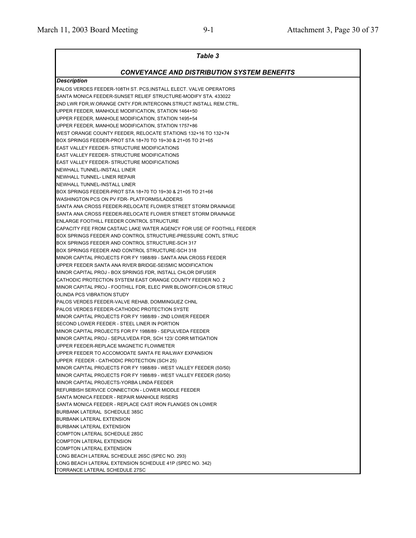| <b>Table 3</b>                                                         |
|------------------------------------------------------------------------|
| <b>CONVEYANCE AND DISTRIBUTION SYSTEM BENEFITS</b>                     |
| <b>Description</b>                                                     |
| PALOS VERDES FEEDER-108TH ST. PCS, INSTALL ELECT. VALVE OPERATORS      |
| SANTA MONICA FEEDER-SUNSET RELIEF STRUCTURE-MODIFY STA, 433022         |
| 2ND LWR FDR, W.ORANGE CNTY.FDR.INTERCONN.STRUCT.INSTALL REM.CTRL.      |
| UPPER FEEDER, MANHOLE MODIFICATION, STATION 1464+50                    |
| UPPER FEEDER, MANHOLE MODIFICATION, STATION 1495+54                    |
| UPPER FEEDER, MANHOLE MODIFICATION, STATION 1757+86                    |
| WEST ORANGE COUNTY FEEDER, RELOCATE STATIONS 132+16 TO 132+74          |
| BOX SPRINGS FEEDER-PROT STA 18+70 TO 19+30 & 21+05 TO 21+65            |
| <b>EAST VALLEY FEEDER- STRUCTURE MODIFICATIONS</b>                     |
| <b>EAST VALLEY FEEDER- STRUCTURE MODIFICATIONS</b>                     |
| EAST VALLEY FEEDER- STRUCTURE MODIFICATIONS                            |
| NEWHALL TUNNEL-INSTALL LINER                                           |
| NEWHALL TUNNEL- LINER REPAIR                                           |
| NEWHALL TUNNEL-INSTALL LINER                                           |
| BOX SPRINGS FEEDER-PROT STA 18+70 TO 19+30 & 21+05 TO 21+66            |
| WASHINGTON PCS ON PV FDR- PLATFORMS/LADDERS                            |
| SANTA ANA CROSS FEEDER-RELOCATE FLOWER STREET STORM DRAINAGE           |
| SANTA ANA CROSS FEEDER-RELOCATE FLOWER STREET STORM DRAINAGE           |
| <b>ENLARGE FOOTHILL FEEDER CONTROL STRUCTURE</b>                       |
| CAPACITY FEE FROM CASTAIC LAKE WATER AGENCY FOR USE OF FOOTHILL FEEDER |
| BOX SPRINGS FEEDER AND CONTROL STRUCTURE-PRESSURE CONTL STRUC          |
| BOX SPRINGS FEEDER AND CONTROL STRUCTURE-SCH 317                       |
| BOX SPRINGS FEEDER AND CONTROL STRUCTURE-SCH 318                       |
| MINOR CAPITAL PROJECTS FOR FY 1988/89 - SANTA ANA CROSS FEEDER         |
| UPPER FEEDER SANTA ANA RIVER BRIDGE-SEISMIC MODIFICATION               |
| MINOR CAPITAL PROJ - BOX SPRINGS FDR, INSTALL CHLOR DIFUSER            |
| CATHODIC PROTECTION SYSTEM EAST ORANGE COUNTY FEEDER NO. 2             |
| MINOR CAPITAL PROJ - FOOTHILL FDR, ELEC PWR BLOWOFF/CHLOR STRUC        |
| OLINDA PCS VIBRATION STUDY                                             |
| PALOS VERDES FEEDER-VALVE REHAB, DOMMINGUEZ CHNL                       |
| PALOS VERDES FEEDER-CATHODIC PROTECTION SYSTE                          |
| MINOR CAPITAL PROJECTS FOR FY 1988/89 - 2ND LOWER FEEDER               |
| SECOND LOWER FEEDER - STEEL LINER IN PORTION                           |
| MINOR CAPITAL PROJECTS FOR FY 1988/89 - SEPULVEDA FEEDER               |
| MINOR CAPITAL PROJ - SEPULVEDA FDR. SCH 123/ CORR MITIGATION           |
| UPPER FEEDER-REPLACE MAGNETIC FLOWMETER                                |
| UPPER FEEDER TO ACCOMODATE SANTA FE RAILWAY EXPANSION                  |
| UPPER FEEDER - CATHODIC PROTECTION (SCH 25)                            |
| MINOR CAPITAL PROJECTS FOR FY 1988/89 - WEST VALLEY FEEDER (50/50)     |
| MINOR CAPITAL PROJECTS FOR FY 1988/89 - WEST VALLEY FEEDER (50/50)     |
| MINOR CAPITAL PROJECTS-YORBA LINDA FEEDER                              |
| REFURBISH SERVICE CONNECTION - LOWER MIDDLE FEEDER                     |
| SANTA MONICA FEEDER - REPAIR MANHOLE RISERS                            |
| SANTA MONICA FEEDER - REPLACE CAST IRON FLANGES ON LOWER               |
| <b>BURBANK LATERAL SCHEDULE 38SC</b>                                   |
| <b>BURBANK LATERAL EXTENSION</b>                                       |
| <b>BURBANK LATERAL EXTENSION</b>                                       |
| COMPTON LATERAL SCHEDULE 28SC                                          |
| <b>COMPTON LATERAL EXTENSION</b>                                       |
| <b>COMPTON LATERAL EXTENSION</b>                                       |
| LONG BEACH LATERAL SCHEDULE 26SC (SPEC NO. 293)                        |
| LONG BEACH LATERAL EXTENSION SCHEDULE 41P (SPEC NO. 342)               |
| TORRANCE LATERAL SCHEDULE 27SC                                         |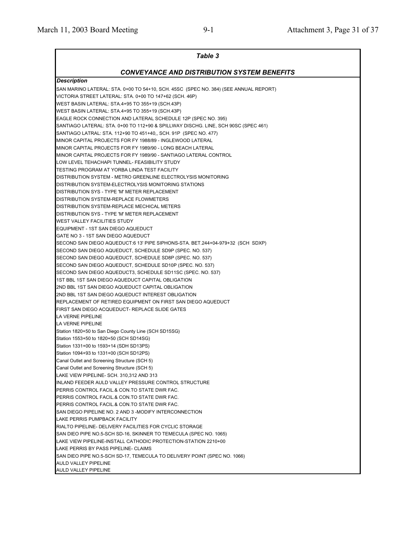| Table 3                                                                                          |
|--------------------------------------------------------------------------------------------------|
| <b>CONVEYANCE AND DISTRIBUTION SYSTEM BENEFITS</b>                                               |
| Description                                                                                      |
| SAN MARINO LATERAL: STA. 0+00 TO 54+10, SCH. 45SC (SPEC NO. 384) (SEE ANNUAL REPORT)             |
| VICTORIA STREET LATERAL: STA. 0+00 TO 147+62 (SCH. 46P)                                          |
| WEST BASIN LATERAL: STA.4+95 TO 355+19 (SCH.43P)                                                 |
| WEST BASIN LATERAL: STA.4+95 TO 355+19 (SCH.43P)                                                 |
| EAGLE ROCK CONNECTION AND LATERAL SCHEDULE 12P (SPEC NO. 395)                                    |
| SANTIAGO LATERAL: STA. 0+00 TO 112+90 & SPILLWAY DISCHG. LINE, SCH 90SC (SPEC 461)               |
| SANTIAGO LATRAL: STA. 112+90 TO 451+40,, SCH. 91P (SPEC NO. 477)                                 |
| MINOR CAPITAL PROJECTS FOR FY 1988/89 - INGLEWOOD LATERAL                                        |
| MINOR CAPITAL PROJECTS FOR FY 1989/90 - LONG BEACH LATERAL                                       |
| MINOR CAPITAL PROJECTS FOR FY 1989/90 - SANTIAGO LATERAL CONTROL                                 |
| LOW LEVEL TEHACHAPI TUNNEL- FEASIBILITY STUDY                                                    |
| TESTING PROGRAM AT YORBA LINDA TEST FACILITY                                                     |
| DISTRIBUTION SYSTEM - METRO GREENLINE ELECTROLYSIS MONITORING                                    |
| DISTRIBUTION SYSTEM-ELECTROLYSIS MONITORING STATIONS                                             |
| DISTRIBUTION SYS - TYPE 'M' METER REPLACEMENT                                                    |
| DISTRIBUTION SYSTEM-REPLACE FLOWMETERS                                                           |
| DISTRIBUTION SYSTEM-REPLACE MECHICAL METERS                                                      |
| DISTRIBUTION SYS - TYPE 'M' METER REPLACEMENT                                                    |
| WEST VALLEY FACILITIES STUDY                                                                     |
| EQUIPMENT - 1ST SAN DIEGO AQUEDUCT                                                               |
| GATE NO 3 - 1ST SAN DIEGO AQUEDUCT                                                               |
| SECOND SAN DIEGO AQUEDUCT:6 13' PIPE SIPHONS-STA. BET.244+04-979+32 (SCH SDXP)                   |
| SECOND SAN DIEGO AQUEDUCT, SCHEDULE SD9P (SPEC. NO. 537)                                         |
| SECOND SAN DIEGO AQUEDUCT, SCHEDULE SD8P (SPEC. NO. 537)                                         |
| SECOND SAN DIEGO AQUEDUCT, SCHEDULE SD10P (SPEC. NO. 537)                                        |
| SECOND SAN DIEGO AQUEDUCT3, SCHEDULE SD11SC (SPEC. NO. 537)                                      |
| 1ST BBL 1ST SAN DIEGO AQUEDUCT CAPITAL OBLIGATION                                                |
| 2ND BBL 1ST SAN DIEGO AQUEDUCT CAPITAL OBLIGATION                                                |
| 2ND BBL 1ST SAN DIEGO AQUEDUCT INTEREST OBLIGATION                                               |
| REPLACEMENT OF RETIRED EQUIPMENT ON FIRST SAN DIEGO AQUEDUCT                                     |
| FIRST SAN DIEGO ACQUEDUCT- REPLACE SLIDE GATES                                                   |
| <b>LA VERNE PIPELINE</b>                                                                         |
| LA VERNE PIPELINE                                                                                |
| Station 1820+50 to San Diego County Line (SCH SD15SG)                                            |
| Station 1553+50 to 1820+50 (SCH SD14SG)                                                          |
| Station 1331+00 to 1593+14 (SDH SD13PS)                                                          |
| Station 1094+93 to 1331+00 (SCH SD12PS)                                                          |
| Canal Outlet and Screening Structure (SCH 5)                                                     |
| Canal Outlet and Screening Structure (SCH 5)                                                     |
| LAKE VIEW PIPELINE- SCH. 310,312 AND 313                                                         |
| INLAND FEEDER AULD VALLEY PRESSURE CONTROL STRUCTURE                                             |
| PERRIS CONTROL FACIL.& CON.TO STATE DWR FAC.                                                     |
| PERRIS CONTROL FACIL.& CON.TO STATE DWR FAC.                                                     |
| PERRIS CONTROL FACIL.& CON.TO STATE DWR FAC.                                                     |
| SAN DIEGO PIPELINE NO. 2 AND 3 -MODIFY INTERCONNECTION                                           |
| LAKE PERRIS PUMPBACK FACILITY                                                                    |
| RIALTO PIPELINE- DELIVERY FACILITIES FOR CYCLIC STORAGE                                          |
| SAN DIEO PIPE NO.5-SCH SD-16, SKINNER TO TEMECULA (SPEC NO. 1065)                                |
| LAKE VIEW PIPELINE-INSTALL CATHODIC PROTECTION-STATION 2210+00                                   |
| LAKE PERRIS BY PASS PIPELINE- CLAIMS                                                             |
|                                                                                                  |
| SAN DIEO PIPE NO.5-SCH SD-17, TEMECULA TO DELIVERY POINT (SPEC NO. 1066)<br>AULD VALLEY PIPELINE |
| AULD VALLEY PIPELINE                                                                             |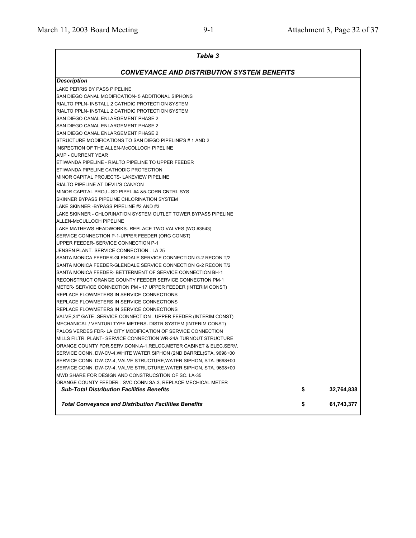| Table 3                                                             |    |            |  |  |  |
|---------------------------------------------------------------------|----|------------|--|--|--|
| <b>CONVEYANCE AND DISTRIBUTION SYSTEM BENEFITS</b>                  |    |            |  |  |  |
| <b>Description</b>                                                  |    |            |  |  |  |
| LAKE PERRIS BY PASS PIPELINE                                        |    |            |  |  |  |
| SAN DIEGO CANAL MODIFICATION- 5 ADDITIONAL SIPHONS                  |    |            |  |  |  |
| RIALTO PPLN- INSTALL 2 CATHDIC PROTECTION SYSTEM                    |    |            |  |  |  |
| RIALTO PPLN- INSTALL 2 CATHDIC PROTECTION SYSTEM                    |    |            |  |  |  |
| SAN DIEGO CANAL ENLARGEMENT PHASE 2                                 |    |            |  |  |  |
| SAN DIEGO CANAL ENLARGEMENT PHASE 2                                 |    |            |  |  |  |
| SAN DIEGO CANAL ENLARGEMENT PHASE 2                                 |    |            |  |  |  |
| STRUCTURE MODIFICATIONS TO SAN DIEGO PIPELINE'S # 1 AND 2           |    |            |  |  |  |
| INSPECTION OF THE ALLEN-McCOLLOCH PIPELINE                          |    |            |  |  |  |
| AMP - CURRENT YEAR                                                  |    |            |  |  |  |
| ETIWANDA PIPELINE - RIALTO PIPELINE TO UPPER FEEDER                 |    |            |  |  |  |
| ETIWANDA PIPELINE CATHODIC PROTECTION                               |    |            |  |  |  |
| MINOR CAPITAL PROJECTS- LAKEVIEW PIPELINE                           |    |            |  |  |  |
| RIALTO PIPELINE AT DEVIL'S CANYON                                   |    |            |  |  |  |
| MINOR CAPITAL PROJ - SD PIPEL #4 &5-CORR CNTRL SYS                  |    |            |  |  |  |
| SKINNER BYPASS PIPELINE CHLORINATION SYSTEM                         |    |            |  |  |  |
| LAKE SKINNER-BYPASS PIPELINE #2 AND #3                              |    |            |  |  |  |
| LAKE SKINNER - CHLORINATION SYSTEM OUTLET TOWER BYPASS PIPELINE     |    |            |  |  |  |
| ALLEN-McCULLOCH PIPELINE                                            |    |            |  |  |  |
| LAKE MATHEWS HEADWORKS- REPLACE TWO VALVES (WO #3543)               |    |            |  |  |  |
| SERVICE CONNECTION P-1-UPPER FEEDER (ORG CONST)                     |    |            |  |  |  |
| UPPER FEEDER- SERVICE CONNECTION P-1                                |    |            |  |  |  |
| JENSEN PLANT- SERVICE CONNECTION - LA 25                            |    |            |  |  |  |
| SANTA MONICA FEEDER-GLENDALE SERVICE CONNECTION G-2 RECON T/2       |    |            |  |  |  |
| SANTA MONICA FEEDER-GLENDALE SERVICE CONNECTION G-2 RECON T/2       |    |            |  |  |  |
| ISANTA MONICA FEEDER- BETTERMENT OF SERVICE CONNECTION BH-1         |    |            |  |  |  |
| RECONSTRUCT ORANGE COUNTY FEEDER SERVICE CONNECTION PM-1            |    |            |  |  |  |
| METER- SERVICE CONNECTION PM - 17 UPPER FEEDER (INTERIM CONST)      |    |            |  |  |  |
| REPLACE FLOWMETERS IN SERVICE CONNECTIONS                           |    |            |  |  |  |
| REPLACE FLOWMETERS IN SERVICE CONNECTIONS                           |    |            |  |  |  |
| REPLACE FLOWMETERS IN SERVICE CONNECTIONS                           |    |            |  |  |  |
| VALVE, 24" GATE - SERVICE CONNECTION - UPPER FEEDER (INTERIM CONST) |    |            |  |  |  |
| MECHANICAL / VENTURI TYPE METERS- DISTR SYSTEM (INTERIM CONST)      |    |            |  |  |  |
| PALOS VERDES FDR- LA CITY MODIFICATION OF SERVICE CONNECTION        |    |            |  |  |  |
| MILLS FILTR. PLANT- SERVICE CONNECTION WR-24A TURNOUT STRUCTURE     |    |            |  |  |  |
| ORANGE COUNTY FDR.SERV.CONN.A-1, RELOC.METER CABINET & ELEC.SERV.   |    |            |  |  |  |
| SERVICE CONN. DW-CV-4, WHITE WATER SIPHON (2ND BARREL) STA. 9698+00 |    |            |  |  |  |
| SERVICE CONN. DW-CV-4, VALVE STRUCTURE, WATER SIPHON, STA. 9698+00  |    |            |  |  |  |
| SERVICE CONN. DW-CV-4, VALVE STRUCTURE, WATER SIPHON, STA. 9698+00  |    |            |  |  |  |
| MWD SHARE FOR DESIGN AND CONSTRUCSTION OF SC. LA-35                 |    |            |  |  |  |
| ORANGE COUNTY FEEDER - SVC CONN SA-3, REPLACE MECHICAL METER        |    |            |  |  |  |
| <b>Sub-Total Distribution Facilities Benefits</b>                   | \$ | 32,764,838 |  |  |  |
| <b>Total Conveyance and Distribution Facilities Benefits</b>        | \$ | 61,743,377 |  |  |  |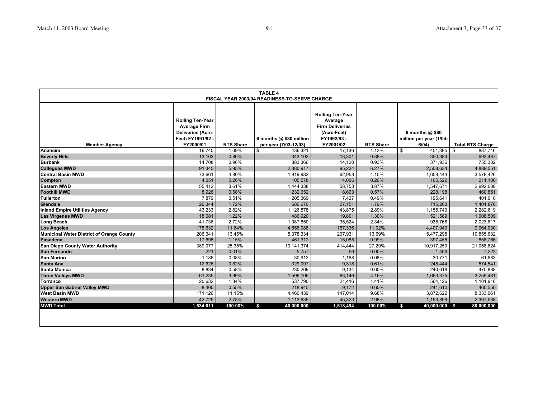| <b>TABLE 4</b><br>FISCAL YEAR 2003/04 READINESS-TO-SERVE CHARGE |                                                                                                              |                  |                                                  |                                                                                                        |                  |                                                      |                         |
|-----------------------------------------------------------------|--------------------------------------------------------------------------------------------------------------|------------------|--------------------------------------------------|--------------------------------------------------------------------------------------------------------|------------------|------------------------------------------------------|-------------------------|
| <b>Member Agency</b>                                            | <b>Rolling Ten-Year</b><br><b>Average Firm</b><br><b>Deliveries (Acre-</b><br>Feet) FY1991/92 -<br>FY2000/01 | <b>RTS Share</b> | 6 months @ \$80 million<br>per year (7/03-12/03) | <b>Rolling Ten-Year</b><br>Average<br><b>Firm Deliveries</b><br>(Acre-Feet)<br>FY1992/93-<br>FY2001/02 | <b>RTS Share</b> | 6 months $@$ \$80<br>million per year (1/04-<br>6/04 | <b>Total RTS Charge</b> |
| Anaheim                                                         | 16.740                                                                                                       | 1.09%            | 436.321<br>\$                                    | 17.136                                                                                                 | 1.13%            | 451.395<br>\$                                        | 887.716<br>\$           |
| <b>Beverly Hills</b>                                            | 13,163                                                                                                       | 0.86%            | 343,103                                          | 13,301                                                                                                 | 0.88%            | 350,384                                              | 693,487                 |
| <b>Burbank</b>                                                  | 14,708                                                                                                       | 0.96%            | 383,366                                          | 14,120                                                                                                 | 0.93%            | 371,936                                              | 755,302                 |
| <b>Calleguas MWD</b>                                            | 91,345                                                                                                       | 5.95%            | 2,380,917                                        | 95,234                                                                                                 | 6.27%            | 2,508,634                                            | 4,889,551               |
| <b>Central Basin MWD</b>                                        | 73,661                                                                                                       | 4.80%            | 1,919,982                                        | 62,958                                                                                                 | 4.15%            | 1,658,444                                            | 3,578,426               |
| <b>Compton</b>                                                  | 4,051                                                                                                        | 0.26%            | 105,578                                          | 4,006                                                                                                  | 0.26%            | 105,522                                              | 211,100                 |
| <b>Eastern MWD</b>                                              | 55,412                                                                                                       | 3.61%            | 1,444,338                                        | 58,753                                                                                                 | 3.87%            | 1,547,671                                            | 2,992,008               |
| <b>Foothill MWD</b>                                             | 8,926                                                                                                        | 0.58%            | 232,652                                          | 8,663                                                                                                  | 0.57%            | 228,198                                              | 460,851                 |
| <b>Fullerton</b>                                                | 7,879                                                                                                        | 0.51%            | 205,369                                          | 7,427                                                                                                  | 0.49%            | 195,641                                              | 401,010                 |
| Glendale                                                        | 26,344                                                                                                       | 1.72%            | 686,670                                          | 27,151                                                                                                 | 1.79%            | 715,200                                              | 1,401,870               |
| <b>Inland Empire Utilities Agency</b>                           | 43.233                                                                                                       | 2.82%            | 1.126.878                                        | 43.875                                                                                                 | 2.89%            | 1,155,740                                            | 2,282,619               |
| <b>Las Virgenes MWD</b>                                         | 18.681                                                                                                       | 1.22%            | 486.920                                          | 19.801                                                                                                 | 1.30%            | 521,589                                              | 1,008,509               |
| <b>Long Beach</b>                                               | 41,736                                                                                                       | 2.72%            | 1,087,850                                        | 35,524                                                                                                 | $2.34\%$         | 935,768                                              | 2,023,617               |
| <b>Los Angeles</b>                                              | 178,632                                                                                                      | 11.64%           | 4,656,088                                        | 167,336                                                                                                | 11.02%           | 4,407,943                                            | 9,064,030               |
| <b>Municipal Water District of Orange County</b>                | 206,341                                                                                                      | 13.45%           | 5,378,334                                        | 207.931                                                                                                | 13.69%           | 5,477,298                                            | 10,855,632              |
| Pasadena                                                        | 17,698                                                                                                       | 1.15%            | 461,312                                          | 15,088                                                                                                 | 0.99%            | 397,455                                              | 858,766                 |
| San Diego County Water Authority                                | 389,077                                                                                                      | 25.35%           | 10,141,374                                       | 414,444                                                                                                | 27.29%           | 10,917,250                                           | 21,058,624              |
| San Fernando                                                    | 221                                                                                                          | 0.01%            | 5,757                                            | 56                                                                                                     | 0.00%            | 1,466                                                | 7,223                   |
| <b>San Marino</b>                                               | 1,186                                                                                                        | 0.08%            | 30,912                                           | 1,168                                                                                                  | 0.08%            | 30,771                                               | 61,683                  |
| Santa Ana                                                       | 12,626                                                                                                       | 0.82%            | 329,097                                          | 9,318                                                                                                  | 0.61%            | 245,444                                              | 574,541                 |
| Santa Monica                                                    | 8,834                                                                                                        | 0.58%            | 230,269                                          | 9,134                                                                                                  | 0.60%            | 240,618                                              | 470,888                 |
| <b>Three Valleys MWD</b>                                        | 61.235                                                                                                       | 3.99%            | 1,596,106                                        | 63.146                                                                                                 | 4.16%            | 1.663.375                                            | 3,259,481               |
| <b>Torrance</b>                                                 | 20,632                                                                                                       | 1.34%            | 537.790                                          | 21,416                                                                                                 | 1.41%            | 564,126                                              | 1,101,916               |
| <b>Upper San Gabriel Valley MWD</b>                             | 8,400                                                                                                        | 0.55%            | 218,940                                          | 9,172                                                                                                  | 0.60%            | 241,610                                              | 460,550                 |
| <b>West Basin MWD</b>                                           | 171,126                                                                                                      | 11.15%           | 4,460,439                                        | 147,014                                                                                                | 9.68%            | 3,872,622                                            | 8,333,061               |
| <b>Western MWD</b>                                              | 42.725                                                                                                       | 2.78%            | 1,113,639                                        | 45.323                                                                                                 | 2.98%            | 1,193,899                                            | 2,307,538               |
| <b>MWD Total</b>                                                | 1,534,611                                                                                                    | 100.00%          | \$<br>40,000,000                                 | 1,518,494                                                                                              | 100.00%          | \$<br>40,000,000 \$                                  | 80,000,000              |
|                                                                 |                                                                                                              |                  |                                                  |                                                                                                        |                  |                                                      |                         |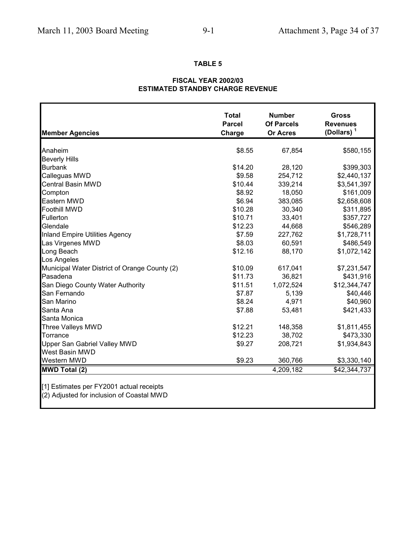## **TABLE 5**

### **FISCAL YEAR 2002/03 ESTIMATED STANDBY CHARGE REVENUE**

| <b>Member Agencies</b>                        | <b>Total</b><br><b>Parcel</b><br>Charge | <b>Number</b><br><b>Of Parcels</b><br><b>Or Acres</b> | <b>Gross</b><br><b>Revenues</b><br>(Dollars) $1$ |
|-----------------------------------------------|-----------------------------------------|-------------------------------------------------------|--------------------------------------------------|
|                                               |                                         |                                                       |                                                  |
| Anaheim                                       | \$8.55                                  | 67,854                                                | \$580,155                                        |
| <b>Beverly Hills</b>                          |                                         |                                                       |                                                  |
| <b>Burbank</b>                                | \$14.20                                 | 28,120                                                | \$399,303                                        |
| Calleguas MWD                                 | \$9.58                                  | 254,712                                               | \$2,440,137                                      |
| <b>Central Basin MWD</b>                      | \$10.44                                 | 339,214                                               | \$3,541,397                                      |
| Compton                                       | \$8.92                                  | 18,050                                                | \$161,009                                        |
| Eastern MWD                                   | \$6.94                                  | 383,085                                               | \$2,658,608                                      |
| <b>Foothill MWD</b>                           | \$10.28                                 | 30,340                                                | \$311,895                                        |
| Fullerton                                     | \$10.71                                 | 33,401                                                | \$357,727                                        |
| Glendale                                      | \$12.23                                 | 44,668                                                | \$546,289                                        |
| Inland Empire Utilities Agency                | \$7.59                                  | 227,762                                               | \$1,728,711                                      |
| Las Virgenes MWD                              | \$8.03                                  | 60,591                                                | \$486,549                                        |
| Long Beach                                    | \$12.16                                 | 88,170                                                | \$1,072,142                                      |
| Los Angeles                                   |                                         |                                                       |                                                  |
| Municipal Water District of Orange County (2) | \$10.09                                 | 617,041                                               | \$7,231,547                                      |
| Pasadena                                      | \$11.73                                 | 36,821                                                | \$431,916                                        |
| San Diego County Water Authority              | \$11.51                                 | 1,072,524                                             | \$12,344,747                                     |
| San Fernando                                  | \$7.87                                  | 5,139                                                 | \$40,446                                         |
| San Marino                                    | \$8.24                                  | 4,971                                                 | \$40,960                                         |
| Santa Ana                                     | \$7.88                                  | 53,481                                                | \$421,433                                        |
| Santa Monica                                  |                                         |                                                       |                                                  |
| Three Valleys MWD                             | \$12.21                                 | 148,358                                               | \$1,811,455                                      |
| Torrance                                      | \$12.23                                 | 38,702                                                | \$473,330                                        |
| Upper San Gabriel Valley MWD                  | \$9.27                                  | 208,721                                               | \$1,934,843                                      |
| West Basin MWD                                |                                         |                                                       |                                                  |
| <b>Western MWD</b>                            | \$9.23                                  | 360,766                                               | \$3,330,140                                      |
| <b>MWD Total (2)</b>                          |                                         | 4,209,182                                             | \$42,344,737                                     |

[1] Estimates per FY2001 actual receipts

(2) Adjusted for inclusion of Coastal MWD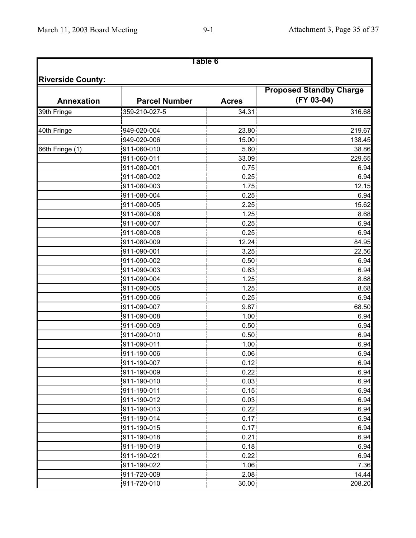# **Table 6**

|                   |                      |              | <b>Proposed Standby Charge</b> |
|-------------------|----------------------|--------------|--------------------------------|
| <b>Annexation</b> | <b>Parcel Number</b> | <b>Acres</b> | (FY 03-04)                     |
| 39th Fringe       | 359-210-027-5        | 34.31        | 316.68                         |
|                   |                      |              |                                |
| 40th Fringe       | 949-020-004          | 23.80        | 219.67                         |
|                   | 949-020-006          | 15.00        | 138.45                         |
| 66th Fringe (1)   | 911-060-010          | 5.60         | 38.86                          |
|                   | 911-060-011          | 33.09        | 229.65                         |
|                   | 911-080-001          | 0.75         | 6.94                           |
|                   | 911-080-002          | 0.25         | 6.94                           |
|                   | 911-080-003          | 1.75         | 12.15                          |
|                   | 911-080-004          | 0.25         | 6.94                           |
|                   | 911-080-005          | 2.25         | 15.62                          |
|                   | 911-080-006          | 1.25         | 8.68                           |
|                   | 911-080-007          | 0.25         | 6.94                           |
|                   | 911-080-008          | 0.25         | 6.94                           |
|                   | 911-080-009          | 12.24        | 84.95                          |
|                   | 911-090-001          | 3.25         | 22.56                          |
|                   | 911-090-002          | 0.50         | 6.94                           |
|                   | 911-090-003          | 0.63         | 6.94                           |
|                   | 911-090-004          | 1.25         | 8.68                           |
|                   | 911-090-005          | 1.25         | 8.68                           |
|                   | 911-090-006          | 0.25         | 6.94                           |
|                   | 911-090-007          | 9.87         | 68.50                          |
|                   | 911-090-008          | 1.00         | 6.94                           |
|                   | 911-090-009          | 0.50         | 6.94                           |
|                   | 911-090-010          | 0.50         | 6.94                           |
|                   | 911-090-011          | 1.00         | 6.94                           |
|                   | 911-190-006          | 0.06         | 6.94                           |
|                   | 911-190-007          | 0.12         | 6.94                           |
|                   | 911-190-009          | 0.221        | 6.94                           |
|                   | 911-190-010          | 0.03         | 6.94                           |
|                   | 911-190-011          | 0.15         | 6.94                           |
|                   | 911-190-012          | 0.03         | 6.94                           |
|                   | 911-190-013          | 0.22         | 6.94                           |
|                   | 911-190-014          | 0.17         | 6.94                           |
|                   | 911-190-015          | 0.17         | 6.94                           |
|                   | 911-190-018          | 0.21         | 6.94                           |
|                   | 911-190-019          | 0.18         | 6.94                           |
|                   | 911-190-021          | 0.22         | 6.94                           |
|                   | 911-190-022          | 1.06         | 7.36                           |
|                   | 911-720-009          | 2.08         | 14.44                          |
|                   | 911-720-010          | 30.00        | 208.20                         |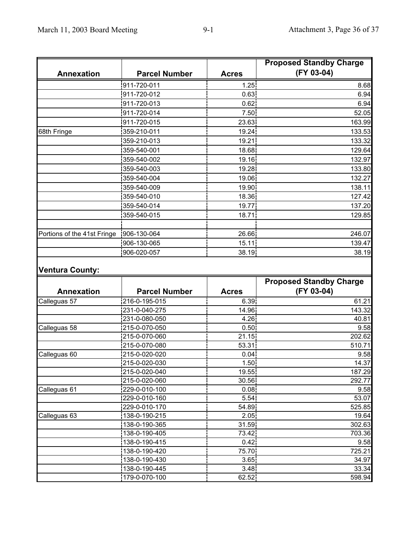|                             |                                | <b>Proposed Standby Charge</b> |                                |  |
|-----------------------------|--------------------------------|--------------------------------|--------------------------------|--|
| <b>Annexation</b>           | <b>Parcel Number</b>           | <b>Acres</b>                   | (FY 03-04)                     |  |
|                             | 911-720-011                    | 1.25                           | 8.68                           |  |
|                             | 911-720-012                    | 0.63                           | 6.94                           |  |
|                             | 911-720-013                    | 0.62                           | 6.94                           |  |
|                             | 911-720-014                    | 7.50                           | 52.05                          |  |
|                             | 911-720-015                    | 23.63                          | 163.99                         |  |
| 68th Fringe                 | 359-210-011                    | 19.24                          | 133.53                         |  |
|                             | 359-210-013                    | 19.21                          | 133.32                         |  |
|                             | 359-540-001                    | 18.68                          | 129.64                         |  |
|                             | 359-540-002                    | 19.16                          | 132.97                         |  |
|                             | 359-540-003                    | 19.28                          | 133.80                         |  |
|                             | 359-540-004                    | 19.06                          | 132.27                         |  |
|                             | 359-540-009                    | 19.90                          | 138.11                         |  |
|                             | 359-540-010                    | 18.36                          | 127.42                         |  |
|                             | 359-540-014                    | 19.77                          | 137.20                         |  |
|                             | 359-540-015                    | 18.71                          | 129.85                         |  |
|                             |                                |                                |                                |  |
| Portions of the 41st Fringe | 906-130-064                    | 26.66                          | 246.07                         |  |
|                             | 906-130-065                    | 15.11                          | 139.47                         |  |
|                             | 906-020-057                    | 38.19                          | 38.19                          |  |
|                             |                                |                                | <b>Proposed Standby Charge</b> |  |
| <b>Annexation</b>           | <b>Parcel Number</b>           | <b>Acres</b>                   | (FY 03-04)                     |  |
| Calleguas 57                | 216-0-195-015                  | 6.39                           | 61.21                          |  |
|                             | 231-0-040-275                  | 14.96                          | 143.32                         |  |
|                             | 231-0-080-050                  | 4.26                           | 40.81                          |  |
| Calleguas 58                | 215-0-070-050                  | 0.50                           | 9.58                           |  |
|                             | 215-0-070-060<br>215-0-070-080 | 21.15<br>53.31                 | 202.62<br>510.71               |  |
| Calleguas 60                | 215-0-020-020                  | 0.04 <sub>1</sub>              | 9.58                           |  |
|                             | 215-0-020-030                  | 1.50 <sub>1</sub>              | 14.37                          |  |
|                             | 215-0-020-040                  | 19.55                          | 187.29                         |  |
|                             | 215-0-020-060                  | 30.56                          | 292.77                         |  |
| Calleguas 61                | 229-0-010-100                  | 0.08                           | 9.58                           |  |
|                             | 229-0-010-160                  | 5.54                           | 53.07                          |  |
|                             | 229-0-010-170                  | 54.89                          | 525.85                         |  |
| Calleguas 63                | 138-0-190-215                  | 2.05                           | 19.64                          |  |
|                             | 138-0-190-365                  | 31.59                          | 302.63                         |  |
|                             | 138-0-190-405                  | 73.42                          | 703.36                         |  |
|                             | 138-0-190-415                  | 0.42                           | 9.58                           |  |
|                             | 138-0-190-420                  | 75.70                          | 725.21                         |  |
|                             | 138-0-190-430                  | 3.65                           | 34.97                          |  |
|                             | 138-0-190-445                  | 3.48                           | 33.34                          |  |
|                             | 179-0-070-100                  | 62.52                          | 598.94                         |  |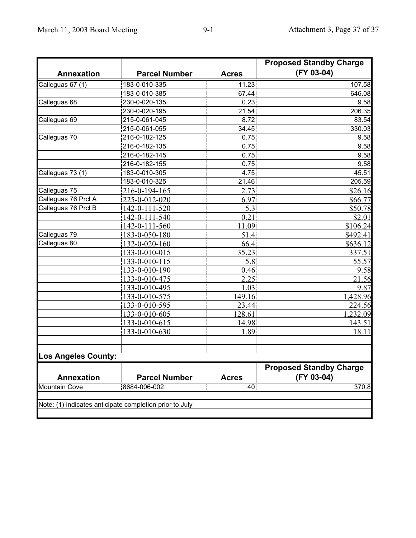|                            |                                                         | <b>Proposed Standby Charge</b> |                                              |  |
|----------------------------|---------------------------------------------------------|--------------------------------|----------------------------------------------|--|
| <b>Annexation</b>          | <b>Parcel Number</b>                                    | <b>Acres</b>                   | (FY 03-04)                                   |  |
| Calleguas 67 (1)           | 183-0-010-335                                           | 11.23                          | 107.58                                       |  |
|                            | 183-0-010-385                                           | 67.44                          | 646.08                                       |  |
| Calleguas 68               | 230-0-020-135                                           | 0.23                           | 9.58                                         |  |
|                            | 230-0-020-195                                           | 21.54                          | 206.35                                       |  |
| Calleguas 69               | 215-0-061-045                                           | 8.72                           | 83.54                                        |  |
|                            | 215-0-061-055                                           | 34.45                          | 330.03                                       |  |
| Calleguas 70               | 216-0-182-125                                           | 0.75                           | 9.58                                         |  |
|                            | 216-0-182-135                                           | 0.75                           | 9.58                                         |  |
|                            | 216-0-182-145                                           | 0.75                           | 9.58                                         |  |
|                            | 216-0-182-155                                           | 0.75                           | 9.58                                         |  |
| Calleguas 73 (1)           | 183-0-010-305                                           | 4.75                           | 45.51                                        |  |
|                            | 183-0-010-325                                           | 21.46                          | 205.59                                       |  |
| Calleguas 75               | 216-0-194-165                                           | 2.73                           | \$26.16                                      |  |
| Calleguas 76 Prcl A        | 225-0-012-020                                           | 6.97                           | \$66.77                                      |  |
| Calleguas 76 Prcl B        | 142-0-111-520                                           | 5.3                            | \$50.78                                      |  |
|                            | 142-0-111-540                                           | 0.21                           | \$2.01                                       |  |
|                            | 142-0-111-560                                           | 11.09                          | \$106.24                                     |  |
| Calleguas 79               | 183-0-050-180                                           | 51.4                           | \$492.41                                     |  |
| Calleguas 80               | 132-0-020-160                                           | 66.4                           | \$636.12                                     |  |
|                            | 133-0-010-015                                           | 35.23                          | 337.51                                       |  |
|                            | 133-0-010-115                                           | 5.8                            | 55.57                                        |  |
|                            | 133-0-010-190                                           | 0.46                           | 9.58                                         |  |
|                            | 133-0-010-475                                           | 2.25                           | 21.56                                        |  |
|                            | 133-0-010-495                                           | 1.03                           | 9.87                                         |  |
|                            | 133-0-010-575                                           | 149.16                         | 1,428.96                                     |  |
|                            | 133-0-010-595                                           | 23.44                          | 224.56                                       |  |
|                            | 133-0-010-605                                           | 128.61                         | 1,232.09                                     |  |
|                            | 133-0-010-615                                           | 14.98                          | 143.51                                       |  |
|                            | 133-0-010-630                                           | 1.89                           | 18.11                                        |  |
| <b>Los Angeles County:</b> |                                                         |                                |                                              |  |
|                            |                                                         |                                |                                              |  |
| <b>Annexation</b>          | <b>Parcel Number</b>                                    | <b>Acres</b>                   | <b>Proposed Standby Charge</b><br>(FY 03-04) |  |
| <b>Mountain Cove</b>       | 8684-006-002                                            | 40                             | 370.8                                        |  |
|                            | Note: (1) indicates anticipate completion prior to July |                                |                                              |  |
|                            |                                                         |                                |                                              |  |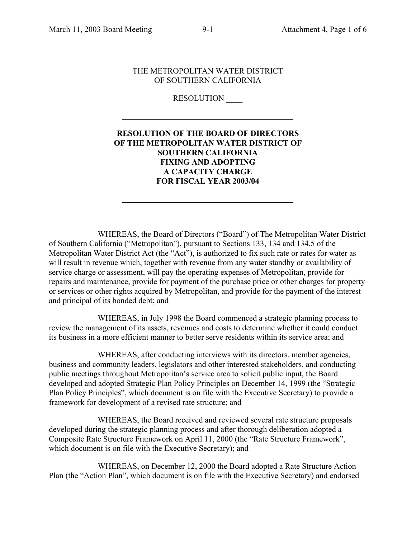### THE METROPOLITAN WATER DISTRICT OF SOUTHERN CALIFORNIA

**RESOLUTION** 

# **RESOLUTION OF THE BOARD OF DIRECTORS OF THE METROPOLITAN WATER DISTRICT OF SOUTHERN CALIFORNIA FIXING AND ADOPTING A CAPACITY CHARGE FOR FISCAL YEAR 2003/04**

WHEREAS, the Board of Directors ("Board") of The Metropolitan Water District of Southern California ("Metropolitan"), pursuant to Sections 133, 134 and 134.5 of the Metropolitan Water District Act (the "Act"), is authorized to fix such rate or rates for water as will result in revenue which, together with revenue from any water standby or availability of service charge or assessment, will pay the operating expenses of Metropolitan, provide for repairs and maintenance, provide for payment of the purchase price or other charges for property or services or other rights acquired by Metropolitan, and provide for the payment of the interest and principal of its bonded debt; and

WHEREAS, in July 1998 the Board commenced a strategic planning process to review the management of its assets, revenues and costs to determine whether it could conduct its business in a more efficient manner to better serve residents within its service area; and

WHEREAS, after conducting interviews with its directors, member agencies, business and community leaders, legislators and other interested stakeholders, and conducting public meetings throughout Metropolitan's service area to solicit public input, the Board developed and adopted Strategic Plan Policy Principles on December 14, 1999 (the "Strategic Plan Policy Principles", which document is on file with the Executive Secretary) to provide a framework for development of a revised rate structure; and

WHEREAS, the Board received and reviewed several rate structure proposals developed during the strategic planning process and after thorough deliberation adopted a Composite Rate Structure Framework on April 11, 2000 (the "Rate Structure Framework", which document is on file with the Executive Secretary); and

WHEREAS, on December 12, 2000 the Board adopted a Rate Structure Action Plan (the "Action Plan", which document is on file with the Executive Secretary) and endorsed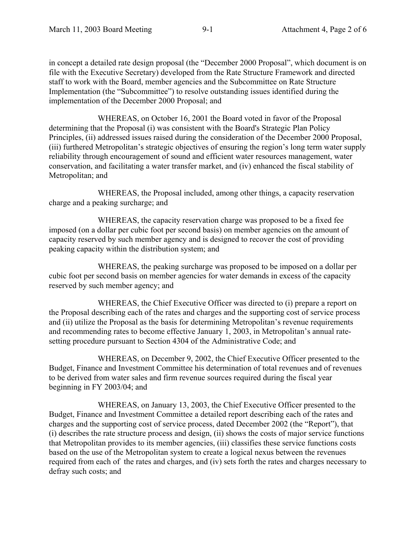in concept a detailed rate design proposal (the "December 2000 Proposal", which document is on file with the Executive Secretary) developed from the Rate Structure Framework and directed staff to work with the Board, member agencies and the Subcommittee on Rate Structure Implementation (the "Subcommittee") to resolve outstanding issues identified during the implementation of the December 2000 Proposal; and

WHEREAS, on October 16, 2001 the Board voted in favor of the Proposal determining that the Proposal (i) was consistent with the Board's Strategic Plan Policy Principles, (ii) addressed issues raised during the consideration of the December 2000 Proposal, (iii) furthered Metropolitan's strategic objectives of ensuring the region's long term water supply reliability through encouragement of sound and efficient water resources management, water conservation, and facilitating a water transfer market, and (iv) enhanced the fiscal stability of Metropolitan; and

WHEREAS, the Proposal included, among other things, a capacity reservation charge and a peaking surcharge; and

WHEREAS, the capacity reservation charge was proposed to be a fixed fee imposed (on a dollar per cubic foot per second basis) on member agencies on the amount of capacity reserved by such member agency and is designed to recover the cost of providing peaking capacity within the distribution system; and

WHEREAS, the peaking surcharge was proposed to be imposed on a dollar per cubic foot per second basis on member agencies for water demands in excess of the capacity reserved by such member agency; and

WHEREAS, the Chief Executive Officer was directed to (i) prepare a report on the Proposal describing each of the rates and charges and the supporting cost of service process and (ii) utilize the Proposal as the basis for determining Metropolitan's revenue requirements and recommending rates to become effective January 1, 2003, in Metropolitan's annual ratesetting procedure pursuant to Section 4304 of the Administrative Code; and

WHEREAS, on December 9, 2002, the Chief Executive Officer presented to the Budget, Finance and Investment Committee his determination of total revenues and of revenues to be derived from water sales and firm revenue sources required during the fiscal year beginning in FY 2003/04; and

WHEREAS, on January 13, 2003, the Chief Executive Officer presented to the Budget, Finance and Investment Committee a detailed report describing each of the rates and charges and the supporting cost of service process, dated December 2002 (the "Report"), that (i) describes the rate structure process and design, (ii) shows the costs of major service functions that Metropolitan provides to its member agencies, (iii) classifies these service functions costs based on the use of the Metropolitan system to create a logical nexus between the revenues required from each of the rates and charges, and (iv) sets forth the rates and charges necessary to defray such costs; and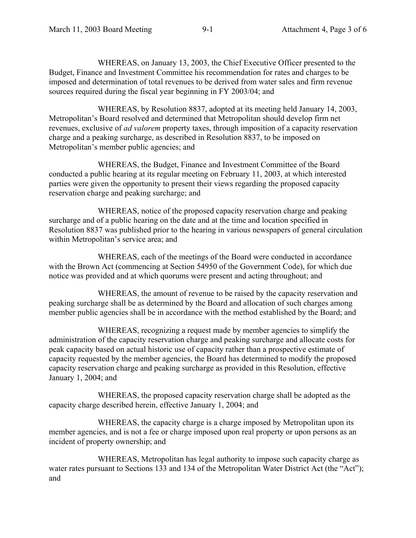WHEREAS, on January 13, 2003, the Chief Executive Officer presented to the Budget, Finance and Investment Committee his recommendation for rates and charges to be imposed and determination of total revenues to be derived from water sales and firm revenue sources required during the fiscal year beginning in FY 2003/04; and

WHEREAS, by Resolution 8837, adopted at its meeting held January 14, 2003, Metropolitan's Board resolved and determined that Metropolitan should develop firm net revenues, exclusive of *ad valorem* property taxes, through imposition of a capacity reservation charge and a peaking surcharge, as described in Resolution 8837, to be imposed on Metropolitan's member public agencies; and

WHEREAS, the Budget, Finance and Investment Committee of the Board conducted a public hearing at its regular meeting on February 11, 2003, at which interested parties were given the opportunity to present their views regarding the proposed capacity reservation charge and peaking surcharge; and

WHEREAS, notice of the proposed capacity reservation charge and peaking surcharge and of a public hearing on the date and at the time and location specified in Resolution 8837 was published prior to the hearing in various newspapers of general circulation within Metropolitan's service area; and

WHEREAS, each of the meetings of the Board were conducted in accordance with the Brown Act (commencing at Section 54950 of the Government Code), for which due notice was provided and at which quorums were present and acting throughout; and

WHEREAS, the amount of revenue to be raised by the capacity reservation and peaking surcharge shall be as determined by the Board and allocation of such charges among member public agencies shall be in accordance with the method established by the Board; and

WHEREAS, recognizing a request made by member agencies to simplify the administration of the capacity reservation charge and peaking surcharge and allocate costs for peak capacity based on actual historic use of capacity rather than a prospective estimate of capacity requested by the member agencies, the Board has determined to modify the proposed capacity reservation charge and peaking surcharge as provided in this Resolution, effective January 1, 2004; and

WHEREAS, the proposed capacity reservation charge shall be adopted as the capacity charge described herein, effective January 1, 2004; and

WHEREAS, the capacity charge is a charge imposed by Metropolitan upon its member agencies, and is not a fee or charge imposed upon real property or upon persons as an incident of property ownership; and

WHEREAS, Metropolitan has legal authority to impose such capacity charge as water rates pursuant to Sections 133 and 134 of the Metropolitan Water District Act (the "Act"); and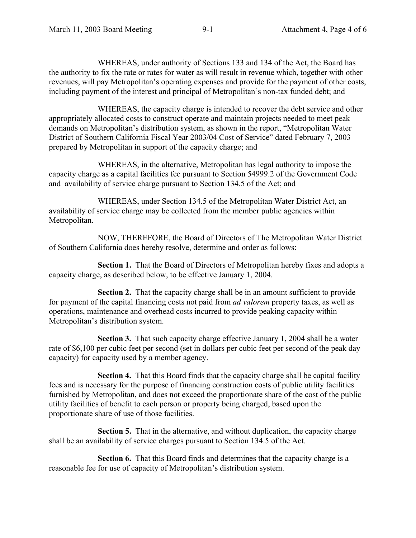WHEREAS, under authority of Sections 133 and 134 of the Act, the Board has the authority to fix the rate or rates for water as will result in revenue which, together with other revenues, will pay Metropolitan's operating expenses and provide for the payment of other costs, including payment of the interest and principal of Metropolitan's non-tax funded debt; and

WHEREAS, the capacity charge is intended to recover the debt service and other appropriately allocated costs to construct operate and maintain projects needed to meet peak demands on Metropolitan's distribution system, as shown in the report, "Metropolitan Water District of Southern California Fiscal Year 2003/04 Cost of Service" dated February 7, 2003 prepared by Metropolitan in support of the capacity charge; and

WHEREAS, in the alternative, Metropolitan has legal authority to impose the capacity charge as a capital facilities fee pursuant to Section 54999.2 of the Government Code and availability of service charge pursuant to Section 134.5 of the Act; and

WHEREAS, under Section 134.5 of the Metropolitan Water District Act, an availability of service charge may be collected from the member public agencies within Metropolitan.

NOW, THEREFORE, the Board of Directors of The Metropolitan Water District of Southern California does hereby resolve, determine and order as follows:

**Section 1.** That the Board of Directors of Metropolitan hereby fixes and adopts a capacity charge, as described below, to be effective January 1, 2004.

**Section 2.** That the capacity charge shall be in an amount sufficient to provide for payment of the capital financing costs not paid from *ad valorem* property taxes, as well as operations, maintenance and overhead costs incurred to provide peaking capacity within Metropolitan's distribution system.

**Section 3.** That such capacity charge effective January 1, 2004 shall be a water rate of \$6,100 per cubic feet per second (set in dollars per cubic feet per second of the peak day capacity) for capacity used by a member agency.

**Section 4.** That this Board finds that the capacity charge shall be capital facility fees and is necessary for the purpose of financing construction costs of public utility facilities furnished by Metropolitan, and does not exceed the proportionate share of the cost of the public utility facilities of benefit to each person or property being charged, based upon the proportionate share of use of those facilities.

**Section 5.** That in the alternative, and without duplication, the capacity charge shall be an availability of service charges pursuant to Section 134.5 of the Act.

**Section 6.** That this Board finds and determines that the capacity charge is a reasonable fee for use of capacity of Metropolitan's distribution system.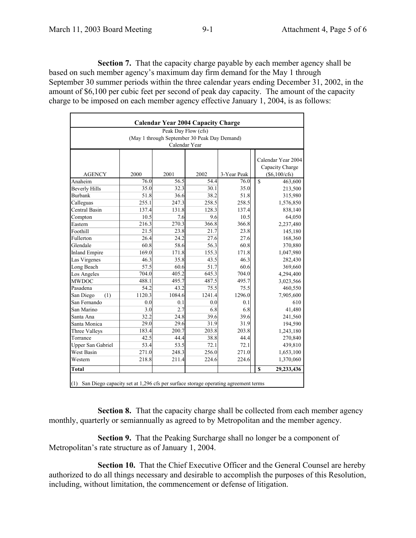**Section 7.** That the capacity charge payable by each member agency shall be based on such member agency's maximum day firm demand for the May 1 through September 30 summer periods within the three calendar years ending December 31, 2002, in the amount of \$6,100 per cubic feet per second of peak day capacity. The amount of the capacity charge to be imposed on each member agency effective January 1, 2004, is as follows:

|                                              |        | Peak Day Flow (cfs) |        |             |                           |  |  |  |  |
|----------------------------------------------|--------|---------------------|--------|-------------|---------------------------|--|--|--|--|
| (May 1 through September 30 Peak Day Demand) |        |                     |        |             |                           |  |  |  |  |
|                                              |        | Calendar Year       |        |             |                           |  |  |  |  |
|                                              |        |                     |        |             |                           |  |  |  |  |
|                                              |        |                     |        |             | Calendar Year 2004        |  |  |  |  |
|                                              |        |                     |        |             | Capacity Charge           |  |  |  |  |
| <b>AGENCY</b>                                | 2000   | 2001                | 2002   | 3-Year Peak | (\$6,100/cfs)             |  |  |  |  |
| Anaheim                                      | 76.0   | 56.5                | 54.4   | 76.0        | \$<br>463,600             |  |  |  |  |
| <b>Beverly Hills</b>                         | 35.0   | 32.3                | 30.1   | 35.0        | 213,500                   |  |  |  |  |
| <b>Burbank</b>                               | 51.8   | 36.6                | 38.2   | 51.8        | 315,980                   |  |  |  |  |
| Calleguas                                    | 255.1  | 247.3               | 258.5  | 258.5       | 1,576,850                 |  |  |  |  |
| Central Basin                                | 137.4  | 131.8               | 128.3  | 137.4       | 838,140                   |  |  |  |  |
| Compton                                      | 10.5   | 7.6                 | 9.6    | 10.5        | 64,050                    |  |  |  |  |
| Eastern                                      | 216.3  | 270.3               | 366.8  | 366.8       | 2,237,480                 |  |  |  |  |
| Foothill                                     | 21.5   | 23.8                | 21.7   | 23.8        | 145,180                   |  |  |  |  |
| Fullerton                                    | 26.4   | 24.2                | 27.6   | 27.6        | 168,360                   |  |  |  |  |
| Glendale                                     | 60.8   | 58.6                | 56.3   | 60.8        | 370,880                   |  |  |  |  |
| <b>Inland Empire</b>                         | 169.0  | 171.8               | 155.3  | 171.8       | 1,047,980                 |  |  |  |  |
| Las Virgenes                                 | 46.3   | 35.8                | 43.5   | 46.3        | 282,430                   |  |  |  |  |
| Long Beach                                   | 57.5   | 60.6                | 51.7   | 60.6        | 369,660                   |  |  |  |  |
| Los Angeles                                  | 704.0  | 405.2               | 645.3  | 704.0       | 4,294,400                 |  |  |  |  |
| <b>MWDOC</b>                                 | 488.1  | 495.7               | 487.5  | 495.7       | 3,023,566                 |  |  |  |  |
| Pasadena                                     | 54.2   | 43.2                | 75.5   | 75.5        | 460,550                   |  |  |  |  |
| San Diego<br>(1)                             | 1120.3 | 1084.6              | 1241.4 | 1296.0      | 7,905,600                 |  |  |  |  |
| San Fernando                                 | 0.0    | 0.1                 | 0.0    | 0.1         | 610                       |  |  |  |  |
| San Marino                                   | 3.0    | 2.7                 | 6.8    | 6.8         | 41,480                    |  |  |  |  |
| Santa Ana                                    | 32.2   | 24.8                | 39.6   | 39.6        | 241,560                   |  |  |  |  |
| Santa Monica                                 | 29.0   | 29.6                | 31.9   | 31.9        | 194,590                   |  |  |  |  |
| Three Valleys                                | 183.4  | 200.7               | 203.8  | 203.8       | 1,243,180                 |  |  |  |  |
| Torrance                                     | 42.5   | 44.4                | 38.8   | 44.4        | 270,840                   |  |  |  |  |
| <b>Upper San Gabriel</b>                     | 53.4   | 53.5                | 72.1   | 72.1        | 439,810                   |  |  |  |  |
| West Basin                                   | 271.0  | 248.3               | 256.0  | 271.0       | 1,653,100                 |  |  |  |  |
| Western                                      | 218.8  | 211.4               | 224.6  | 224.6       | 1,370,060                 |  |  |  |  |
| Total                                        |        |                     |        |             | $\mathbf S$<br>29,233,436 |  |  |  |  |

**Section 8.** That the capacity charge shall be collected from each member agency monthly, quarterly or semiannually as agreed to by Metropolitan and the member agency.

**Section 9.** That the Peaking Surcharge shall no longer be a component of Metropolitan's rate structure as of January 1, 2004.

**Section 10.** That the Chief Executive Officer and the General Counsel are hereby authorized to do all things necessary and desirable to accomplish the purposes of this Resolution, including, without limitation, the commencement or defense of litigation.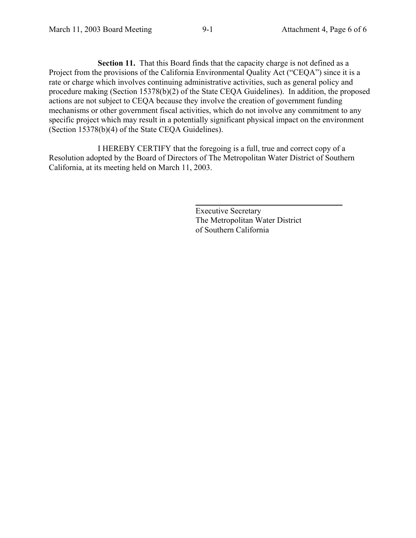**Section 11.** That this Board finds that the capacity charge is not defined as a Project from the provisions of the California Environmental Quality Act ("CEQA") since it is a rate or charge which involves continuing administrative activities, such as general policy and procedure making (Section 15378(b)(2) of the State CEQA Guidelines). In addition, the proposed actions are not subject to CEQA because they involve the creation of government funding mechanisms or other government fiscal activities, which do not involve any commitment to any specific project which may result in a potentially significant physical impact on the environment (Section 15378(b)(4) of the State CEQA Guidelines).

I HEREBY CERTIFY that the foregoing is a full, true and correct copy of a Resolution adopted by the Board of Directors of The Metropolitan Water District of Southern California, at its meeting held on March 11, 2003.

> Executive Secretary The Metropolitan Water District of Southern California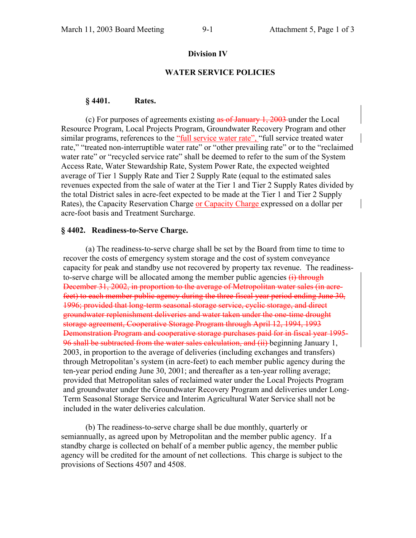#### **Division IV**

#### **WATER SERVICE POLICIES**

#### **§ 4401. Rates.**

(c) For purposes of agreements existing as of January 1, 2003 under the Local Resource Program, Local Projects Program, Groundwater Recovery Program and other similar programs, references to the "full service water rate", "full service treated water rate," "treated non-interruptible water rate" or "other prevailing rate" or to the "reclaimed water rate" or "recycled service rate" shall be deemed to refer to the sum of the System Access Rate, Water Stewardship Rate, System Power Rate, the expected weighted average of Tier 1 Supply Rate and Tier 2 Supply Rate (equal to the estimated sales revenues expected from the sale of water at the Tier 1 and Tier 2 Supply Rates divided by the total District sales in acre-feet expected to be made at the Tier 1 and Tier 2 Supply Rates), the Capacity Reservation Charge or Capacity Charge expressed on a dollar per acre-foot basis and Treatment Surcharge.

#### **§ 4402. Readiness-to-Serve Charge.**

 (a) The readiness-to-serve charge shall be set by the Board from time to time to recover the costs of emergency system storage and the cost of system conveyance capacity for peak and standby use not recovered by property tax revenue. The readinessto-serve charge will be allocated among the member public agencies  $(i)$  through December 31, 2002, in proportion to the average of Metropolitan water sales (in acrefeet) to each member public agency during the three fiscal year period ending June 30, 1996; provided that long-term seasonal storage service, cyclic storage, and direct groundwater replenishment deliveries and water taken under the one-time drought storage agreement, Cooperative Storage Program through April 12, 1994, 1993 Demonstration Program and cooperative storage purchases paid for in fiscal year 1995- 96 shall be subtracted from the water sales calculation, and  $(ii)$  beginning January 1, 2003, in proportion to the average of deliveries (including exchanges and transfers) through Metropolitan's system (in acre-feet) to each member public agency during the ten-year period ending June 30, 2001; and thereafter as a ten-year rolling average; provided that Metropolitan sales of reclaimed water under the Local Projects Program and groundwater under the Groundwater Recovery Program and deliveries under Long-Term Seasonal Storage Service and Interim Agricultural Water Service shall not be included in the water deliveries calculation.

 (b) The readiness-to-serve charge shall be due monthly, quarterly or semiannually, as agreed upon by Metropolitan and the member public agency. If a standby charge is collected on behalf of a member public agency, the member public agency will be credited for the amount of net collections. This charge is subject to the provisions of Sections 4507 and 4508.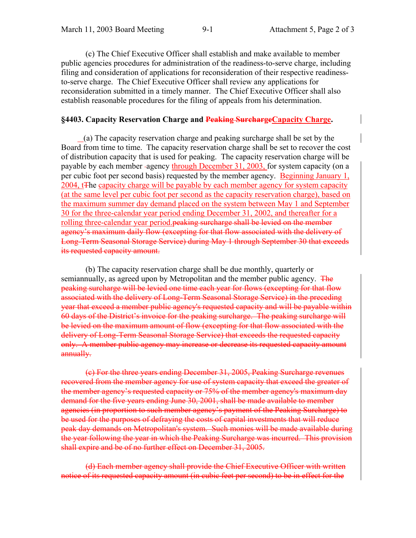(c) The Chief Executive Officer shall establish and make available to member public agencies procedures for administration of the readiness-to-serve charge, including filing and consideration of applications for reconsideration of their respective readinessto-serve charge. The Chief Executive Officer shall review any applications for reconsideration submitted in a timely manner. The Chief Executive Officer shall also establish reasonable procedures for the filing of appeals from his determination.

# §4403. Capacity Reservation Charge and Peaking SurchargeCapacity Charge.

(a) The capacity reservation charge and peaking surcharge shall be set by the Board from time to time. The capacity reservation charge shall be set to recover the cost of distribution capacity that is used for peaking. The capacity reservation charge will be payable by each member agency through December 31, 2003, for system capacity (on a per cubic foot per second basis) requested by the member agency. Beginning January 1, 2004, tThe capacity charge will be payable by each member agency for system capacity (at the same level per cubic foot per second as the capacity reservation charge), based on the maximum summer day demand placed on the system between May 1 and September 30 for the three-calendar year period ending December 31, 2002, and thereafter for a rolling three-calendar year period.<del>peaking surcharge shall be levied on the member</del> agency's maximum daily flow (excepting for that flow associated with the delivery of Long-Term Seasonal Storage Service) during May 1 through September 30 that exceeds its requested capacity amount.

 (b) The capacity reservation charge shall be due monthly, quarterly or semiannually, as agreed upon by Metropolitan and the member public agency. The peaking surcharge will be levied one time each year for flows (excepting for that flow associated with the delivery of Long-Term Seasonal Storage Service) in the preceding year that exceed a member public agency's requested capacity and will be payable within 60 days of the District's invoice for the peaking surcharge. The peaking surcharge will be levied on the maximum amount of flow (excepting for that flow associated with the delivery of Long-Term Seasonal Storage Service) that exceeds the requested capacity only. A member public agency may increase or decrease its requested capacity amount annually.

(c) For the three years ending December 31, 2005, Peaking Surcharge revenues recovered from the member agency for use of system capacity that exceed the greater of the member agency's requested capacity or 75% of the member agency's maximum day demand for the five years ending June 30, 2001, shall be made available to member agencies (in proportion to such member agency's payment of the Peaking Surcharge) to be used for the purposes of defraying the costs of capital investments that will reduce peak day demands on Metropolitan's system. Such monies will be made available during the year following the year in which the Peaking Surcharge was incurred. This provision shall expire and be of no further effect on December 31, 2005.

(d) Each member agency shall provide the Chief Executive Officer with written notice of its requested capacity amount (in cubic feet per second) to be in effect for the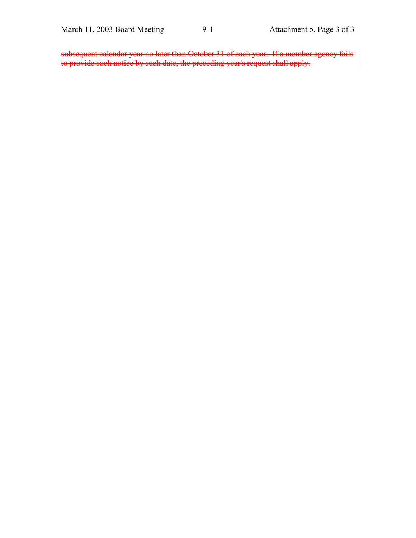subsequent calendar year no later than October 31 of each year. If a member agency fails to provide such notice by such date, the preceding year's request shall apply.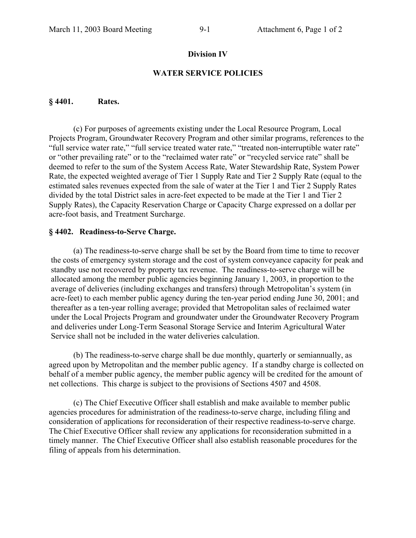# **Division IV**

# **WATER SERVICE POLICIES**

### **§ 4401. Rates.**

(c) For purposes of agreements existing under the Local Resource Program, Local Projects Program, Groundwater Recovery Program and other similar programs, references to the "full service water rate," "full service treated water rate," "treated non-interruptible water rate" or "other prevailing rate" or to the "reclaimed water rate" or "recycled service rate" shall be deemed to refer to the sum of the System Access Rate, Water Stewardship Rate, System Power Rate, the expected weighted average of Tier 1 Supply Rate and Tier 2 Supply Rate (equal to the estimated sales revenues expected from the sale of water at the Tier 1 and Tier 2 Supply Rates divided by the total District sales in acre-feet expected to be made at the Tier 1 and Tier 2 Supply Rates), the Capacity Reservation Charge or Capacity Charge expressed on a dollar per acre-foot basis, and Treatment Surcharge.

# **§ 4402. Readiness-to-Serve Charge.**

 (a) The readiness-to-serve charge shall be set by the Board from time to time to recover the costs of emergency system storage and the cost of system conveyance capacity for peak and standby use not recovered by property tax revenue. The readiness-to-serve charge will be allocated among the member public agencies beginning January 1, 2003, in proportion to the average of deliveries (including exchanges and transfers) through Metropolitan's system (in acre-feet) to each member public agency during the ten-year period ending June 30, 2001; and thereafter as a ten-year rolling average; provided that Metropolitan sales of reclaimed water under the Local Projects Program and groundwater under the Groundwater Recovery Program and deliveries under Long-Term Seasonal Storage Service and Interim Agricultural Water Service shall not be included in the water deliveries calculation.

 (b) The readiness-to-serve charge shall be due monthly, quarterly or semiannually, as agreed upon by Metropolitan and the member public agency. If a standby charge is collected on behalf of a member public agency, the member public agency will be credited for the amount of net collections. This charge is subject to the provisions of Sections 4507 and 4508.

 (c) The Chief Executive Officer shall establish and make available to member public agencies procedures for administration of the readiness-to-serve charge, including filing and consideration of applications for reconsideration of their respective readiness-to-serve charge. The Chief Executive Officer shall review any applications for reconsideration submitted in a timely manner. The Chief Executive Officer shall also establish reasonable procedures for the filing of appeals from his determination.